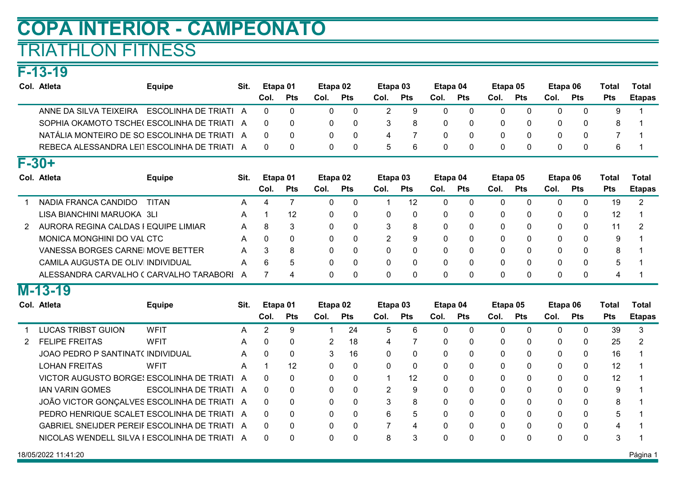# COPA INTERIOR - CAMPEONATO

## TRIATHLON FITNESS

F-13-19

| Col. Atleta                                  | <b>Equipe</b>         | Sit. | Etapa 01 |            | Etapa 02 |            | Etapa 03 |            | Etapa 04 |            | Etapa 05 |     | Etapa 06 |            | Total      | Total         |
|----------------------------------------------|-----------------------|------|----------|------------|----------|------------|----------|------------|----------|------------|----------|-----|----------|------------|------------|---------------|
|                                              |                       |      | Col.     | <b>Pts</b> | Col.     | <b>Pts</b> | Col.     | <b>Pts</b> | Col.     | <b>Pts</b> | Col.     | Pts | Col.     | <b>Pts</b> | <b>Pts</b> | <b>Etapas</b> |
| ANNE DA SILVA TEIXEIRA                       | ESCOLINHA DE TRIATI A |      |          |            |          | -0         |          | 9          |          |            |          |     |          |            |            |               |
| SOPHIA OKAMOTO TSCHE(ESCOLINHA DE TRIATI A   |                       |      |          | $\Omega$   |          | - 0        |          | 8          | $\Omega$ |            |          |     |          |            |            |               |
| NATÁLIA MONTEIRO DE SO ESCOLINHA DE TRIATI A |                       |      |          | $\Omega$   |          | - 0        |          |            |          |            |          |     |          |            |            |               |
| REBECA ALESSANDRA LEITESCOLINHA DE TRIATI    |                       |      |          | $\Omega$   |          | - 0        |          | -6         |          |            |          |     |          |            |            |               |
| $F - 30 +$                                   |                       |      |          |            |          |            |          |            |          |            |          |     |          |            |            |               |

| $\sim$ $\sim$ $\sim$                    |               |      |          |            |          |            |          |            |          |            |          |            |          |            |            |               |
|-----------------------------------------|---------------|------|----------|------------|----------|------------|----------|------------|----------|------------|----------|------------|----------|------------|------------|---------------|
| Col. Atleta                             | <b>Equipe</b> | Sit. | Etapa 01 |            | Etapa 02 |            | Etapa 03 |            | Etapa 04 |            | Etapa 05 |            | Etapa 06 |            | Total      | Total         |
|                                         |               |      | Col.     | <b>Pts</b> | Col.     | <b>Pts</b> | Col.     | <b>Pts</b> | Col.     | <b>Pts</b> | Col.     | <b>Pts</b> | Col.     | <b>Pts</b> | <b>Pts</b> | <b>Etapas</b> |
| NADIA FRANCA CANDIDO                    | TITAN         | A    | 4        |            | 0        |            |          | 12         |          |            | 0        | 0          |          |            | 19         |               |
| LISA BIANCHINI MARUOKA 3LI              |               | A    |          | 12         | 0        | 0          | 0        | 0          | 0        | 0          | 0        | 0          |          |            | 12         |               |
| 2 AURORA REGINA CALDAS I EQUIPE LIMIAR  |               | A    | 8        | 3          | 0        | -0         | 3        | 8          | 0        | 0          | 0        | 0          |          |            | 11         |               |
| MONICA MONGHINI DO VAL CTC              |               | A    |          | $\Omega$   | 0        | -0         | 2        | 9          | ი        | $\Omega$   | 0        | $\Omega$   |          | 0          | 9          |               |
| VANESSA BORGES CARNE MOVE BETTER        |               | A    |          | 8          |          | - 0        | 0        | $\Omega$   |          | $\Omega$   | 0        | $\Omega$   |          | 0          | 8          |               |
| CAMILA AUGUSTA DE OLIVI INDIVIDUAL      |               | A    | 6        | 5          |          | 0          | 0        |            |          | $\Omega$   | 0        | $\Omega$   |          |            | 5          |               |
| ALESSANDRA CARVALHO (CARVALHO TARABORI) |               | А    |          |            |          |            | $\Omega$ |            |          | $\Omega$   |          | 0          |          |            | 4          |               |
|                                         |               |      |          |            |          |            |          |            |          |            |          |            |          |            |            |               |

#### M-13-19

|               | Col. Atleta                                          | <b>Equipe</b>         | Sit. | Etapa 01 |            | Etapa 02             |            | Etapa 03 |              | Etapa 04     |            | Etapa 05 |            | Etapa 06 |              | Total      | Total         |
|---------------|------------------------------------------------------|-----------------------|------|----------|------------|----------------------|------------|----------|--------------|--------------|------------|----------|------------|----------|--------------|------------|---------------|
|               |                                                      |                       |      | Col.     | <b>Pts</b> | Col.                 | <b>Pts</b> | Col.     | <b>Pts</b>   | Col.         | <b>Pts</b> | Col.     | <b>Pts</b> | Col.     | <b>Pts</b>   | <b>Pts</b> | <b>Etapas</b> |
|               | LUCAS TRIBST GUION                                   | WFIT                  | A    | 2        | 9          |                      | 24         | 5        | 6            | $\Omega$     |            | 0        | 0          | 0        | 0            | 39         | 3             |
| $\mathcal{P}$ | <b>FELIPE FREITAS</b>                                | WFIT                  | A    | 0        | $\Omega$   | $\mathbf{2}^{\circ}$ | 18         | 4        |              | 0            |            | 0        | $\Omega$   | 0        | $\Omega$     | 25         |               |
|               | JOAO PEDRO P SANTINATO INDIVIDUAL                    |                       | A    | -0       | 0          | 3                    | 16         | 0        | $\mathbf{0}$ | $\Omega$     |            | 0        | $\Omega$   | 0        | 0            | 16         |               |
|               | <b>LOHAN FREITAS</b>                                 | WFIT                  | A    |          | 12         | 0                    | $\Omega$   | $\Omega$ | $\Omega$     | $\Omega$     |            | $\Omega$ | $\Omega$   | 0        | 0            | 12         |               |
|               | VICTOR AUGUSTO BORGE! ESCOLINHA DE TRIATI            |                       | A    | $\Omega$ | $\Omega$   | 0                    | $\Omega$   |          | 12           | $\Omega$     |            | 0        | $\Omega$   | 0        | 0            | 12         |               |
|               | <b>IAN VARIN GOMES</b>                               | ESCOLINHA DE TRIATI A |      | $\Omega$ | $\Omega$   | 0                    | $\Omega$   | 2        | 9            | $\Omega$     |            | $\Omega$ | $\Omega$   | 0        | 0            | 9          |               |
|               | JOÃO VICTOR GONÇALVES ESCOLINHA DE TRIATI A          |                       |      | $\Omega$ | $\Omega$   | 0                    | $\Omega$   | 3        | 8            | $\Omega$     |            | 0        | $\Omega$   | 0        | 0            | 8          |               |
|               | PEDRO HENRIQUE SCALET ESCOLINHA DE TRIATI A          |                       |      | $\Omega$ | $\Omega$   | 0                    | $\Omega$   | 6        | 5            | $\Omega$     |            | $\Omega$ | $\Omega$   | 0        | $\mathbf{0}$ | 5.         |               |
|               | <b>GABRIEL SNEIJDER PEREIF ESCOLINHA DE TRIATI A</b> |                       |      | $\Omega$ | $\Omega$   | 0                    | $\Omega$   |          | 4            | <sup>n</sup> |            | $\Omega$ | $\Omega$   | 0        | 0            | 4          |               |
|               | NICOLAS WENDELL SILVA I ESCOLINHA DE TRIATI A        |                       |      | $\Omega$ | $\Omega$   | 0                    | $\Omega$   | 8        | 3            |              |            | 0        | $\Omega$   | 0        | 0            | 3          |               |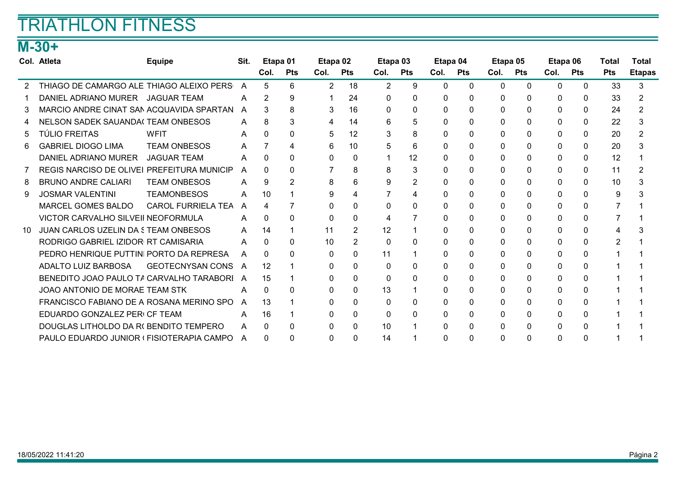## TRIATHLON FITNESS

### M-30+

|    | Col. Atleta                                | <b>Equipe</b>           | Sit. | Etapa 01     |                | Etapa 02       |            | Etapa 03       |            | Etapa 04     |            | Etapa 05 |              | Etapa 06 |              | Total      | Total         |
|----|--------------------------------------------|-------------------------|------|--------------|----------------|----------------|------------|----------------|------------|--------------|------------|----------|--------------|----------|--------------|------------|---------------|
|    |                                            |                         |      | Col.         | <b>Pts</b>     | Col.           | <b>Pts</b> | Col.           | <b>Pts</b> | Col.         | <b>Pts</b> | Col.     | Pts          | Col.     | <b>Pts</b>   | <b>Pts</b> | <b>Etapas</b> |
|    | THIAGO DE CAMARGO ALE THIAGO ALEIXO PERS   |                         | A    | 5            | 6              | $\overline{2}$ | 18         | $\overline{2}$ | 9          | $\Omega$     | $\Omega$   | $\Omega$ | $\Omega$     | $\Omega$ | $\mathbf{0}$ | 33         | 3             |
|    | DANIEL ADRIANO MURER JAGUAR TEAM           |                         | A    | 2            | 9              |                | 24         | $\Omega$       | $\Omega$   | 0            |            | $\Omega$ | 0            | $\Omega$ | $\Omega$     | 33         |               |
|    | MARCIO ANDRE CINAT SAN ACQUAVIDA SPARTAN   |                         | A    | 3            | 8              | 3              | 16         | 0              | 0          | <sup>0</sup> |            | $\Omega$ | 0            | 0        | $\Omega$     | 24         |               |
|    | <b>NELSON SADEK SAUANDA(TEAM ONBESOS</b>   |                         | A    | 8            | 3              | 4              | 14         | 6              | 5          | 0            |            | $\Omega$ | $\Omega$     | $\Omega$ | 0            | 22         |               |
| 5  | <b>TÚLIO FREITAS</b>                       | <b>WFIT</b>             | A    | O.           | 0              | 5              | 12         | 3              | 8          | 0            |            | 0        | $\Omega$     | $\Omega$ | $\mathbf{0}$ | 20         |               |
| 6. | <b>GABRIEL DIOGO LIMA</b>                  | <b>TEAM ONBESOS</b>     | A    |              | 4              | 6              | 10         | 5              | 6          | 0            | 0          | $\Omega$ | $\Omega$     | $\Omega$ | 0            | 20         |               |
|    | DANIEL ADRIANO MURER                       | <b>JAGUAR TEAM</b>      | A    | 0            | 0              | 0              | 0          |                | 12         | 0            |            | 0        | 0            | $\Omega$ | $\mathbf{0}$ | 12         |               |
|    | REGIS NARCISO DE OLIVEI PREFEITURA MUNICIP |                         | A    | $\Omega$     | $\Omega$       |                | 8          | 8              | 3          | 0            | 0          | 0        | $\Omega$     | 0        | 0            | 11         |               |
| 8  | <b>BRUNO ANDRE CALIARI</b>                 | <b>TEAM ONBESOS</b>     | A    | 9            | $\overline{2}$ | 8              | 6          | 9              | 2          | 0            |            | 0        | $\mathbf{0}$ | $\Omega$ | $\mathbf{0}$ | 10         |               |
| 9  | <b>JOSMAR VALENTINI</b>                    | <b>TEAMONBESOS</b>      | A    | 10           |                | 9              |            |                | 4          | 0            |            | $\Omega$ | $\Omega$     | $\Omega$ | $\Omega$     | 9          |               |
|    | <b>MARCEL GOMES BALDO</b>                  | CAROL FURRIELA TEA      | A    | 4            |                | $\Omega$       | 0          | $\Omega$       | 0          | 0            |            | $\Omega$ | $\Omega$     | $\Omega$ | 0            |            |               |
|    | VICTOR CARVALHO SILVEII NEOFORMULA         |                         | A    | 0            | <sup>0</sup>   | 0              | 0          | 4              |            | <sup>0</sup> |            | $\Omega$ | $\Omega$     | $\Omega$ | $\Omega$     |            |               |
| 10 | JUAN CARLOS UZELIN DA 5 TEAM ONBESOS       |                         | A    | 14           |                | 11             |            | 12             |            | 0            |            | $\Omega$ | $\Omega$     | $\Omega$ | $\Omega$     | Δ          |               |
|    | RODRIGO GABRIEL IZIDOR RT CAMISARIA        |                         | A    | 0            | 0              | 10             | 2          | 0              | $\Omega$   | 0            |            | $\Omega$ | 0            | 0        | $\Omega$     | 2          |               |
|    | PEDRO HENRIQUE PUTTINI PORTO DA REPRESA    |                         | A    | 0            | 0              | $\Omega$       |            | 11             |            | 0            |            | $\Omega$ | 0            | $\Omega$ | 0            |            |               |
|    | ADALTO LUIZ BARBOSA                        | <b>GEOTECNYSAN CONS</b> | A    | 12           |                | 0              | 0          | $\Omega$       | 0          | 0            |            | 0        | 0            | $\Omega$ | 0            |            |               |
|    | BENEDITO JOAO PAULO TA CARVALHO TARABORI   |                         | A    | 15           |                | 0              | 0          | $\Omega$       | 0          | 0            | 0          | 0        | $\Omega$     | $\Omega$ | 0            |            |               |
|    | JOAO ANTONIO DE MORAE TEAM STK             |                         | A    | 0            | 0              | 0              |            | 13             |            | 0            |            | 0        | 0            | 0        | $\mathbf{0}$ |            |               |
|    | FRANCISCO FABIANO DE A ROSANA MERINO SPO   |                         | A    | 13           |                | 0              | 0          | $\Omega$       | 0          | $\Omega$     |            | $\Omega$ | $\Omega$     | $\Omega$ | 0            |            |               |
|    | EDUARDO GONZALEZ PERI CF TEAM              |                         | A    | 16           |                | 0              | 0          | 0              | $\Omega$   | 0            |            | 0        | $\Omega$     | $\Omega$ | $\Omega$     |            |               |
|    | DOUGLAS LITHOLDO DA RI BENDITO TEMPERO     |                         | A    | 0            | 0              | $\Omega$       | 0          | 10             |            | O.           |            | $\Omega$ | $\Omega$     | $\Omega$ | $\Omega$     |            |               |
|    | PAULO EDUARDO JUNIOR (FISIOTERAPIA CAMPO   |                         | A    | <sup>0</sup> | <sup>0</sup>   | 0              | 0          | 14             |            | <sup>0</sup> | 0          | $\Omega$ | $\Omega$     | 0        | 0            |            |               |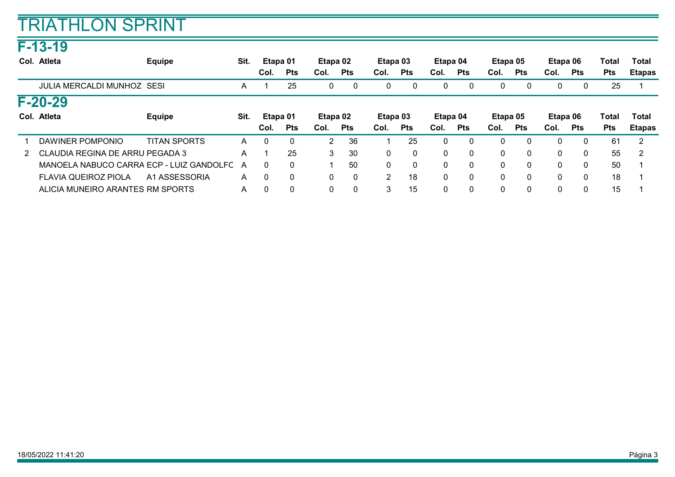### F-13-19

|               | Col. Atleta                              | <b>Equipe</b>       | Sit. | Etapa 01 |              | Etapa 02 |                | Etapa 03 |              | Etapa 04 |              | Etapa 05 |              | Etapa 06     |              | Total      | Total         |
|---------------|------------------------------------------|---------------------|------|----------|--------------|----------|----------------|----------|--------------|----------|--------------|----------|--------------|--------------|--------------|------------|---------------|
|               |                                          |                     |      | Col.     | <b>Pts</b>   | Col.     | <b>Pts</b>     | Col.     | <b>Pts</b>   | Col.     | <b>Pts</b>   | Col.     | <b>Pts</b>   | Col.         | <b>Pts</b>   | <b>Pts</b> | <b>Etapas</b> |
|               | <b>JULIA MERCALDI MUNHOZ SESI</b>        |                     | A    |          | 25           | 0        | 0              | 0        | 0            | $\Omega$ | 0            | 0        | 0            | 0            | 0            | 25         |               |
|               | $F - 20 - 29$                            |                     |      |          |              |          |                |          |              |          |              |          |              |              |              |            |               |
|               | Col. Atleta                              | <b>Equipe</b>       | Sit. | Etapa 01 |              | Etapa 02 |                | Etapa 03 |              | Etapa 04 |              | Etapa 05 |              | Etapa 06     |              | Total      | Total         |
|               |                                          |                     |      | Col.     | <b>Pts</b>   | Col.     | <b>Pts</b>     | Col.     | <b>Pts</b>   | Col.     | <b>Pts</b>   | Col.     | <b>Pts</b>   | Col.         | <b>Pts</b>   | <b>Pts</b> | <b>Etapas</b> |
|               | DAWINER POMPONIO                         | <b>TITAN SPORTS</b> | A    | $\Omega$ | $\Omega$     | 2        | 36             |          | 25           |          |              | 0        | $\Omega$     | $\mathbf{0}$ | 0            | 61         | 2             |
| $\mathcal{P}$ | CLAUDIA REGINA DE ARRU PEGADA 3          |                     | A    |          | 25           | 3        | 30             | 0        | 0            | $\Omega$ | 0            | 0        | $\mathbf{0}$ | $\mathbf{0}$ | $\mathbf{0}$ | 55         | 2             |
|               | MANOELA NABUCO CARRA ECP - LUIZ GANDOLFC |                     | A    | 0        | $\Omega$     |          | 50             | 0        | $\mathbf{0}$ | $\Omega$ | $\mathbf{0}$ | 0        | $\mathbf{0}$ | $\mathbf{0}$ | $\mathbf{0}$ | 50         |               |
|               | <b>FLAVIA QUEIROZ PIOLA</b>              | A1 ASSESSORIA       | A    | $\Omega$ | $\Omega$     | 0        | $\overline{0}$ | 2        | 18           | 0        |              | 0        | $\mathbf{0}$ | $\mathbf{0}$ | $\mathbf{0}$ | 18         |               |
|               | ALICIA MUNEIRO ARANTES RM SPORTS         |                     | A    | $\Omega$ | $\mathbf{0}$ | 0        | $\Omega$       | 3        | 15           | $\Omega$ |              | 0        | $\mathbf{0}$ | $\mathbf{0}$ | $\mathbf{0}$ | 15         |               |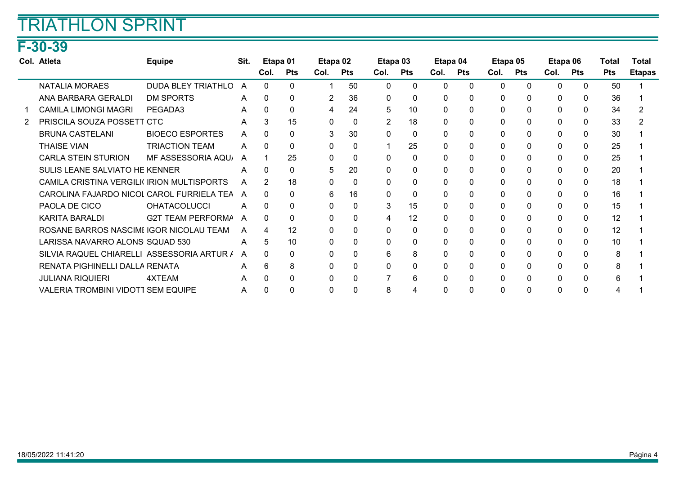## F-30-39

| Col. Atleta                                | <b>Equipe</b>             | Sit.         | Etapa 01 |              | Etapa 02     |              | Etapa 03     |              | Etapa 04 |              | Etapa 05 |          | Etapa 06     |              | Total      | Total         |
|--------------------------------------------|---------------------------|--------------|----------|--------------|--------------|--------------|--------------|--------------|----------|--------------|----------|----------|--------------|--------------|------------|---------------|
|                                            |                           |              | Col.     | <b>Pts</b>   | Col.         | Pts          | Col.         | Pts          | Col.     | <b>Pts</b>   | Col.     | Pts      | Col.         | Pts          | <b>Pts</b> | <b>Etapas</b> |
| <b>NATALIA MORAES</b>                      | <b>DUDA BLEY TRIATHLO</b> | A            | $\Omega$ | $\Omega$     |              | 50           | 0            | $\mathbf{0}$ | $\Omega$ | $\Omega$     | 0        | $\Omega$ | $\mathbf{0}$ | $\mathbf{0}$ | 50         |               |
| ANA BARBARA GERALDI                        | <b>DM SPORTS</b>          | $\mathsf{A}$ |          | $\Omega$     | 2            | 36           | $\Omega$     | $\mathbf{0}$ |          |              | 0        | $\Omega$ | $\Omega$     | $\mathbf{0}$ | 36         |               |
| <b>CAMILA LIMONGI MAGRI</b>                | PEGADA3                   | A            | $\Omega$ | 0            | 4            | 24           | 5            | 10           | $\Omega$ |              | 0        | $\Omega$ | $\Omega$     | $\Omega$     | 34         |               |
| PRISCILA SOUZA POSSETT CTC                 |                           | A            | 3        | 15           | $\mathbf{0}$ | $\mathbf{0}$ | 2            | 18           | $\Omega$ |              | 0        | $\Omega$ | $\mathbf{0}$ | $\Omega$     | 33         |               |
| <b>BRUNA CASTELANI</b>                     | <b>BIOECO ESPORTES</b>    | A            | C        | $\Omega$     | 3            | 30           | 0            | $\mathbf{0}$ | 0        | $\Omega$     | 0        | $\Omega$ | $\mathbf{0}$ | $\mathbf{0}$ | 30         |               |
| <b>THAISE VIAN</b>                         | <b>TRIACTION TEAM</b>     | A            | $\Omega$ | $\Omega$     | $\mathbf{0}$ | $\mathbf{0}$ |              | 25           | 0        | 0            | 0        | $\Omega$ | 0            | $\mathbf{0}$ | 25         |               |
| <b>CARLA STEIN STURION</b>                 | MF ASSESSORIA AQU         | A            |          | 25           | 0            | 0            | 0            | $\Omega$     | 0        | 0            | 0        | $\Omega$ | $\mathbf{0}$ | $\Omega$     | 25         |               |
| SULIS LEANE SALVIATO HE KENNER             |                           | A            | 0        | 0            | 5            | 20           | 0            | 0            | 0        | 0            | 0        | $\Omega$ | 0            | 0            | 20         |               |
| CAMILA CRISTINA VERGILI( IRION MULTISPORTS |                           | A            | 2        | 18           | $\mathbf{0}$ | $\mathbf{0}$ | 0            | $\mathbf{0}$ | $\Omega$ |              | 0        | $\Omega$ | $\Omega$     | $\Omega$     | 18         |               |
| CAROLINA FAJARDO NICOL CAROL FURRIELA TEA  |                           | A            | $\Omega$ | <sup>0</sup> | 6            | 16           | $\Omega$     | $\Omega$     | $\Omega$ |              | $\Omega$ | $\Omega$ | $\Omega$     | $\Omega$     | 16         |               |
| PAOLA DE CICO                              | <b>OHATACOLUCCI</b>       | A            | $\Omega$ | 0            | $\mathbf{0}$ | $\mathbf{0}$ | 3            | 15           | $\Omega$ |              | 0        | $\Omega$ | $\mathbf{0}$ | $\mathbf{0}$ | 15         |               |
| KARITA BARALDI                             | <b>G2T TEAM PERFORMA</b>  | A            |          | ∩            | $\mathbf{0}$ | 0            | 4            | 12           | $\Omega$ | 0            | 0        | $\Omega$ | $\Omega$     | $\mathbf{0}$ | 12         |               |
| ROSANE BARROS NASCIMI IGOR NICOLAU TEAM    |                           | A            | 4        | 12           | $\mathbf{0}$ | $\mathbf{0}$ | $\Omega$     | $\mathbf{0}$ | $\Omega$ | <sup>0</sup> | 0        | $\Omega$ | $\mathbf{0}$ | $\Omega$     | 12         |               |
| LARISSA NAVARRO ALONS SQUAD 530            |                           | A            | 5        | 10           | 0            | 0            | $\mathbf{0}$ | 0            | 0        | n            | 0        | 0        | 0            | $\mathbf{0}$ | 10         |               |
| SILVIA RAQUEL CHIARELLI ASSESSORIA ARTUR / |                           | A            | $\Omega$ | $\Omega$     | 0            | 0            | 6            | 8            |          |              | 0        | $\Omega$ | 0            | $\mathbf{0}$ | 8          |               |
| RENATA PIGHINELLI DALLA RENATA             |                           | A            | 6        | 8            | $\mathbf{0}$ | $\mathbf{0}$ | $\Omega$     | $\mathbf{0}$ | $\Omega$ |              | 0        | $\Omega$ | $\Omega$     | $\Omega$     | 8          |               |
| <b>JULIANA RIQUIERI</b>                    | 4XTEAM                    | A            |          | $\Omega$     | $\mathbf{0}$ | 0            |              | 6            | $\Omega$ |              | 0        | $\Omega$ | $\Omega$     | $\Omega$     | 6          |               |
| VALERIA TROMBINI VIDOTI SEM EQUIPE         |                           | A            |          | $\Omega$     | 0            | 0            | 8            | 4            |          |              | 0        | $\Omega$ | 0            | $\Omega$     |            |               |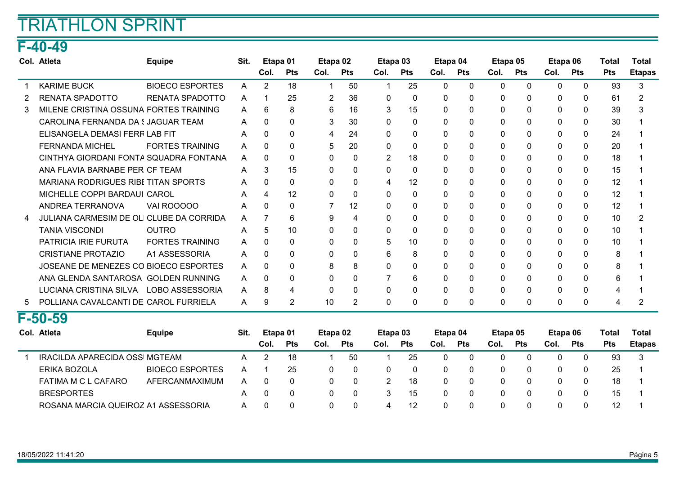### F-40-49

|   | Col. Atleta                                | <b>Equipe</b>          | Sit.         | Etapa 01       |            | Etapa 02 |                | Etapa 03       |            | Etapa 04     |              | Etapa 05     |          | Etapa 06     |              | Total      | Total         |
|---|--------------------------------------------|------------------------|--------------|----------------|------------|----------|----------------|----------------|------------|--------------|--------------|--------------|----------|--------------|--------------|------------|---------------|
|   |                                            |                        |              | Col.           | <b>Pts</b> | Col.     | <b>Pts</b>     | Col.           | <b>Pts</b> | Col.         | <b>Pts</b>   | Col.         | Pts      | Col.         | <b>Pts</b>   | <b>Pts</b> | <b>Etapas</b> |
|   | <b>KARIME BUCK</b>                         | <b>BIOECO ESPORTES</b> | A            | $\overline{2}$ | 18         | 1        | 50             | -1             | 25         | $\Omega$     | $\Omega$     | $\mathbf{0}$ | $\Omega$ | $\mathbf{0}$ | $\mathbf{0}$ | 93         | 3             |
|   | <b>RENATA SPADOTTO</b>                     | RENATA SPADOTTO        | A            |                | 25         | 2        | 36             | $\mathbf{0}$   | 0          | $\Omega$     | 0            | 0            | 0        | $\mathbf{0}$ | 0            | 61         | 2             |
|   | MILENE CRISTINA OSSUNA FORTES TRAINING     |                        | $\mathsf{A}$ | 6              | 8          | 6        | 16             | 3              | 15         | 0            | 0            | 0            | $\Omega$ | 0            | $\mathbf{0}$ | 39         |               |
|   | CAROLINA FERNANDA DA SJAGUAR TEAM          |                        | A            | $\Omega$       | 0          | 3        | 30             | $\Omega$       | 0          | 0            | $\Omega$     | 0            | $\Omega$ | 0            | 0            | 30         |               |
|   | ELISANGELA DEMASI FERR LAB FIT             |                        | A            | <sup>n</sup>   | $\Omega$   | 4        | 24             | 0              | 0          | 0            |              | $\Omega$     | $\Omega$ | 0            | $\mathbf{0}$ | 24         |               |
|   | <b>FERNANDA MICHEL</b>                     | <b>FORTES TRAINING</b> | A            | 0              | $\Omega$   | 5        | 20             | $\Omega$       | 0          | $\Omega$     |              | $\mathbf 0$  | $\Omega$ | $\Omega$     | $\mathbf{0}$ | 20         |               |
|   | CINTHYA GIORDANI FONTA SQUADRA FONTANA     |                        | A            | 0              | 0          | $\Omega$ | $\Omega$       | $\overline{2}$ | 18         | 0            |              | $\Omega$     | $\Omega$ | $\Omega$     | $\mathbf{0}$ | 18         |               |
|   | ANA FLAVIA BARNABE PER CF TEAM             |                        | A            |                | 15         | 0        | $\Omega$       | 0              | 0          | 0            |              | $\Omega$     | $\Omega$ | 0            | 0            | 15         |               |
|   | <b>MARIANA RODRIGUES RIBE TITAN SPORTS</b> |                        | A            | 0              | $\Omega$   | 0        | $\Omega$       | 4              | 12         | $\Omega$     |              | 0            | $\Omega$ | $\Omega$     | $\mathbf{0}$ | 12         |               |
|   | MICHELLE COPPI BARDAUI CAROL               |                        | A            | 4              | 12         | 0        | $\Omega$       | $\Omega$       | 0          | 0            |              | $\Omega$     | $\Omega$ | $\Omega$     | $\mathbf{0}$ | 12         |               |
|   | ANDREA TERRANOVA                           | VAI ROOOOO             | A            | $\Omega$       | 0          | 7        | 12             | $\mathbf 0$    | 0          | $\Omega$     | 0            | 0            | 0        | $\mathbf{0}$ | 0            | 12         |               |
|   | JULIANA CARMESIM DE OLI CLUBE DA CORRIDA   |                        | A            |                | 6          | 9        | 4              | $\Omega$       | 0          | <sup>0</sup> |              | $\mathbf{0}$ | $\Omega$ | $\Omega$     | 0            | 10         |               |
|   | <b>TANIA VISCONDI</b>                      | <b>OUTRO</b>           | A            | 5              | 10         | 0        | 0              | $\mathbf{0}$   | 0          | 0            |              | 0            | $\Omega$ | $\Omega$     | 0            | 10         |               |
|   | <b>PATRICIA IRIE FURUTA</b>                | <b>FORTES TRAINING</b> | A            | 0              | $\Omega$   | $\Omega$ | $\Omega$       | 5              | 10         | 0            |              | 0            | $\Omega$ | $\Omega$     | $\mathbf{0}$ | 10         |               |
|   | <b>CRISTIANE PROTAZIO</b>                  | A1 ASSESSORIA          | A            | $\Omega$       | 0          | 0        | 0              | 6              | 8          | 0            | $\Omega$     | 0            | 0        | 0            | 0            | 8          |               |
|   | JOSEANE DE MENEZES CO BIOECO ESPORTES      |                        | A            | <sup>n</sup>   | 0          | 8        | 8              | $\Omega$       | 0          | 0            |              | $\Omega$     | 0        | 0            | 0            | 8          |               |
|   | ANA GLENDA SANTAROSA GOLDEN RUNNING        |                        | A            | <sup>0</sup>   | 0          | $\Omega$ | 0              |                | 6          | $\Omega$     |              | 0            | $\Omega$ | $\Omega$     | 0            | 6          |               |
|   | LUCIANA CRISTINA SILVA                     | LOBO ASSESSORIA        | A            | 8              | 4          | $\Omega$ | $\Omega$       | $\Omega$       | 0          | $\Omega$     | <sup>0</sup> | $\Omega$     | $\Omega$ | $\Omega$     | $\mathbf{0}$ | 4          |               |
| 5 | POLLIANA CAVALCANTI DE CAROL FURRIELA      |                        | A            | 9              | 2          | 10       | $\overline{2}$ | $\mathbf 0$    | 0          | 0            |              | 0            | 0        | 0            | 0            | 4          |               |

#### F-50-59

| Col. Atleta                         | <b>Equipe</b>          | Sit. | Etapa 01 |            | Etapa 02 |            |          | Etapa 03   | Etapa 04 |            | Etapa 05 |            | Etapa 06 |            | Total      | Total         |
|-------------------------------------|------------------------|------|----------|------------|----------|------------|----------|------------|----------|------------|----------|------------|----------|------------|------------|---------------|
|                                     |                        |      | Col.     | <b>Pts</b> | Col.     | <b>Pts</b> | Col.     | <b>Pts</b> | Col.     | <b>Pts</b> | Col.     | <b>Pts</b> | Col.     | <b>Pts</b> | <b>Pts</b> | <b>Etapas</b> |
| IRACILDA APARECIDA OSSI MGTEAM      |                        | А    |          | 18         |          | 50         |          | 25         |          |            |          |            |          |            | 93         |               |
| ERIKA BOZOLA                        | <b>BIOECO ESPORTES</b> | A    |          | 25         |          | 0          | $\Omega$ |            |          |            |          | 0          |          |            | 25         |               |
| FATIMA M C L CAFARO                 | AFERCANMAXIMUM         | А    | 0        | 0          |          | 0          |          | 18         |          |            |          | $\Omega$   |          |            | 18         |               |
| <b>BRESPORTES</b>                   |                        | А    |          | 0          |          |            |          | 15         |          |            |          | $\Omega$   |          |            | 15         |               |
| ROSANA MARCIA QUEIROZ A1 ASSESSORIA |                        | А    |          | 0          |          | 0          | 4        | -12        |          |            |          | $\Omega$   |          |            |            |               |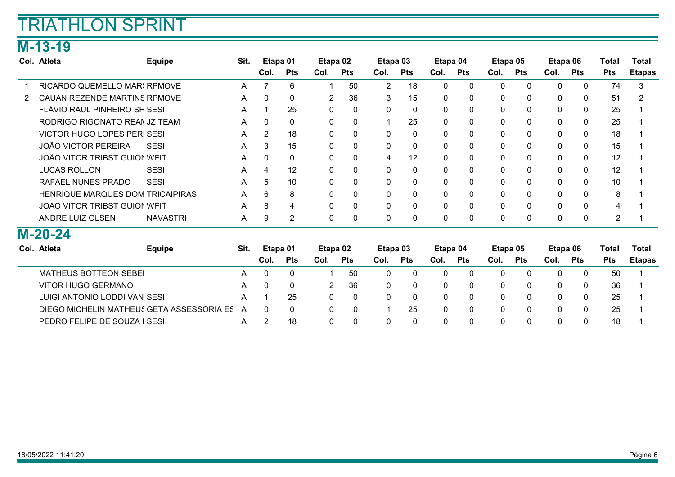### M-13-19

|   | Col. Atleta                         | <b>Equipe</b>   | Sit. | Etapa 01    |              | Etapa 02       |              | Etapa 03     |              | Etapa 04     |              | Etapa 05     |              | Etapa 06 |              | Total          | Total         |
|---|-------------------------------------|-----------------|------|-------------|--------------|----------------|--------------|--------------|--------------|--------------|--------------|--------------|--------------|----------|--------------|----------------|---------------|
|   |                                     |                 |      | Col.        | <b>Pts</b>   | Col.           | <b>Pts</b>   | Col.         | <b>Pts</b>   | Col.         | <b>Pts</b>   | Col.         | <b>Pts</b>   | Col.     | <b>Pts</b>   | <b>Pts</b>     | <b>Etapas</b> |
|   | RICARDO QUEMELLO MARI RPMOVE        |                 | A    |             | 6            | 1              | 50           | 2            | 18           | 0            | 0            | $\mathbf{0}$ | $\Omega$     | 0        | $\Omega$     | 74             | 3             |
| 2 | CAUAN REZENDE MARTINS RPMOVE        |                 | A    | $\mathbf 0$ | $\mathbf 0$  | $\overline{2}$ | 36           | 3            | 15           | 0            | 0            | 0            | $\mathbf 0$  | 0        | $\mathbf 0$  | 51             | 2             |
|   | FLÁVIO RAUL PINHEIRO SH SESI        |                 | A    |             | 25           | $\mathbf{0}$   | $\mathbf 0$  | $\mathbf{0}$ | $\mathbf{0}$ | $\mathbf{0}$ | 0            | 0            | $\mathbf{0}$ | 0        | $\mathbf{0}$ | 25             |               |
|   | RODRIGO RIGONATO REAM JZ TEAM       |                 | A    | 0           | $\mathbf 0$  | 0              | $\mathbf 0$  | 4            | 25           | $\mathbf{0}$ |              | $\mathbf{0}$ | 0            | 0        | $\mathbf 0$  | 25             |               |
|   | <b>VICTOR HUGO LOPES PERI SESI</b>  |                 | A    | 2           | 18           | 0              | 0            | 0            | $\mathbf 0$  | 0            | 0            | 0            | 0            | 0        | $\mathbf{0}$ | 18             |               |
|   | JOÃO VICTOR PEREIRA                 | <b>SESI</b>     | A    | 3           | 15           | 0              | $\mathbf{0}$ | $\Omega$     | $\mathbf{0}$ | 0            | $\Omega$     | $\mathbf{0}$ | $\Omega$     | 0        | $\Omega$     | 15             |               |
|   | JOÃO VITOR TRIBST GUIOI WFIT        |                 | A    | $\Omega$    | $\mathbf{0}$ | 0              | $\mathbf{0}$ | 4            | 12           | $\Omega$     |              | $\mathbf{0}$ | $\mathbf{0}$ | 0        | $\mathbf{0}$ | 12             |               |
|   | <b>LUCAS ROLLON</b>                 | <b>SESI</b>     | A    | 4           | 12           | $\mathbf{0}$   | $\mathbf{0}$ | $\mathbf{0}$ | $\mathbf{0}$ | $\mathbf{0}$ | $\Omega$     | $\mathbf{0}$ | $\mathbf{0}$ | 0        | $\mathbf{0}$ | 12             |               |
|   | RAFAEL NUNES PRADO                  | <b>SESI</b>     | A    | 5           | 10           | 0              | $\mathbf 0$  | $\mathbf{0}$ | 0            | 0            | 0            | 0            | $\mathbf 0$  | 0        | 0            | 10             |               |
|   | HENRIQUE MARQUES DOM TRICAIPIRAS    |                 | A    | 6           | 8            | $\mathbf{0}$   | $\mathbf{0}$ | $\mathbf{0}$ | $\mathbf{0}$ | $\mathbf{0}$ | 0            | $\Omega$     | $\mathbf{0}$ | 0        | $\mathbf{0}$ | 8              |               |
|   | <b>JOAO VITOR TRIBST GUION WEIT</b> |                 | A    | 8           | 4            | 0              | $\mathbf{0}$ | $\Omega$     | 0            | $\Omega$     | $\Omega$     | $\mathbf{0}$ | $\mathbf{0}$ | 0        | $\mathbf 0$  | 4              |               |
|   | ANDRE LUIZ OLSEN                    | <b>NAVASTRI</b> | A    | 9           | 2            | 0              | $\mathbf{0}$ | $\mathbf{0}$ | $\mathbf 0$  | 0            | $\mathbf{0}$ | 0            | $\mathbf 0$  | 0        | $\mathbf 0$  | $\overline{2}$ |               |
|   | M-20-24                             |                 |      |             |              |                |              |              |              |              |              |              |              |          |              |                |               |
|   | Col. Atleta                         | <b>Equipe</b>   | Sit. | Etapa 01    |              | Etapa 02       |              | Etapa 03     |              | Etapa 04     |              | Etapa 05     |              | Etapa 06 |              | Total          | Total         |

| -----------<br>$-9 - P$                   | ---- | ------   |            | ------ |            | ------ |              | -------  |            | -------  |            | ------- |            | .          | .             |
|-------------------------------------------|------|----------|------------|--------|------------|--------|--------------|----------|------------|----------|------------|---------|------------|------------|---------------|
|                                           |      | Col.     | <b>Pts</b> | Col.   | <b>Pts</b> | Col.   | <b>Pts</b>   | Col.     | <b>Pts</b> | Col.     | <b>Pts</b> | Col.    | <b>Pts</b> | <b>Pts</b> | <b>Etapas</b> |
| MATHEUS BOTTEON SEBEI                     |      | $\Omega$ |            |        | 50         |        | 0            |          |            |          |            |         |            | 50         |               |
| VITOR HUGO GERMANO                        |      | 0        |            |        | -36        |        | $\mathbf{0}$ |          |            | $\Omega$ |            |         |            | 36         |               |
| LUIGI ANTONIO LODDI VAN SESI              |      |          | 25         |        |            |        | $\Omega$     |          | -0         | 0        |            |         |            | 25         |               |
| DIEGO MICHELIN MATHEUS GETA ASSESSORIA ES | A    | $\Omega$ | $\Omega$   | 0      |            |        | 25           | $\Omega$ | - 0        | $\Omega$ | $\Omega$   |         |            | 25         |               |
| PEDRO FELIPE DE SOUZA I SESI              | A    |          | 18         |        |            |        | $\Omega$     |          | -0         |          |            |         |            | 18         |               |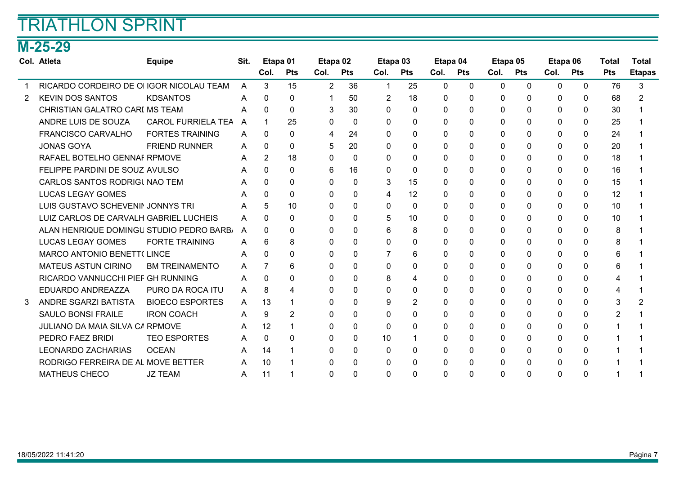## M-25-29

|   | Col. Atleta                              | <b>Equipe</b>             | Sit. | Etapa 01       |              | Etapa 02 |            | Etapa 03     |                | Etapa 04     |              |          | Etapa 05     | Etapa 06     |              | Total      | <b>Total</b>  |
|---|------------------------------------------|---------------------------|------|----------------|--------------|----------|------------|--------------|----------------|--------------|--------------|----------|--------------|--------------|--------------|------------|---------------|
|   |                                          |                           |      | Col.           | <b>Pts</b>   | Col.     | <b>Pts</b> | Col.         | <b>Pts</b>     | Col.         | Pts          | Col.     | Pts          | Col.         | <b>Pts</b>   | <b>Pts</b> | <b>Etapas</b> |
|   | RICARDO CORDEIRO DE OI IGOR NICOLAU TEAM |                           | A    | 3              | 15           | 2        | 36         | 1            | 25             | $\Omega$     | $\mathbf{0}$ | 0        | $\mathbf{0}$ | $\mathbf{0}$ | $\mathbf{0}$ | 76         | 3             |
| 2 | <b>KEVIN DOS SANTOS</b>                  | <b>KDSANTOS</b>           | A    | 0              | 0            |          | 50         | 2            | 18             | 0            | 0            | 0        | 0            | 0            | 0            | 68         |               |
|   | CHRISTIAN GALATRO CARI MS TEAM           |                           | А    | 0              | $\mathbf{0}$ | 3        | 30         | 0            | 0              | $\Omega$     | $\Omega$     | 0        | 0            | $\Omega$     | $\Omega$     | 30         |               |
|   | ANDRE LUIS DE SOUZA                      | <b>CAROL FURRIELA TEA</b> | A    |                | 25           | 0        | $\Omega$   | $\Omega$     | 0              | 0            | 0            | 0        | 0            | 0            | $\mathbf{0}$ | 25         |               |
|   | <b>FRANCISCO CARVALHO</b>                | <b>FORTES TRAINING</b>    | A    | 0              | $\Omega$     | 4        | 24         | $\mathbf 0$  | 0              | 0            | 0            | 0        | $\Omega$     | $\mathbf{0}$ | $\mathbf{0}$ | 24         |               |
|   | <b>JONAS GOYA</b>                        | <b>FRIEND RUNNER</b>      | A    | 0              | 0            | 5        | 20         | $\mathbf{0}$ | $\mathbf{0}$   | 0            | 0            | 0        | $\Omega$     | $\Omega$     | $\Omega$     | 20         |               |
|   | RAFAEL BOTELHO GENNAF RPMOVE             |                           | A    | $\overline{2}$ | 18           | 0        | $\Omega$   | $\mathbf{0}$ | 0              | $\Omega$     | $\Omega$     | 0        | $\Omega$     | 0            | $\mathbf{0}$ | 18         |               |
|   | FELIPPE PARDINI DE SOUZ AVULSO           |                           | A    | O.             | 0            | 6        | 16         | $\mathbf 0$  | $\mathbf{0}$   | 0            | 0            | 0        | 0            | 0            | $\mathbf{0}$ | 16         |               |
|   | CARLOS SANTOS RODRIGI NAO TEM            |                           | A    | 0              | 0            | 0        | $\Omega$   | 3            | 15             | 0            | 0            | 0        | 0            | 0            | $\mathbf{0}$ | 15         |               |
|   | <b>LUCAS LEGAY GOMES</b>                 |                           | A    | 0              | 0            | 0        | 0          | 4            | 12             | 0            | 0            | $\Omega$ | $\Omega$     | 0            | $\Omega$     | 12         |               |
|   | LUIS GUSTAVO SCHEVENIN JONNYS TRI        |                           | A    | 5              | 10           | 0        | 0          | 0            | 0              | 0            | 0            | 0        | 0            | 0            | $\mathbf{0}$ | 10         |               |
|   | LUIZ CARLOS DE CARVALH GABRIEL LUCHEIS   |                           | A    | $\Omega$       | 0            | 0        | 0          | 5            | 10             | $\Omega$     | 0            | 0        | $\Omega$     | $\mathbf{0}$ | $\mathbf{0}$ | 10         |               |
|   | ALAN HENRIQUE DOMINGU STUDIO PEDRO BARB/ |                           | A    | 0              | $\Omega$     | 0        | $\Omega$   | 6            | 8              | 0            | 0            | 0        | 0            | 0            | $\Omega$     | 8          |               |
|   | <b>LUCAS LEGAY GOMES</b>                 | <b>FORTE TRAINING</b>     | A    | 6              | 8            | 0        | 0          | 0            | $\mathbf{0}$   | 0            | 0            | 0        | 0            | 0            | $\mathbf{0}$ | 8          |               |
|   | <b>MARCO ANTONIO BENETT(LINCE</b>        |                           | A    | 0              | 0            | 0        | $\Omega$   | 7            | 6              | 0            | 0            | 0        | $\Omega$     | $\mathbf{0}$ | 0            | 6          |               |
|   | <b>MATEUS ASTUN CIRINO</b>               | <b>BM TREINAMENTO</b>     | A    |                | 6            | 0        | $\Omega$   | $\mathbf{0}$ | 0              | 0            | 0            | 0        | 0            | 0            | $\mathbf{0}$ | 6          |               |
|   | RICARDO VANNUCCHI PIEF GH RUNNING        |                           | A    | 0              | 0            | 0        | 0          | 8            | 4              | 0            | 0            | 0        | 0            | 0            | $\Omega$     | 4          |               |
|   | EDUARDO ANDREAZZA                        | PURO DA ROCA ITU          | A    | 8              | 4            | $\Omega$ | $\Omega$   | $\mathbf 0$  | 0              | $\Omega$     | 0            | 0        | 0            | $\mathbf{0}$ | 0            | 4          |               |
|   | ANDRE SGARZI BATISTA                     | <b>BIOECO ESPORTES</b>    | A    | 13             |              | 0        | $\Omega$   | 9            | $\overline{2}$ | 0            | 0            | 0        | $\Omega$     | 0            | $\Omega$     | 3          |               |
|   | <b>SAULO BONSI FRAILE</b>                | <b>IRON COACH</b>         | A    | 9              | 2            | 0        | $\Omega$   | 0            | 0              | 0            | 0            | 0        | $\Omega$     | 0            | $\mathbf{0}$ | 2          |               |
|   | JULIANO DA MAIA SILVA CA RPMOVE          |                           | A    | 12             |              | $\Omega$ | $\Omega$   | $\mathbf 0$  | 0              | 0            | 0            | 0        | 0            | $\mathbf{0}$ | $\Omega$     |            |               |
|   | PEDRO FAEZ BRIDI                         | <b>TEO ESPORTES</b>       | A    | $\Omega$       | 0            | 0        | $\Omega$   | 10           |                | 0            | 0            | 0        | $\Omega$     | 0            | $\Omega$     |            |               |
|   | <b>LEONARDO ZACHARIAS</b>                | <b>OCEAN</b>              | A    | 14             |              | 0        | $\Omega$   | 0            | 0              | <sup>0</sup> | 0            | $\Omega$ | $\Omega$     | 0            | $\Omega$     |            |               |
|   | RODRIGO FERREIRA DE AL MOVE BETTER       |                           | A    | 10             |              | 0        | 0          | 0            | 0              | 0            | 0            | 0        | 0            | 0            | 0            |            |               |
|   | <b>MATHEUS CHECO</b>                     | <b>JZ TEAM</b>            | A    | 11             |              | $\Omega$ | $\Omega$   | $\Omega$     | $\Omega$       | $\Omega$     | 0            | 0        | $\Omega$     | $\Omega$     | 0            |            |               |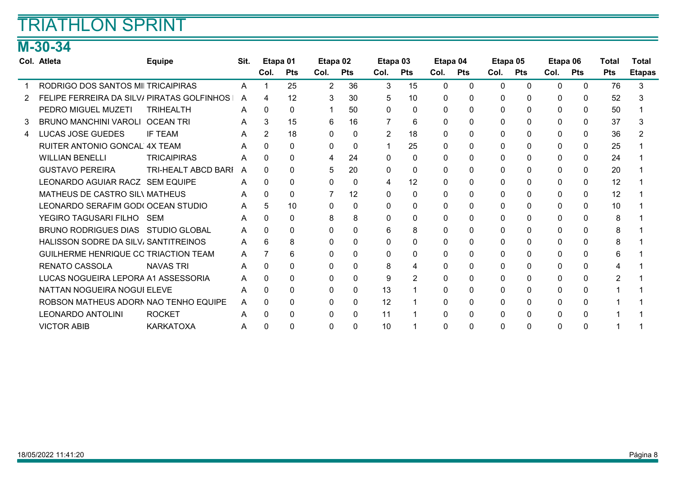### M-30-34

|   | Col. Atleta                                | <b>Equipe</b>       | Sit. | Etapa 01     |              | Etapa 02       |              | Etapa 03     |              | Etapa 04 |            | Etapa 05     |              | Etapa 06     |              | Total      | <b>Total</b>  |
|---|--------------------------------------------|---------------------|------|--------------|--------------|----------------|--------------|--------------|--------------|----------|------------|--------------|--------------|--------------|--------------|------------|---------------|
|   |                                            |                     |      | Col.         | <b>Pts</b>   | Col.           | <b>Pts</b>   | Col.         | <b>Pts</b>   | Col.     | <b>Pts</b> | Col.         | <b>Pts</b>   | Col.         | <b>Pts</b>   | <b>Pts</b> | <b>Etapas</b> |
|   | RODRIGO DOS SANTOS MILTRICAIPIRAS          |                     | A    |              | 25           | $\overline{2}$ | 36           | 3            | 15           | $\Omega$ | 0          | $\Omega$     | 0            | 0            | $\mathbf{0}$ | 76         | 3             |
|   | FELIPE FERREIRA DA SILV/ PIRATAS GOLFINHOS |                     | A    |              | 12           | 3              | 30           | 5            | 10           | 0        | 0          | 0            | 0            | 0            | 0            | 52         |               |
|   | PEDRO MIGUEL MUZETI                        | <b>TRIHEALTH</b>    | A    | 0            | $\mathbf{0}$ | 1              | 50           | $\Omega$     | 0            | 0        |            | $\mathbf{0}$ | $\mathbf 0$  | 0            | $\mathbf{0}$ | 50         |               |
| 3 | <b>BRUNO MANCHINI VAROLI</b>               | <b>OCEAN TRI</b>    | A    | 3            | 15           | 6              | 16           |              | 6            | $\Omega$ |            | $\Omega$     | $\Omega$     | 0            | $\Omega$     | 37         |               |
| 4 | LUCAS JOSE GUEDES                          | <b>IF TEAM</b>      | A    | 2            | 18           | $\Omega$       | $\Omega$     | 2            | 18           | $\Omega$ |            | $\Omega$     | $\Omega$     | 0            | $\Omega$     | 36         |               |
|   | <b>RUITER ANTONIO GONCAL 4X TEAM</b>       |                     | A    | $\Omega$     | 0            | 0              | 0            |              | 25           | 0        |            | 0            | 0            | 0            | 0            | 25         |               |
|   | <b>WILLIAN BENELLI</b>                     | <b>TRICAIPIRAS</b>  | A    | 0            | $\mathbf{0}$ | 4              | 24           | $\mathbf{0}$ | $\mathbf{0}$ | $\Omega$ |            | 0            | 0            | 0            | $\mathbf{0}$ | 24         |               |
|   | <b>GUSTAVO PEREIRA</b>                     | TRI-HEALT ABCD BARI | A    | <sup>n</sup> | $\Omega$     | 5              | 20           | $\Omega$     | 0            | 0        |            | $\Omega$     | 0            | 0            | $\Omega$     | 20         |               |
|   | LEONARDO AGUIAR RACZ SEM EQUIPE            |                     | A    | 0            | 0            | 0              | $\Omega$     | 4            | 12           | 0        |            | $\Omega$     | $\Omega$     | $\Omega$     | $\Omega$     | 12         |               |
|   | <b>MATHEUS DE CASTRO SIL\ MATHEUS</b>      |                     | A    |              | $\Omega$     | 7              | 12           | 0            | 0            | 0        |            | $\Omega$     | 0            | $\Omega$     | $\mathbf{0}$ | 12         |               |
|   | LEONARDO SERAFIM GODI OCEAN STUDIO         |                     | A    | 5            | 10           | $\mathbf{0}$   | $\mathbf{0}$ | $\Omega$     | 0            | 0        |            | 0            | $\Omega$     | 0            | $\mathbf{0}$ | 10         |               |
|   | YEGIRO TAGUSARI FILHO                      | SEM                 | A    | 0            | $\Omega$     | 8              | 8            | 0            | 0            | 0        |            | 0            | $\Omega$     | 0            | $\mathbf{0}$ | 8          |               |
|   | BRUNO RODRIGUES DIAS STUDIO GLOBAL         |                     | A    | <sup>n</sup> | $\Omega$     | 0              | 0            | 6            | 8            | 0        |            | 0            | $\Omega$     | 0            | 0            | 8          |               |
|   | HALISSON SODRE DA SILV, SANTITREINOS       |                     | A    | 6            | 8            | $\Omega$       | $\Omega$     | $\Omega$     | 0            | 0        |            | $\Omega$     | 0            | $\Omega$     | $\Omega$     | 8          |               |
|   | GUILHERME HENRIQUE CO TRIACTION TEAM       |                     | A    |              | 6            | 0              | 0            | $\mathbf{0}$ | 0            | 0        | 0          | 0            | 0            | 0            | 0            | 6          |               |
|   | <b>RENATO CASSOLA</b>                      | <b>NAVAS TRI</b>    | A    | <sup>n</sup> | $\Omega$     | 0              | $\Omega$     | 8            | 4            | $\Omega$ |            | $\Omega$     | $\Omega$     | 0            | $\Omega$     |            |               |
|   | LUCAS NOGUEIRA LEPORA A1 ASSESSORIA        |                     | A    | <sup>n</sup> | $\Omega$     | $\Omega$       | $\Omega$     | 9            | 2            | 0        |            | $\Omega$     | $\Omega$     | $\Omega$     | 0            |            |               |
|   | NATTAN NOGUEIRA NOGUI ELEVE                |                     | A    |              | 0            | 0              | $\Omega$     | 13           |              | 0        |            | 0            | 0            | $\mathbf{0}$ | 0            |            |               |
|   | ROBSON MATHEUS ADORN NAO TENHO EQUIPE      |                     | A    | 0            | 0            | 0              | 0            | 12           |              | 0        |            | 0            | 0            | 0            | 0            |            |               |
|   | <b>LEONARDO ANTOLINI</b>                   | <b>ROCKET</b>       | A    | 0            | $\Omega$     | $\Omega$       | $\Omega$     | 11           |              | 0        |            | $\mathbf{0}$ | $\mathbf{0}$ | $\Omega$     | $\Omega$     |            |               |
|   | <b>VICTOR ABIB</b>                         | KARKATOXA           | A    | <sup>0</sup> | 0            | 0              | $\Omega$     | 10           |              | 0        | 0          | $\Omega$     | $\Omega$     | 0            | $\Omega$     |            |               |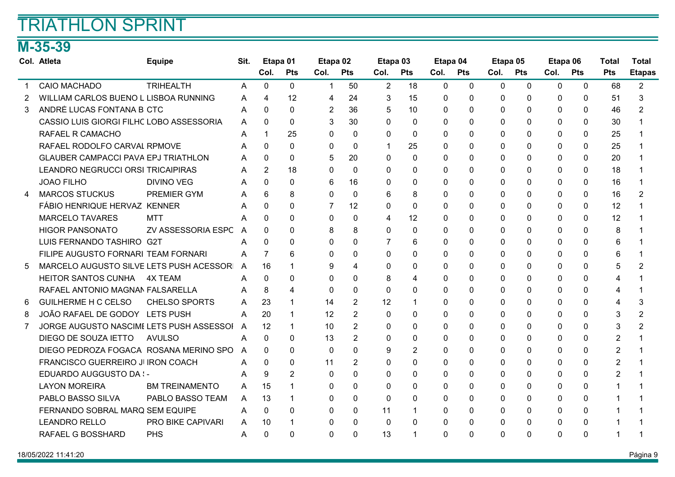### M-35-39

|   | Col. Atleta                                | <b>Equipe</b>         | Sit.           | Etapa 01       |                | Etapa 02       |                | Etapa 03       |                | Etapa 04     |              | Etapa 05    |              | Etapa 06     |              | <b>Total</b>   | <b>Total</b>  |
|---|--------------------------------------------|-----------------------|----------------|----------------|----------------|----------------|----------------|----------------|----------------|--------------|--------------|-------------|--------------|--------------|--------------|----------------|---------------|
|   |                                            |                       |                | Col.           | <b>Pts</b>     | Col.           | <b>Pts</b>     | Col.           | <b>Pts</b>     | Col.         | <b>Pts</b>   | Col.        | <b>Pts</b>   | Col.         | <b>Pts</b>   | <b>Pts</b>     | <b>Etapas</b> |
|   | <b>CAIO MACHADO</b>                        | <b>TRIHEALTH</b>      | A              | $\Omega$       | 0              | 1              | 50             | $\overline{2}$ | 18             | 0            | $\mathbf{0}$ | $\mathbf 0$ | $\mathbf{0}$ | $\mathbf{0}$ | $\mathbf{0}$ | 68             | 2             |
| 2 | WILLIAM CARLOS BUENO L LISBOA RUNNING      |                       | A              | 4              | 12             | 4              | 24             | 3              | 15             | $\Omega$     | $\mathbf{0}$ | 0           | $\Omega$     | 0            | 0            | 51             | 3             |
| 3 | ANDRÉ LUCAS FONTANA B CTC                  |                       | Α              | 0              | $\Omega$       | $\overline{2}$ | 36             | 5              | 10             | $\Omega$     | $\Omega$     | $\Omega$    | $\Omega$     | $\Omega$     | 0            | 46             | 2             |
|   | CASSIO LUIS GIORGI FILHC LOBO ASSESSORIA   |                       | A              | 0              | $\Omega$       | 3              | 30             | $\Omega$       | 0              | $\Omega$     | $\Omega$     | $\Omega$    | $\Omega$     | $\Omega$     | 0            | 30             |               |
|   | <b>RAFAEL R CAMACHO</b>                    |                       | A              |                | 25             | 0              | $\Omega$       | $\Omega$       | $\mathbf{0}$   | $\Omega$     | 0            | $\Omega$    | $\Omega$     | 0            | 0            | 25             |               |
|   | RAFAEL RODOLFO CARVAL RPMOVE               |                       | A              | 0              | $\Omega$       | $\Omega$       | $\Omega$       | $\mathbf{1}$   | 25             | 0            | $\Omega$     | $\Omega$    | $\Omega$     | $\Omega$     | 0            | 25             |               |
|   | <b>GLAUBER CAMPACCI PAVA EPJ TRIATHLON</b> |                       | A              | $\Omega$       | 0              | 5              | 20             | $\Omega$       | $\mathbf{0}$   | 0            | 0            | 0           | $\Omega$     | 0            | 0            | 20             |               |
|   | LEANDRO NEGRUCCI ORSI TRICAIPIRAS          |                       | A              | $\overline{2}$ | 18             | $\Omega$       | $\Omega$       | $\Omega$       | 0              | $\Omega$     | $\Omega$     | 0           | $\Omega$     | 0            | 0            | 18             |               |
|   | <b>JOAO FILHO</b>                          | <b>DIVINO VEG</b>     | A              | $\Omega$       | 0              | 6              | 16             | 0              | 0              | 0            | 0            | 0           | $\mathbf{0}$ | $\Omega$     | 0            | 16             |               |
| 4 | <b>MARCOS STUCKUS</b>                      | <b>PREMIER GYM</b>    | A              | 6              | 8              | $\Omega$       | $\Omega$       | 6              | 8              | $\Omega$     | $\Omega$     | 0           | $\Omega$     | $\Omega$     | 0            | 16             | 2             |
|   | FÁBIO HENRIQUE HERVAZ KENNER               |                       | A              | 0              | 0              | 7              | 12             | $\Omega$       | 0              | $\Omega$     | $\Omega$     | $\Omega$    | $\Omega$     | 0            | 0            | 12             |               |
|   | <b>MARCELO TAVARES</b>                     | MTT                   | A              | 0              | 0              | $\Omega$       | $\Omega$       | 4              | 12             | 0            | 0            | 0           | $\Omega$     | $\Omega$     | 0            | 12             |               |
|   | <b>HIGOR PANSONATO</b>                     | ZV ASSESSORIA ESPC    | A              | 0              | 0              | 8              | 8              | 0              | 0              | $\mathbf{0}$ | 0            | 0           | $\mathbf 0$  | 0            | 0            | 8              |               |
|   | LUIS FERNANDO TASHIRO G2T                  |                       | А              | $\Omega$       | 0              | 0              | $\Omega$       | 7              | 6              | $\Omega$     | $\Omega$     | 0           | $\Omega$     | 0            | 0            | 6              |               |
|   | FILIPE AUGUSTO FORNARI TEAM FORNARI        |                       | A              | 7              | 6              | $\Omega$       | $\Omega$       | $\Omega$       | $\mathbf{0}$   | $\Omega$     | 0            | 0           | $\Omega$     | $\Omega$     | 0            | 6              |               |
| 5 | MARCELO AUGUSTO SILVE LETS PUSH ACESSOR    |                       | $\overline{A}$ | 16             | 1              | 9              | 4              | 0              | 0              | 0            | 0            | 0           | $\mathbf 0$  | 0            | 0            | 5              |               |
|   | <b>HEITOR SANTOS CUNHA</b>                 | 4X TEAM               |                | $\Omega$       | 0              | $\Omega$       | 0              | 8              | 4              | $\Omega$     | 0            | $\Omega$    | $\Omega$     | 0            | $\Omega$     | 4              |               |
|   | RAFAEL ANTONIO MAGNAN FALSARELLA           |                       | A              | 8              | 4              | $\Omega$       | $\Omega$       | $\Omega$       | 0              | $\Omega$     | 0            | 0           | $\Omega$     | 0            | 0            | 4              |               |
| 6 | <b>GUILHERME H C CELSO</b>                 | <b>CHELSO SPORTS</b>  | A              | 23             |                | 14             | $\overline{2}$ | 12             |                | 0            | 0            | 0           | $\Omega$     | 0            | 0            | 4              | 3             |
| 8 | JOÃO RAFAEL DE GODOY LETS PUSH             |                       | A              | 20             | 1              | 12             | $\overline{2}$ | $\Omega$       | 0              | $\Omega$     | $\Omega$     | $\Omega$    | $\Omega$     | 0            | 0            | 3              | 2             |
|   | JORGE AUGUSTO NASCIMI LETS PUSH ASSESSOI   |                       | A              | 12             | $\mathbf 1$    | 10             | 2              | $\Omega$       | $\mathbf{0}$   | $\Omega$     | $\Omega$     | 0           | $\Omega$     | $\Omega$     | 0            | 3              | 2             |
|   | DIEGO DE SOUZA IETTO                       | <b>AVULSO</b>         | A              | 0              | $\Omega$       | 13             | $\overline{2}$ | $\mathbf{0}$   | 0              | 0            | 0            | 0           | $\mathbf{0}$ | 0            | 0            | 2              |               |
|   | DIEGO PEDROZA FOGACA ROSANA MERINO SPO     |                       | A              | $\Omega$       | $\Omega$       | $\mathbf{0}$   | $\Omega$       | 9              | $\overline{2}$ | $\Omega$     | 0            | 0           | $\Omega$     | 0            | 0            | $\overline{2}$ |               |
|   | FRANCISCO GUERREIRO JI IRON COACH          |                       | A              | 0              | 0              | 11             | 2              | $\Omega$       | $\mathbf{0}$   | $\Omega$     | $\Omega$     | $\Omega$    | $\Omega$     | $\Omega$     | 0            | $\overline{2}$ |               |
|   | EDUARDO AUGGUSTO DA :-                     |                       | A              | 9              | $\overline{2}$ | $\mathbf{0}$   | $\Omega$       | $\mathbf{0}$   | 0              | 0            | 0            | 0           | $\Omega$     | 0            | $\Omega$     | 2              |               |
|   | <b>LAYON MOREIRA</b>                       | <b>BM TREINAMENTO</b> | A              | 15             | $\mathbf 1$    | 0              | 0              | 0              | $\mathbf{0}$   | 0            | 0            | 0           | $\Omega$     | 0            | 0            | 1              |               |
|   | PABLO BASSO SILVA                          | PABLO BASSO TEAM      | A              | 13             | 1              | $\Omega$       | 0              | $\Omega$       | $\Omega$       | $\Omega$     | $\Omega$     | 0           | $\Omega$     | $\Omega$     | 0            | 1              |               |
|   | FERNANDO SOBRAL MARQ SEM EQUIPE            |                       | A              | $\Omega$       | $\Omega$       | $\Omega$       | $\Omega$       | 11             | 1              | 0            | $\Omega$     | $\Omega$    | $\Omega$     | 0            | 0            |                |               |
|   | <b>LEANDRO RELLO</b>                       | PRO BIKE CAPIVARI     | A              | 10             | 1              | 0              | 0              | $\Omega$       | 0              | 0            | 0            | 0           | $\mathbf 0$  | 0            | 0            |                |               |
|   | RAFAEL G BOSSHARD                          | <b>PHS</b>            | A              | 0              | 0              | $\Omega$       | $\Omega$       | 13             | 1              | $\Omega$     | $\Omega$     | $\Omega$    | $\Omega$     | $\Omega$     | $\Omega$     | 1              |               |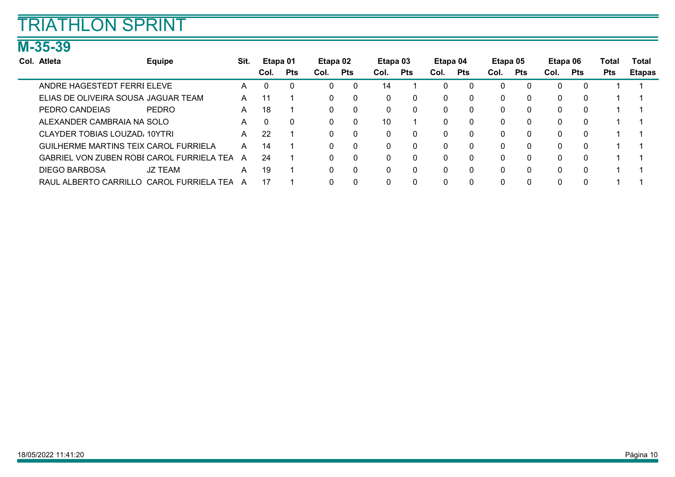### M-35-39

÷

| Col. Atleta                                  | <b>Equipe</b>  | Sit. | Etapa 01 |            | Etapa 02 |            | Etapa 03 |            | Etapa 04 |            | Etapa 05 |              | Etapa 06 |            | Total      | Total         |
|----------------------------------------------|----------------|------|----------|------------|----------|------------|----------|------------|----------|------------|----------|--------------|----------|------------|------------|---------------|
|                                              |                |      | Col.     | <b>Pts</b> | Col.     | <b>Pts</b> | Col.     | <b>Pts</b> | Col.     | <b>Pts</b> | Col.     | <b>Pts</b>   | Col.     | <b>Pts</b> | <b>Pts</b> | <b>Etapas</b> |
| ANDRE HAGESTEDT FERRI ELEVE                  |                | A    | 0        | 0          |          | 0          | 14       |            | 0        | 0          |          | 0            |          |            |            |               |
| ELIAS DE OLIVEIRA SOUSA JAGUAR TEAM          |                | A    | 11       |            |          | 0          | 0        | 0          | $\Omega$ | 0          | 0        | $\mathbf{0}$ |          |            |            |               |
| PEDRO CANDEIAS                               | PEDRO          | A    | 18       |            |          | $\Omega$   | 0        | $\Omega$   | 0        | $\Omega$   | 0        | $\Omega$     |          |            |            |               |
| ALEXANDER CAMBRAIA NA SOLO                   |                | A    | 0        | $\Omega$   |          | 0          | 10       |            | $\Omega$ | $\Omega$   | $\Omega$ | $\Omega$     |          |            |            |               |
| CLAYDER TOBIAS LOUZAD, 10YTRI                |                | A    | 22       |            |          | 0          | 0        | 0          | $\Omega$ | 0          | 0        | 0            |          |            |            |               |
| <b>GUILHERME MARTINS TEIX CAROL FURRIELA</b> |                | A    | 14       |            |          | 0          | 0        | $\Omega$   | $\Omega$ | $\Omega$   | 0        | $\Omega$     |          |            |            |               |
| GABRIEL VON ZUBEN ROBI CAROL FURRIELA TEA    |                | A    | 24       |            |          | 0          | 0        | $\Omega$   | $\Omega$ | 0          | $\Omega$ | $\Omega$     |          |            |            |               |
| <b>DIEGO BARBOSA</b>                         | <b>JZ TEAM</b> | А    | 19       |            |          | 0          | 0        |            | $\Omega$ | 0          | 0        | $\Omega$     |          |            |            |               |
| RAUL ALBERTO CARRILLO CAROL FURRIELA TEA     |                | A    | 17       |            |          |            |          |            | $\Omega$ | 0          |          |              |          |            |            |               |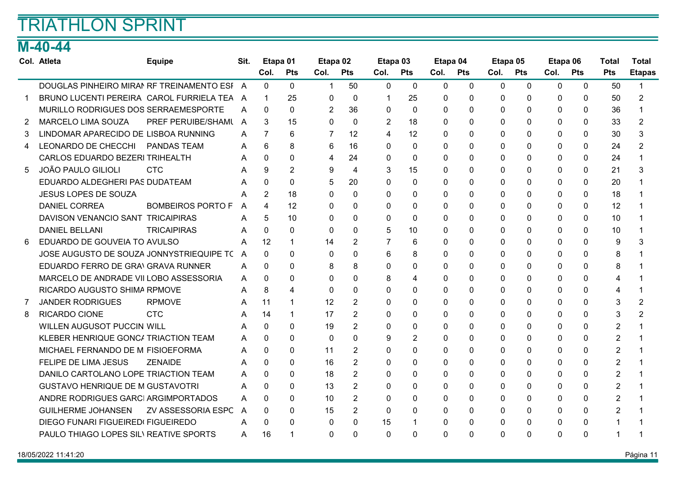### M-40-44

|   | Col. Atleta                                 | <b>Equipe</b>            | Sit. | Etapa 01       |                | Etapa 02     |                   | Etapa 03     |                | Etapa 04     |              | Etapa 05     |             | Etapa 06     |              | <b>Total</b>   | <b>Total</b>  |
|---|---------------------------------------------|--------------------------|------|----------------|----------------|--------------|-------------------|--------------|----------------|--------------|--------------|--------------|-------------|--------------|--------------|----------------|---------------|
|   |                                             |                          |      | Col.           | <b>Pts</b>     | Col.         | <b>Pts</b>        | Col.         | <b>Pts</b>     | Col.         | <b>Pts</b>   | Col.         | <b>Pts</b>  | Col.         | <b>Pts</b>   | <b>Pts</b>     | <b>Etapas</b> |
|   | DOUGLAS PINHEIRO MIRAN RF TREINAMENTO ESI A |                          |      | $\Omega$       | $\Omega$       | $\mathbf 1$  | 50                | $\mathbf{0}$ | $\mathbf{0}$   | $\mathbf{0}$ | $\mathbf{0}$ | $\mathbf{0}$ | $\mathbf 0$ | $\mathbf{0}$ | $\mathbf{0}$ | 50             |               |
|   | BRUNO LUCENTI PEREIRA CAROL FURRIELA TEA A  |                          |      | $\mathbf{1}$   | 25             | 0            | $\mathbf{0}$      | 1            | 25             | 0            | 0            | 0            | $\Omega$    | 0            | $\mathbf{0}$ | 50             | 2             |
|   | MURILLO RODRIGUES DOS SERRAEMESPORTE        |                          | A    | $\Omega$       | $\Omega$       | 2            | 36                | $\Omega$     | $\Omega$       | $\Omega$     | $\Omega$     | $\Omega$     | $\Omega$    | $\Omega$     | $\Omega$     | 36             |               |
| 2 | <b>MARCELO LIMA SOUZA</b>                   | PREF PERUIBE/SHAML A     |      | 3              | 15             | $\Omega$     | $\Omega$          | 2            | 18             | $\Omega$     | 0            | 0            | $\Omega$    | $\Omega$     | $\mathbf{0}$ | 33             | 2             |
| 3 | LINDOMAR APARECIDO DE LISBOA RUNNING        |                          | A    | $\overline{7}$ | 6              | 7            | $12 \overline{ }$ | 4            | 12             | $\Omega$     | 0            | $\Omega$     | $\Omega$    | $\Omega$     | $\mathbf{0}$ | 30             | 3             |
| 4 | LEONARDO DE CHECCHI PANDAS TEAM             |                          | A    | 6              | 8              | 6            | 16                | $\Omega$     | $\Omega$       | 0            | $\Omega$     | $\Omega$     | $\Omega$    | $\Omega$     | $\Omega$     | 24             | 2             |
|   | CARLOS EDUARDO BEZERI TRIHEALTH             |                          | A    | $\Omega$       | 0              | 4            | 24                | $\mathbf{0}$ | $\mathbf{0}$   | 0            | 0            | 0            | $\Omega$    | $\Omega$     | $\mathbf{0}$ | 24             |               |
| 5 | <b>JOÃO PAULO GILIOLI</b>                   | <b>CTC</b>               |      | 9              | $\overline{2}$ | 9            | 4                 | 3            | 15             | 0            | 0            | 0            | 0           | 0            | $\mathbf{0}$ | 21             | 3             |
|   | EDUARDO ALDEGHERI PAS DUDATEAM              |                          |      | 0              | $\Omega$       | 5            | 20                | $\Omega$     | $\Omega$       | $\Omega$     | $\Omega$     | $\Omega$     | $\Omega$    | $\Omega$     | $\Omega$     | 20             |               |
|   | <b>JESUS LOPES DE SOUZA</b>                 |                          | A    | $\overline{2}$ | 18             | $\mathbf{0}$ | $\Omega$          | $\mathbf{0}$ | $\mathbf{0}$   | 0            | 0            | 0            | $\Omega$    | $\Omega$     | $\mathbf{0}$ | 18             |               |
|   | <b>DANIEL CORREA</b>                        | <b>BOMBEIROS PORTO F</b> | A    | 4              | 12             | 0            | 0                 | $\Omega$     | $\mathbf{0}$   | $\Omega$     | 0            | 0            | $\Omega$    | $\Omega$     | 0            | 12             |               |
|   | DAVISON VENANCIO SANT TRICAIPIRAS           |                          | A    | 5              | 10             | $\Omega$     | 0                 | $\Omega$     | $\Omega$       | 0            | $\Omega$     | $\Omega$     | $\Omega$    | $\Omega$     | $\Omega$     | 10             |               |
|   | <b>DANIEL BELLANI</b>                       | <b>TRICAIPIRAS</b>       | A    | 0              | 0              | $\mathbf{0}$ | $\mathbf{0}$      | 5            | 10             | 0            | 0            | 0            | $\Omega$    | $\Omega$     | $\mathbf{0}$ | 10             |               |
| 6 | EDUARDO DE GOUVEIA TO AVULSO                |                          | A    | 12             | $\mathbf 1$    | 14           | $\overline{2}$    | 7            | 6              | $\Omega$     | 0            | 0            | $\Omega$    | 0            | $\mathbf{0}$ | 9              | 3             |
|   | JOSE AUGUSTO DE SOUZA JONNYSTRIEQUIPE TO    |                          | A    | 0              | $\Omega$       | $\Omega$     | $\Omega$          | 6            | 8              | 0            | $\Omega$     | $\Omega$     | $\Omega$    | $\Omega$     | $\Omega$     | 8              |               |
|   | EDUARDO FERRO DE GRANGRAVA RUNNER           |                          | A    | 0              | 0              | 8            | 8                 | $\Omega$     | 0              | 0            | 0            | 0            | $\Omega$    | $\Omega$     | $\mathbf{0}$ | 8              |               |
|   | MARCELO DE ANDRADE VII LOBO ASSESSORIA      |                          | A    | 0              | 0              | 0            | $\Omega$          | 8            | 4              | $\Omega$     | 0            | 0            | $\Omega$    | 0            | $\mathbf{0}$ | 4              |               |
|   | RICARDO AUGUSTO SHIMA RPMOVE                |                          | Α    | 8              | 4              | $\Omega$     | $\Omega$          | $\Omega$     | $\Omega$       | $\Omega$     | $\Omega$     | $\Omega$     | $\Omega$    | $\Omega$     | $\Omega$     | 4              |               |
|   | <b>JANDER RODRIGUES</b>                     | <b>RPMOVE</b>            | A    | 11             | 1              | 12           | 2                 | $\Omega$     | $\mathbf{0}$   | $\Omega$     | 0            | 0            | $\Omega$    | $\Omega$     | $\mathbf{0}$ | 3              | 2             |
| 8 | RICARDO CIONE                               | <b>CTC</b>               | A    | 14             | -1             | 17           | $\overline{2}$    | $\Omega$     | $\mathbf{0}$   | $\Omega$     | 0            | 0            | $\Omega$    | 0            | $\mathbf{0}$ | 3              | 2             |
|   | WILLEN AUGUSOT PUCCIN WILL                  |                          | A    | $\Omega$       | 0              | 19           | 2                 | $\Omega$     | $\Omega$       | $\Omega$     | $\Omega$     | $\Omega$     | $\Omega$    | $\Omega$     | $\Omega$     | 2              |               |
|   | KLEBER HENRIQUE GONC/ TRIACTION TEAM        |                          | A    | $\Omega$       | $\Omega$       | $\mathbf{0}$ | $\Omega$          | 9            | $\overline{2}$ | $\Omega$     | $\Omega$     | 0            | $\Omega$    | $\Omega$     | $\mathbf{0}$ | $\overline{2}$ |               |
|   | MICHAEL FERNANDO DE M FISIOEFORMA           |                          | A    | 0              | 0              | 11           | $\overline{2}$    | $\Omega$     | $\Omega$       | $\Omega$     | 0            | 0            | $\Omega$    | 0            | $\mathbf{0}$ | $\overline{2}$ |               |
|   | FELIPE DE LIMA JESUS                        | <b>ZENAIDE</b>           | A    | $\Omega$       | $\Omega$       | 16           | 2                 | $\Omega$     | $\mathbf{0}$   | $\mathbf{0}$ | 0            | 0            | $\Omega$    | $\Omega$     | $\mathbf{0}$ | $\overline{2}$ |               |
|   | DANILO CARTOLANO LOPE TRIACTION TEAM        |                          | A    | 0              | 0              | 18           | $\overline{2}$    | $\mathbf{0}$ | $\mathbf{0}$   | 0            | 0            | 0            | $\Omega$    | $\Omega$     | $\mathbf{0}$ | 2              |               |
|   | <b>GUSTAVO HENRIQUE DE M GUSTAVOTRI</b>     |                          | A    | 0              | 0              | 13           | 2                 | $\Omega$     | $\mathbf{0}$   | $\Omega$     | 0            | 0            | $\Omega$    | $\Omega$     | $\mathbf{0}$ | $\overline{2}$ |               |
|   | ANDRE RODRIGUES GARCI ARGIMPORTADOS         |                          | A    | 0              | $\Omega$       | 10           | 2                 | $\Omega$     | $\mathbf{0}$   | $\Omega$     | 0            | 0            | $\Omega$    | $\Omega$     | $\mathbf{0}$ | $\overline{2}$ |               |
|   | <b>GUILHERME JOHANSEN</b>                   | ZV ASSESSORIA ESPC       | A    | 0              | $\Omega$       | 15           | 2                 | $\Omega$     | $\mathbf{0}$   | $\Omega$     | $\Omega$     | 0            | $\Omega$    | $\Omega$     | $\mathbf{0}$ | 2              |               |
|   | DIEGO FUNARI FIGUEIRED FIGUEIREDO           |                          | A    | 0              | 0              | 0            | $\Omega$          | 15           | 1              | $\Omega$     | 0            | 0            | $\Omega$    | $\Omega$     | $\Omega$     |                |               |
|   | PAULO THIAGO LOPES SIL\ REATIVE SPORTS      |                          | A    | 16             |                | $\Omega$     | $\Omega$          | $\Omega$     | $\mathbf{0}$   | $\Omega$     | 0            | 0            | $\Omega$    | $\Omega$     | 0            |                |               |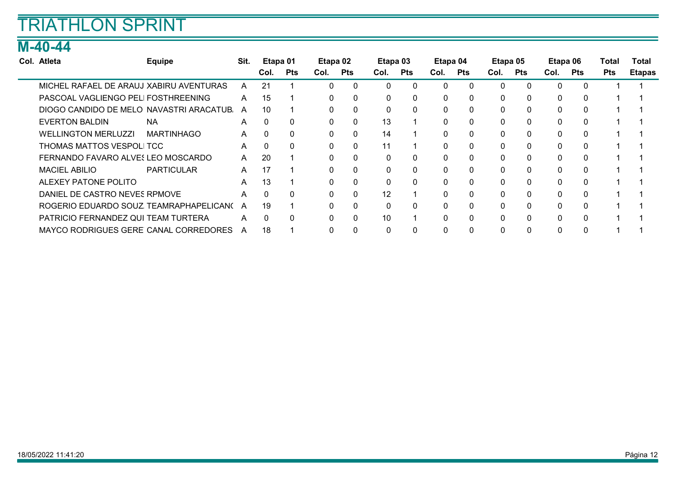### M-40-44

| Col. Atleta                              | <b>Equipe</b>     | Sit.         | Etapa 01 |            | Etapa 02     |              | Etapa 03 |              | Etapa 04 |          | Etapa 05     |              | Etapa 06 |              | Total      | Total         |
|------------------------------------------|-------------------|--------------|----------|------------|--------------|--------------|----------|--------------|----------|----------|--------------|--------------|----------|--------------|------------|---------------|
|                                          |                   |              | Col.     | <b>Pts</b> | Col.         | <b>Pts</b>   | Col.     | <b>Pts</b>   | Col.     | Pts      | Col.         | <b>Pts</b>   | Col.     | <b>Pts</b>   | <b>Pts</b> | <b>Etapas</b> |
| MICHEL RAFAEL DE ARAUJ XABIRU AVENTURAS  |                   | A            | 21       |            | 0            | $\mathbf{0}$ | 0        | $\mathbf 0$  | $\Omega$ |          | $\mathbf{0}$ | $\Omega$     | $\Omega$ | $\mathbf{0}$ |            |               |
| PASCOAL VAGLIENGO PELI FOSTHREENING      |                   | A            | 15       |            | $\mathbf{0}$ | $\mathbf{0}$ | 0        | $\mathbf{0}$ | 0        | $\Omega$ | $\mathbf{0}$ | $\Omega$     | 0        | 0            |            |               |
| DIOGO CANDIDO DE MELO NAVASTRI ARACATUB. |                   | A            | 10       |            | 0            | $\mathbf{0}$ | 0        | $\mathbf{0}$ | 0        | $\Omega$ | $\mathbf{0}$ | $\Omega$     | 0        | $\mathbf{0}$ |            |               |
| <b>EVERTON BALDIN</b>                    | <b>NA</b>         | A            | $\Omega$ | $\Omega$   | 0            | $\mathbf{0}$ | 13       |              | $\Omega$ | $\Omega$ | $\mathbf{0}$ | $\Omega$     | 0        | 0            |            |               |
| <b>WELLINGTON MERLUZZI</b>               | <b>MARTINHAGO</b> | A            | $\Omega$ | $\Omega$   | 0            | $\mathbf{0}$ | 14       |              | 0        | $\Omega$ | $\mathbf{0}$ | $\Omega$     | 0        | 0            |            |               |
| THOMAS MATTOS VESPOLI TCC                |                   | A            | $\Omega$ | $\Omega$   | 0            | $\mathbf{0}$ | 11       |              | $\Omega$ | $\Omega$ | $\mathbf{0}$ | $\Omega$     | 0        | 0            |            |               |
| FERNANDO FAVARO ALVES LEO MOSCARDO       |                   | $\mathsf{A}$ | 20       |            | 0            | $\mathbf{0}$ | 0        | $\mathbf{0}$ | $\Omega$ | $\Omega$ | $\mathbf{0}$ | $\Omega$     | $\Omega$ | 0            |            |               |
| <b>MACIEL ABILIO</b>                     | <b>PARTICULAR</b> | A            | 17       |            | $\mathbf{0}$ | $\mathbf{0}$ | 0        | $\mathbf{0}$ | 0        | $\Omega$ | $\mathbf{0}$ | 0            | 0        | 0            |            |               |
| ALEXEY PATONE POLITO                     |                   | A            | 13       |            | 0            | $\mathbf{0}$ | 0        | $\mathbf{0}$ | 0        | $\Omega$ | $\mathbf{0}$ | $\Omega$     | 0        | $\mathbf{0}$ |            |               |
| DANIEL DE CASTRO NEVES RPMOVE            |                   | A            | $\Omega$ | $\Omega$   | 0            | $\mathbf{0}$ | 12       |              | $\Omega$ | $\Omega$ | $\mathbf{0}$ | $\mathbf{0}$ | 0        | 0            |            |               |
| ROGERIO EDUARDO SOUZ TEAMRAPHAPELICANO   |                   | A            | 19       |            | 0            | $\mathbf{0}$ | $\Omega$ | $\mathbf{0}$ | 0        | $\Omega$ | $\mathbf{0}$ | $\Omega$     | $\Omega$ | $\mathbf{0}$ |            |               |
| PATRICIO FERNANDEZ QUI TEAM TURTERA      |                   | A            | $\Omega$ | 0          | 0            | $\mathbf{0}$ | 10       |              | $\Omega$ | $\Omega$ | 0            | $\Omega$     | 0        | 0            |            |               |
| MAYCO RODRIGUES GERE CANAL CORREDORES    |                   | A            | 18       |            | 0            | 0            | 0        | $\mathbf 0$  |          |          | $\mathbf{0}$ | $\Omega$     |          | 0            |            |               |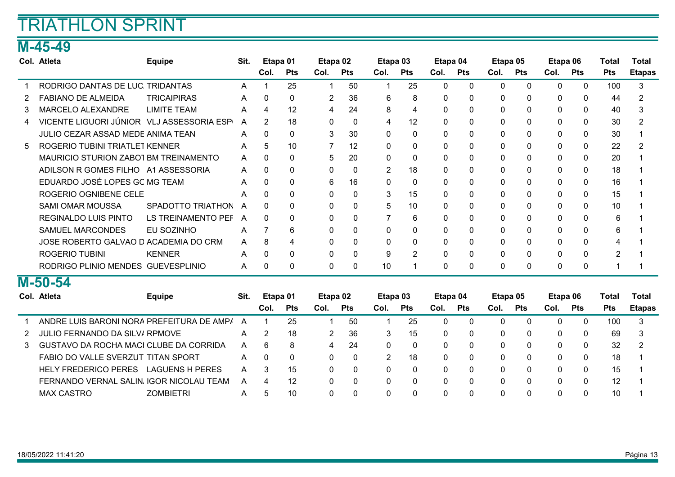### M-45-49

|    | Col. Atleta                                   | <b>Equipe</b>          | Sit. | Etapa 01       |            | Etapa 02    |            | Etapa 03             |              | Etapa 04     |              | Etapa 05     |              | Etapa 06     |              | Total          | <b>Total</b>  |
|----|-----------------------------------------------|------------------------|------|----------------|------------|-------------|------------|----------------------|--------------|--------------|--------------|--------------|--------------|--------------|--------------|----------------|---------------|
|    |                                               |                        |      | Col.           | <b>Pts</b> | Col.        | <b>Pts</b> | Col.                 | <b>Pts</b>   | Col.         | <b>Pts</b>   | Col.         | <b>Pts</b>   | Col.         | <b>Pts</b>   | <b>Pts</b>     | <b>Etapas</b> |
|    | RODRIGO DANTAS DE LUC. TRIDANTAS              |                        | A    |                | 25         | 1           | 50         | -1                   | 25           | $\mathbf 0$  | $\mathbf{0}$ | $\mathbf{0}$ | $\mathbf{0}$ | $\Omega$     | $\mathbf 0$  | 100            | 3             |
|    | <b>FABIANO DE ALMEIDA</b>                     | <b>TRICAIPIRAS</b>     | A    | $\Omega$       | $\Omega$   | 2           | 36         | 6                    | 8            | $\Omega$     | $\Omega$     | $\Omega$     | $\Omega$     | $\Omega$     | $\Omega$     | 44             | 2             |
| 3  | <b>MARCELO ALEXANDRE</b>                      | <b>LIMITE TEAM</b>     | A    | 4              | 12         | 4           | 24         | 8                    | 4            | $\Omega$     | 0            | $\Omega$     | $\Omega$     | $\Omega$     | $\Omega$     | 40             | 3             |
| 4  | VICENTE LIGUORI JÚNIOR VLJ ASSESSORIA ESP     |                        | A    | $\overline{2}$ | 18         | 0           | $\Omega$   | 4                    | 12           | 0            | 0            | 0            | $\Omega$     | $\Omega$     | $\mathbf{0}$ | 30             | 2             |
|    | JULIO CEZAR ASSAD MEDE ANIMA TEAN             |                        | A    | 0              | $\Omega$   | 3           | 30         | $\mathbf{0}$         | $\mathbf 0$  | $\mathbf{0}$ | 0            | 0            | $\mathbf 0$  | $\Omega$     | $\mathbf{0}$ | 30             |               |
| 5. | <b>ROGERIO TUBINI TRIATLET KENNER</b>         |                        | A    | 5              | 10         | 7           | 12         | 0                    | 0            | $\mathbf{0}$ | 0            | 0            | 0            | 0            | 0            | 22             |               |
|    | MAURICIO STURION ZABO1 BM TREINAMENTO         |                        | A    | 0              | $\Omega$   | 5           | 20         | $\Omega$             | $\mathbf{0}$ | $\Omega$     | 0            | 0            | $\Omega$     | $\Omega$     | $\mathbf{0}$ | 20             |               |
|    | ADILSON R GOMES FILHO A1 ASSESSORIA           |                        | A    | 0              | 0          | $\Omega$    | $\Omega$   | 2                    | 18           | $\Omega$     | 0            | $\Omega$     | $\Omega$     | $\Omega$     | $\mathbf{0}$ | 18             |               |
|    | EDUARDO JOSÉ LOPES GC MG TEAM                 |                        | A    | $\Omega$       | 0          | 6           | 16         | $\mathbf{0}$         | $\mathbf{0}$ | 0            | 0            | 0            | $\Omega$     | $\Omega$     | $\mathbf{0}$ | 16             |               |
|    | ROGERIO OGNIBENE CELE                         |                        | А    | 0              | 0          | 0           | $\Omega$   | 3                    | 15           | $\mathbf{0}$ | 0            | 0            | $\mathbf 0$  | $\Omega$     | $\mathbf{0}$ | 15             |               |
|    | <b>SAMI OMAR MOUSSA</b>                       | SPADOTTO TRIATHON      | A    | 0              | 0          | $\Omega$    | 0          | 5                    | 10           | 0            | 0            | 0            | $\Omega$     | $\Omega$     | 0            | 10             |               |
|    | <b>REGINALDO LUIS PINTO</b>                   | LS TREINAMENTO PEF     | A    | $\Omega$       | $\Omega$   | $\Omega$    | $\Omega$   |                      | 6            | $\Omega$     | 0            | $\Omega$     | $\Omega$     | $\Omega$     | $\Omega$     | 6              |               |
|    | <b>SAMUEL MARCONDES</b>                       | EU SOZINHO             | A    |                | 6          | $\Omega$    | $\Omega$   | $\Omega$             | $\Omega$     | $\Omega$     | 0            | $\Omega$     | $\Omega$     | $\Omega$     | $\Omega$     | 6              |               |
|    | JOSE ROBERTO GALVAO D ACADEMIA DO CRM         |                        | A    | 8              | 4          | $\Omega$    | $\Omega$   | $\Omega$             | 0            | $\Omega$     | 0            | $\Omega$     | 0            | $\Omega$     | $\Omega$     | 4              |               |
|    | <b>ROGERIO TUBINI</b>                         | <b>KENNER</b>          | A    | 0              | 0          | 0           | 0          | 9                    | 2            | $\mathbf{0}$ | 0            | 0            | $\mathbf 0$  | $\mathbf{0}$ | $\mathbf{0}$ | $\overline{2}$ |               |
|    | RODRIGO PLINIO MENDES GUEVESPLINIO            |                        | A    | 0              | 0          | 0           | 0          | 10                   | 1            | 0            | 0            | 0            | 0            | 0            | 0            |                |               |
|    | M-50-54                                       |                        |      |                |            |             |            |                      |              |              |              |              |              |              |              |                |               |
|    | Col. Atleta                                   | <b>Equipe</b>          | Sit. | Etapa 01       |            | Etapa 02    |            |                      | Etapa 03     | Etapa 04     |              | Etapa 05     |              | Etapa 06     |              | <b>Total</b>   | <b>Total</b>  |
|    |                                               |                        |      | Col.           | <b>Pts</b> | Col.        | <b>Pts</b> | Col.                 | <b>Pts</b>   | Col.         | <b>Pts</b>   | Col.         | <b>Pts</b>   | Col.         | <b>Pts</b>   | <b>Pts</b>     | <b>Etapas</b> |
|    | ANDRE LUIS BARONI NORA PREFEITURA DE AMPA     |                        | A    | 1              | 25         | $\mathbf 1$ | 50         | $\blacktriangleleft$ | 25           | $\mathbf{0}$ | 0            | $\mathbf{0}$ | $\mathbf 0$  | $\Omega$     | $\mathbf{0}$ | 100            | 3             |
|    | <b>JULIO FERNANDO DA SILV/ RPMOVE</b>         |                        | A    | 2              | 18         | 2           | 36         | 3                    | 15           | $\mathbf{0}$ | 0            | 0            | $\Omega$     | $\Omega$     | $\mathbf{0}$ | 69             | 3             |
| 3  | <b>GUSTAVO DA ROCHA MACI CLUBE DA CORRIDA</b> |                        | A    | 6              | 8          | 4           | 24         | $\Omega$             | $\mathbf{0}$ | $\Omega$     | 0            | $\Omega$     | $\Omega$     | $\Omega$     | $\Omega$     | 32             | 2             |
|    | FABIO DO VALLE SVERZUT TITAN SPORT            |                        | A    | $\Omega$       | 0          | 0           | $\Omega$   | 2                    | 18           | $\Omega$     | 0            | 0            | $\Omega$     | $\Omega$     | $\Omega$     | 18             |               |
|    | <b>HELY FREDERICO PERES</b>                   | <b>LAGUENS H PERES</b> | A    | 3              | 15         | $\Omega$    | $\Omega$   | $\Omega$             | $\Omega$     | 0            | O            | $\Omega$     | 0            | $\Omega$     | 0            | 15             |               |

FERNANDO VERNAL SALIN. IGOR NICOLAU TEAM A 4 12 0 0 0 0 0 0 0 0 0 0 0 0 12 1 MAX CASTRO ZOMBIETRI 5 10 0 0 0 0 0 0 0 0 0 0 10 1 A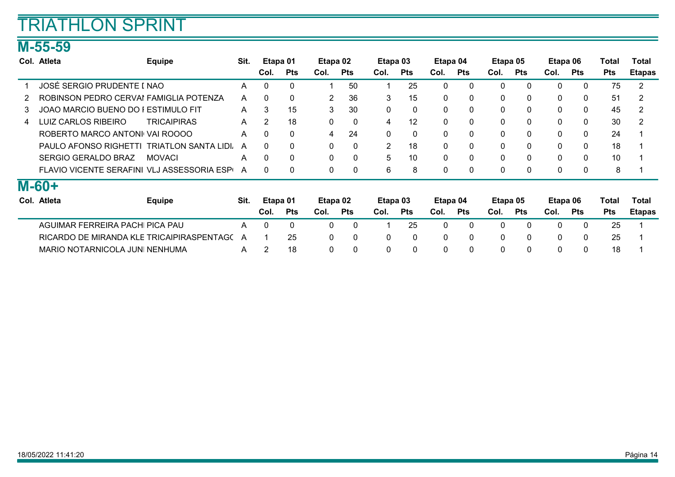### M-55-59

|    | Col. Atleta                                | <b>Equipe</b>               | Sit. | Etapa 01       |              | Etapa 02     |              | Etapa 03       |              | Etapa 04     |              | Etapa 05     |              | Etapa 06     |              | Total      | Total         |
|----|--------------------------------------------|-----------------------------|------|----------------|--------------|--------------|--------------|----------------|--------------|--------------|--------------|--------------|--------------|--------------|--------------|------------|---------------|
|    |                                            |                             |      | Col.           | <b>Pts</b>   | Col.         | <b>Pts</b>   | Col.           | <b>Pts</b>   | Col.         | <b>Pts</b>   | Col.         | <b>Pts</b>   | Col.         | Pts          | <b>Pts</b> | <b>Etapas</b> |
|    | JOSÉ SERGIO PRUDENTE I NAO                 |                             | A    | $\mathbf{0}$   | $\mathbf{0}$ |              | 50           |                | 25           | $\Omega$     | $\Omega$     | 0            | $\mathbf{0}$ | 0            | 0            | 75         | 2             |
|    | ROBINSON PEDRO CERVAI FAMIGLIA POTENZA     |                             | A    | $\Omega$       | $\mathbf{0}$ | 2            | 36           | 3              | 15           | $\mathbf{0}$ | $\mathbf{0}$ | 0            | $\mathbf{0}$ | 0            | 0            | 51         | 2             |
| 3. | JOAO MARCIO BUENO DO I ESTIMULO FIT        |                             | A    | 3              | 15           | 3            | 30           | 0              | $\mathbf{0}$ | $\Omega$     | $\Omega$     | $\mathbf{0}$ | $\Omega$     | 0            | $\mathbf 0$  | 45         | 2             |
| 4  | LUIZ CARLOS RIBEIRO                        | <b>TRICAIPIRAS</b>          | A    | 2              | 18           | 0            | 0            | 4              | 12           | 0            | $\Omega$     | 0            | 0            | 0            | $\mathbf 0$  | 30         | 2             |
|    | ROBERTO MARCO ANTONI VAI ROOOO             |                             | A    | $\mathbf{0}$   | $\mathbf{0}$ | 4            | 24           | 0              | $\mathbf{0}$ | $\mathbf{0}$ | $\Omega$     | 0            | $\mathbf{0}$ | 0            | 0            | 24         |               |
|    | PAULO AFONSO RIGHETTI                      | <b>TRIATLON SANTA LIDI.</b> | A    | $\Omega$       | $\mathbf{0}$ | $\mathbf{0}$ | 0            | $\overline{2}$ | 18           | $\Omega$     | $\Omega$     | 0            | $\mathbf{0}$ | 0            | $\mathbf{0}$ | 18         |               |
|    | <b>SERGIO GERALDO BRAZ</b>                 | <b>MOVACI</b>               | A    | 0              | $\mathbf{0}$ | $\mathbf{0}$ | $\mathbf{0}$ | 5              | 10           | $\Omega$     | $\Omega$     | $\mathbf{0}$ | $\Omega$     | $\mathbf{0}$ | $\mathbf{0}$ | 10         |               |
|    | FLAVIO VICENTE SERAFINI VLJ ASSESSORIA ESP |                             | A    | 0              | $\mathbf{0}$ | 0            | 0            | 6              | 8            | $\Omega$     | $\Omega$     | 0            | 0            | 0            | $\mathbf 0$  | 8          |               |
|    | <b>M-60+</b>                               |                             |      |                |              |              |              |                |              |              |              |              |              |              |              |            |               |
|    | Col. Atleta                                | <b>Equipe</b>               | Sit. | Etapa 01       |              | Etapa 02     |              | Etapa 03       |              | Etapa 04     |              | Etapa 05     |              | Etapa 06     |              | Total      | Total         |
|    |                                            |                             |      | Col.           | <b>Pts</b>   | Col.         | <b>Pts</b>   | Col.           | <b>Pts</b>   | Col.         | <b>Pts</b>   | Col.         | <b>Pts</b>   | Col.         | Pts          | <b>Pts</b> | <b>Etapas</b> |
|    | AGUIMAR FERREIRA PACHI PICA PAU            |                             | A    | $\Omega$       | $\Omega$     | $\Omega$     | $\mathbf{0}$ |                | 25           | $\Omega$     | $\Omega$     | 0            | $\Omega$     | $\Omega$     | $\mathbf{0}$ | 25         |               |
|    | RICARDO DE MIRANDA KLE TRICAIPIRASPENTAGO  |                             | A    |                | 25           | $\mathbf{0}$ | 0            | 0              | $\mathbf{0}$ | $\Omega$     | $\Omega$     | 0            | $\mathbf{0}$ | $\Omega$     | 0            | 25         |               |
|    | MARIO NOTARNICOLA JUNI NENHUMA             |                             | A    | $\overline{2}$ | 18           | 0            | 0            | 0              | $\mathbf{0}$ | $\Omega$     |              | 0            | 0            | 0            | 0            | 18         |               |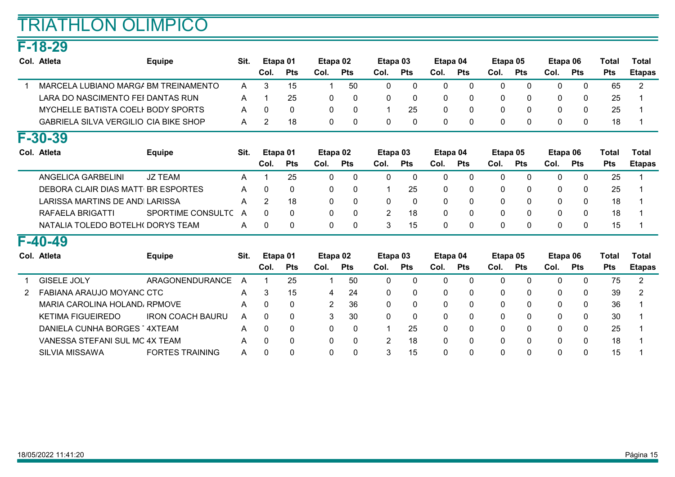### F-18-29

| Col. Atleta                                  | <b>Equipe</b>     | Sit. | Etapa 01     |              | Etapa 02     |             | Etapa 03       |              | Etapa 04     |              | Etapa 05     |              | Etapa 06     |              | Total      | Total          |
|----------------------------------------------|-------------------|------|--------------|--------------|--------------|-------------|----------------|--------------|--------------|--------------|--------------|--------------|--------------|--------------|------------|----------------|
|                                              |                   |      | Col.         | <b>Pts</b>   | Col.         | <b>Pts</b>  | Col.           | <b>Pts</b>   | Col.         | <b>Pts</b>   | Col.         | <b>Pts</b>   | Col.         | <b>Pts</b>   | <b>Pts</b> | <b>Etapas</b>  |
| MARCELA LUBIANO MARGA BM TREINAMENTO         |                   | A    | 3            | 15           |              | 50          | 0              | $\mathbf{0}$ | 0            | 0            | $\mathbf{0}$ | $\mathbf{0}$ | $\Omega$     | 0            | 65         | $\overline{2}$ |
| LARA DO NASCIMENTO FEI DANTAS RUN            |                   | A    |              | 25           | $\mathbf{0}$ | 0           | 0              | 0            | 0            | $\Omega$     | $\mathbf{0}$ | $\mathbf{0}$ | $\mathbf{0}$ | $\mathbf{0}$ | 25         |                |
| MYCHELLE BATISTA COELI BODY SPORTS           |                   | A    | 0            | 0            | $\mathbf{0}$ | 0           |                | 25           | 0            | $\Omega$     | $\mathbf{0}$ | $\mathbf{0}$ | $\mathbf{0}$ | $\mathbf{0}$ | 25         |                |
| <b>GABRIELA SILVA VERGILIO CIA BIKE SHOP</b> |                   | A    | 2            | 18           | 0            | 0           | 0              | 0            | $\mathbf 0$  | $\mathbf{0}$ | 0            | $\mathbf{0}$ | $\mathbf{0}$ | 0            | 18         |                |
| $F-30-39$                                    |                   |      |              |              |              |             |                |              |              |              |              |              |              |              |            |                |
| Col. Atleta                                  | <b>Equipe</b>     | Sit. | Etapa 01     |              | Etapa 02     |             | Etapa 03       |              | Etapa 04     |              | Etapa 05     |              | Etapa 06     |              | Total      | Total          |
|                                              |                   |      | Col.         | <b>Pts</b>   | Col.         | <b>Pts</b>  | Col.           | Pts          | Col.         | <b>Pts</b>   | Col.         | <b>Pts</b>   | Col.         | <b>Pts</b>   | <b>Pts</b> | <b>Etapas</b>  |
| <b>ANGELICA GARBELINI</b>                    | <b>JZ TEAM</b>    | A    |              | 25           | $\mathbf{0}$ | $\mathbf 0$ | 0              | $\Omega$     | $\mathbf{0}$ | $\Omega$     | $\mathbf{0}$ | $\Omega$     | $\Omega$     | 0            | 25         |                |
| DEBORA CLAIR DIAS MATT BR ESPORTES           |                   | A    | $\mathbf{0}$ | 0            | 0            | 0           |                | 25           | 0            | 0            | 0            | $\mathbf{0}$ | $\mathbf{0}$ | 0            | 25         |                |
| LARISSA MARTINS DE ANDI LARISSA              |                   | A    | 2            | 18           | $\mathbf{0}$ | $\mathbf 0$ | 0              | 0            | $\mathbf{0}$ | $\Omega$     | $\mathbf{0}$ | $\mathbf{0}$ | $\Omega$     | $\Omega$     | 18         |                |
| RAFAELA BRIGATTI                             | SPORTIME CONSULTC | A    | $\Omega$     | $\mathbf{0}$ | $\mathbf 0$  | 0           | $\overline{2}$ | 18           | 0            | 0            | 0            | $\mathbf{0}$ | $\mathbf{0}$ | 0            | 18         |                |
| NATALIA TOLEDO BOTELHO DORYS TEAM            |                   | A    | $\Omega$     | $\mathbf{0}$ | 0            | 0           | 3              | 15           | 0            | $\Omega$     | $\mathbf{0}$ | $\mathbf{0}$ | $\mathbf{0}$ | $\Omega$     | 15         |                |

#### F-40-49

| Col. Atleta                    | <b>Equipe</b>           | Sit. | Etapa 01 |            | Etapa 02 |            | Etapa 03 |            | Etapa 04 |            | Etapa 05 |            | Etapa 06 |            | Total           | Total         |
|--------------------------------|-------------------------|------|----------|------------|----------|------------|----------|------------|----------|------------|----------|------------|----------|------------|-----------------|---------------|
|                                |                         |      | Col.     | <b>Pts</b> | Col.     | <b>Pts</b> | Col.     | <b>Pts</b> | Col.     | <b>Pts</b> | Col.     | <b>Pts</b> | Col.     | <b>Pts</b> | <b>Pts</b>      | <b>Etapas</b> |
| <b>GISELE JOLY</b>             | ARAGONENDURANCE         | A    |          | 25         |          | 50         |          | 0          | 0        |            |          | 0          |          |            | 75              |               |
| FABIANA ARAUJO MOYANC CTC      |                         | A    | 3        | 15         | 4        | 24         | 0        | 0          | 0        | 0          | 0        | 0          |          | 0          | 39              |               |
| MARIA CAROLINA HOLAND, RPMOVE  |                         | A    |          |            | 2        | -36        | 0        | 0          | 0        | 0          | 0        | 0          |          | 0          | 36              |               |
| <b>KETIMA FIGUEIREDO</b>       | <b>IRON COACH BAURU</b> | A    |          |            | 3        | -30        |          | 0          | 0        | 0          | 0        | 0          |          |            | 30              |               |
| DANIELA CUNHA BORGES 4XTEAM    |                         | A    |          |            | 0.       | 0          |          | 25         | 0        | 0          | $\Omega$ | $\Omega$   |          |            | 25              |               |
| VANESSA STEFANI SUL MC 4X TEAM |                         | A    |          |            | 0        |            |          | 18         | 0        | 0          |          | $\Omega$   |          |            | 18              |               |
| <b>SILVIA MISSAWA</b>          | <b>FORTES TRAINING</b>  | A    |          |            |          |            |          | 15         | 0        |            |          | $\Omega$   |          |            | 15 <sup>1</sup> |               |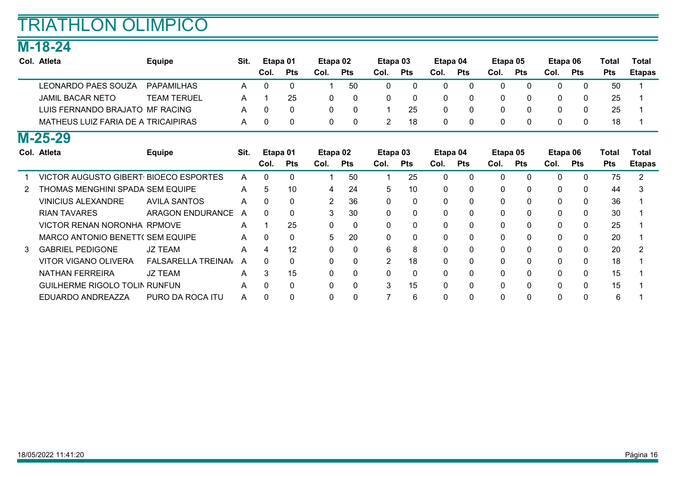### M-18-24

| Col. Atleta                           | <b>Equipe</b>           | Sit.         |              | Etapa 01     | Etapa 02 |              | Etapa 03       |              | Etapa 04     |            | Etapa 05     |              | Etapa 06     |              | Total      | Total         |
|---------------------------------------|-------------------------|--------------|--------------|--------------|----------|--------------|----------------|--------------|--------------|------------|--------------|--------------|--------------|--------------|------------|---------------|
|                                       |                         |              | Col.         | <b>Pts</b>   | Col.     | <b>Pts</b>   | Col.           | <b>Pts</b>   | Col.         | <b>Pts</b> | Col.         | <b>Pts</b>   | Col.         | <b>Pts</b>   | <b>Pts</b> | <b>Etapas</b> |
| <b>LEONARDO PAES SOUZA</b>            | <b>PAPAMILHAS</b>       | A            | $\mathbf{0}$ | $\mathbf{0}$ | 1        | 50           | 0              | $\mathbf 0$  | $\Omega$     | $\Omega$   | $\mathbf{0}$ | $\mathbf{0}$ | $\mathbf{0}$ | $\mathbf 0$  | 50         |               |
| <b>JAMIL BACAR NETO</b>               | <b>TEAM TERUEL</b>      | A            |              | 25           | 0        | 0            | 0              | 0            | $\Omega$     | 0          | 0            | $\mathbf{0}$ | 0            | 0            | 25         |               |
| LUIS FERNANDO BRAJATO MF RACING       |                         | A            | <sup>0</sup> | 0            | 0        | $\Omega$     |                | 25           | $\Omega$     |            | $\mathbf{0}$ | $\Omega$     | 0            | $\mathbf{0}$ | 25         |               |
| MATHEUS LUIZ FARIA DE A TRICAIPIRAS   |                         | A            | 0            | 0            | 0        | $\mathbf{0}$ | $\overline{2}$ | 18           | 0            | 0          | 0            | 0            | 0            | 0            | 18         |               |
| $M-25-29$                             |                         |              |              |              |          |              |                |              |              |            |              |              |              |              |            |               |
| Col. Atleta                           | <b>Equipe</b>           | Sit.         |              | Etapa 01     | Etapa 02 |              | Etapa 03       |              | Etapa 04     |            | Etapa 05     |              | Etapa 06     |              | Total      | Total         |
|                                       |                         |              | Col.         | <b>Pts</b>   | Col.     | <b>Pts</b>   | Col.           | <b>Pts</b>   | Col.         | <b>Pts</b> | Col.         | Pts          | Col.         | <b>Pts</b>   | <b>Pts</b> | <b>Etapas</b> |
| VICTOR AUGUSTO GIBERT BIOECO ESPORTES |                         | A            | $\Omega$     | $\Omega$     | 1        | 50           |                | 25           | $\Omega$     | $\Omega$   | $\mathbf{0}$ | $\Omega$     | $\mathbf{0}$ | $\mathbf{0}$ | 75         | 2             |
| THOMAS MENGHINI SPADA SEM EQUIPE      |                         | A            | 5            | 10           | 4        | 24           | 5              | 10           | $\mathbf{0}$ | 0          | $\mathbf{0}$ | $\Omega$     | 0            | $\mathbf{0}$ | 44         | 3             |
| <b>VINICIUS ALEXANDRE</b>             | <b>AVILA SANTOS</b>     | A            |              | $\mathbf{0}$ | 2        | 36           | $\Omega$       | 0            | $\Omega$     |            | $\mathbf{0}$ | $\Omega$     | 0            | $\mathbf{0}$ | 36         |               |
| <b>RIAN TAVARES</b>                   | <b>ARAGON ENDURANCE</b> | A            | $\Omega$     | 0            | 3        | 30           | $\mathbf{0}$   | $\mathbf{0}$ | $\Omega$     | 0          | $\mathbf{0}$ | $\Omega$     | 0            | $\mathbf{0}$ | 30         |               |
| VICTOR RENAN NORONHA RPMOVE           |                         | $\mathsf{A}$ |              | 25           | 0        | 0            | 0              | 0            | $\mathbf{0}$ | 0          | 0            | $\Omega$     | 0            | 0            | 25         |               |
| MARCO ANTONIO BENETT( SEM EQUIPE      |                         | A            | 0            | 0            | 5        | 20           | $\Omega$       | $\mathbf{0}$ | $\mathbf{0}$ |            | $\mathbf{0}$ | $\Omega$     | 0            | $\mathbf{0}$ | 20         |               |
| <b>GABRIEL PEDIGONE</b>               | <b>JZ TEAM</b>          | A            | 4            | 12           | 0        | $\mathbf{0}$ | 6              | 8            | $\mathbf{0}$ | 0          | $\mathbf{0}$ | $\mathbf{0}$ | 0            | $\mathbf{0}$ | 20         |               |
| VITOR VIGANO OLIVERA                  | FALSARELLA TREINAN      | A            |              | 0            | 0        | $\Omega$     | 2              | 18           | $\Omega$     |            | $\Omega$     | $\Omega$     | 0            | $\mathbf{0}$ | 18         |               |
| <b>NATHAN FERREIRA</b>                | <b>JZ TEAM</b>          | A            | 3            | 15           | 0        | $\mathbf{0}$ | 0              | $\mathbf{0}$ | $\Omega$     |            | 0            | $\Omega$     | 0            | 0            | 15         |               |
| <b>GUILHERME RIGOLO TOLIN RUNFUN</b>  |                         | A            | 0            | 0            | 0        | $\mathbf 0$  | 3              | 15           | $\mathbf{0}$ | 0          | 0            | $\mathbf{0}$ | 0            | 0            | 15         |               |
| EDUARDO ANDREAZZA                     | PURO DA ROCA ITU        | A            | 0            | 0            | 0        | $\Omega$     |                | 6            | 0            |            | 0            | $\Omega$     | $\Omega$     | $\Omega$     | 6          |               |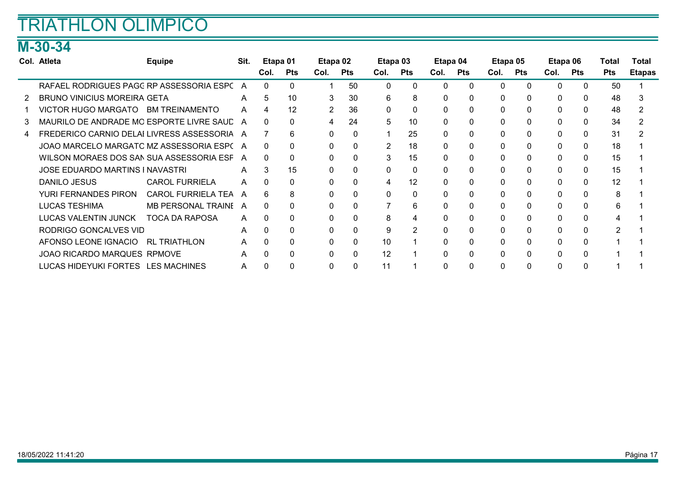### M-30-34

| Col. Atleta                                 | Equipe                | Sit. | Etapa 01 |            | Etapa 02     |              | Etapa 03       |                | Etapa 04 |            | Etapa 05     |              | Etapa 06 |              | Total      | Total         |
|---------------------------------------------|-----------------------|------|----------|------------|--------------|--------------|----------------|----------------|----------|------------|--------------|--------------|----------|--------------|------------|---------------|
|                                             |                       |      | Col.     | <b>Pts</b> | Col.         | Pts          | Col.           | Pts            | Col.     | <b>Pts</b> | Col.         | Pts          | Col.     | Pts          | <b>Pts</b> | <b>Etapas</b> |
| RAFAEL RODRIGUES PAGC RP ASSESSORIA ESPC A  |                       |      | $\Omega$ | $\Omega$   |              | 50           | $\Omega$       | $\Omega$       | 0        | 0          | $\Omega$     | $\Omega$     | 0        | $\Omega$     | 50         |               |
| <b>BRUNO VINICIUS MOREIRA GETA</b>          |                       | A    | 5        | 10         | 3            | 30           | 6              | 8              | 0        | 0          | $\Omega$     | $\Omega$     | 0        | $\Omega$     | 48         |               |
| VICTOR HUGO MARGATO BM TREINAMENTO          |                       | A    | 4        | 12         | 2            | 36           | 0              | $\mathbf{0}$   | 0        | 0          | $\Omega$     | $\Omega$     | 0        | $\Omega$     | 48         |               |
| MAURILO DE ANDRADE MO ESPORTE LIVRE SAUL A  |                       |      | 0        | 0          | 4            | 24           | 5              | 10             | 0        | 0          | $\Omega$     | $\Omega$     | 0        | $\mathbf{0}$ | 34         |               |
| FREDERICO CARNIO DELAI LIVRESS ASSESSORIA A |                       |      |          | 6          | $\Omega$     | $\Omega$     |                | 25             | 0        | 0          | $\mathbf{0}$ | $\Omega$     | 0        | $\mathbf{0}$ | 31         |               |
| JOAO MARCELO MARGATC MZ ASSESSORIA ESP(A    |                       |      | 0        | 0          | $\Omega$     | 0            | $\overline{2}$ | 18             | 0        | 0          | $\Omega$     | $\Omega$     | 0        | $\mathbf{0}$ | 18         |               |
| WILSON MORAES DOS SAN SUA ASSESSORIA ESF A  |                       |      | 0        | 0          | $\mathbf{0}$ | 0            | 3              | 15             | 0        | 0          | 0            | $\mathbf{0}$ | 0        | $\mathbf{0}$ | 15         |               |
| <b>JOSE EDUARDO MARTINS I NAVASTRI</b>      |                       | A    | 3        | 15         | $\mathbf{0}$ | 0            | $\Omega$       | 0              | 0        | 0          | 0            | $\mathbf 0$  | 0        | $\mathbf 0$  | 15         |               |
| DANILO JESUS                                | <b>CAROL FURRIELA</b> | A    | $\Omega$ | 0          | $\mathbf{0}$ | 0            | 4              | 12             | 0        | 0          | $\Omega$     | 0            | 0        | $\mathbf{0}$ | 12         |               |
| <b>YURI FERNANDES PIRON</b>                 | CAROL FURRIELA TEA    | A    | 6        | 8          | $\mathbf{0}$ | 0            | 0              | 0              | 0        | 0          | 0            | 0            | 0        | $\mathbf{0}$ | 8          |               |
| <b>LUCAS TESHIMA</b>                        | MB PERSONAL TRAINE A  |      | $\Omega$ | 0          | $\mathbf{0}$ | 0            |                | 6              | $\Omega$ | 0          | 0            | 0            | 0        | $\mathbf{0}$ | 6          |               |
| LUCAS VALENTIN JUNCK                        | <b>TOCA DA RAPOSA</b> | A    | $\Omega$ | 0          | $\Omega$     | $\Omega$     | 8              | 4              | $\Omega$ | 0          | $\Omega$     | $\Omega$     | 0        | $\Omega$     |            |               |
| RODRIGO GONCALVES VID                       |                       | A    | $\Omega$ | $\Omega$   | $\Omega$     | $\Omega$     | 9              | $\overline{2}$ | $\Omega$ | 0          | $\Omega$     | $\Omega$     | 0        | $\Omega$     |            |               |
| AFONSO LEONE IGNACIO                        | <b>RL TRIATHLON</b>   | A    | $\Omega$ | $\Omega$   | $\Omega$     | $\Omega$     | 10             |                | $\Omega$ | 0          | $\Omega$     | $\Omega$     | 0        | $\Omega$     |            |               |
| JOAO RICARDO MARQUES RPMOVE                 |                       | A    | O        | $\Omega$   | $\Omega$     | $\Omega$     | 12             |                | 0        | 0          | 0            | $\Omega$     | 0        | $\Omega$     |            |               |
| LUCAS HIDEYUKI FORTES LES MACHINES          |                       | A    | 0        | 0          | $\mathbf{0}$ | $\mathbf{0}$ |                |                | 0        | 0          | $\mathbf{0}$ | $\mathbf{0}$ |          | $\Omega$     |            |               |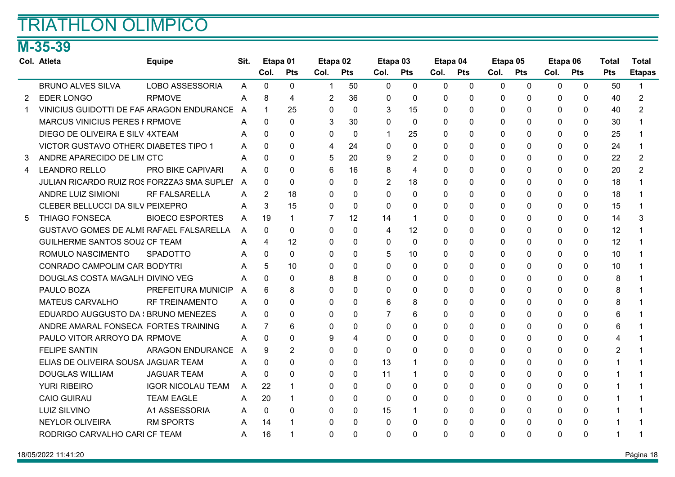### M-35-39

|                | Col. Atleta                                    | <b>Equipe</b>            | Sit. | Etapa 01       |                | Etapa <sub>02</sub> |              | Etapa 03     |              | Etapa 04     |              | Etapa 05     |                | Etapa 06     |              | <b>Total</b>   | <b>Total</b>   |
|----------------|------------------------------------------------|--------------------------|------|----------------|----------------|---------------------|--------------|--------------|--------------|--------------|--------------|--------------|----------------|--------------|--------------|----------------|----------------|
|                |                                                |                          |      | Col.           | <b>Pts</b>     | Col.                | <b>Pts</b>   | Col.         | <b>Pts</b>   | Col.         | <b>Pts</b>   | Col.         | <b>Pts</b>     | Col.         | <b>Pts</b>   | <b>Pts</b>     | <b>Etapas</b>  |
|                | <b>BRUNO ALVES SILVA</b>                       | <b>LOBO ASSESSORIA</b>   | A    | $\mathbf{0}$   | $\mathbf{0}$   | 1                   | 50           | $\mathbf{0}$ | $\mathbf{0}$ | $\mathbf{0}$ | $\mathbf{0}$ | $\mathbf{0}$ | $\mathbf{0}$   | $\mathbf{0}$ | $\mathbf{0}$ | 50             |                |
| $\overline{2}$ | <b>EDER LONGO</b>                              | <b>RPMOVE</b>            | A    | 8              | 4              | $\overline{2}$      | 36           | $\mathbf{0}$ | $\mathbf{0}$ | $\Omega$     | 0            | 0            | $\mathbf{0}$   | 0            | $\mathbf{0}$ | 40             | $\overline{2}$ |
| -1             | VINICIUS GUIDOTTI DE FAF ARAGON ENDURANCE      |                          | A    | 1              | 25             | $\Omega$            | $\Omega$     | 3            | 15           | $\Omega$     | $\Omega$     | $\Omega$     | $\Omega$       | 0            | $\Omega$     | 40             | 2              |
|                | <b>MARCUS VINICIUS PERES F RPMOVE</b>          |                          | A    | $\Omega$       | $\Omega$       | 3                   | 30           | $\Omega$     | $\mathbf{0}$ | $\Omega$     | $\Omega$     | $\Omega$     | $\mathbf{0}$   | $\Omega$     | $\mathbf{0}$ | 30             |                |
|                | DIEGO DE OLIVEIRA E SILV 4XTEAM                |                          | A    | $\Omega$       | $\Omega$       | $\Omega$            | $\mathbf{0}$ | -1           | 25           | $\Omega$     | 0            | 0            | $\Omega$       | $\Omega$     | $\mathbf{0}$ | 25             |                |
|                | VICTOR GUSTAVO OTHER( DIABETES TIPO 1          |                          | A    | $\Omega$       | $\Omega$       | 4                   | 24           | $\Omega$     | $\Omega$     | $\Omega$     | $\Omega$     | $\Omega$     | $\Omega$       | $\Omega$     | $\Omega$     | 24             |                |
| 3              | ANDRE APARECIDO DE LIM CTC                     |                          | A    | $\Omega$       | 0              | 5                   | 20           | 9            | 2            | $\Omega$     | 0            | 0            | $\overline{0}$ | 0            | $\Omega$     | 22             | 2              |
| 4              | <b>LEANDRO RELLO</b>                           | PRO BIKE CAPIVARI        | A    | $\Omega$       | $\Omega$       | 6                   | 16           | 8            | 4            | $\Omega$     | 0            | 0            | $\Omega$       | 0            | 0            | 20             | $\overline{2}$ |
|                | JULIAN RICARDO RUIZ ROS FORZZA3 SMA SUPLEI     |                          | A    | $\Omega$       | $\Omega$       | $\Omega$            | $\Omega$     | 2            | 18           | $\Omega$     | $\Omega$     | $\Omega$     | $\Omega$       | 0            | $\Omega$     | 18             |                |
|                | <b>ANDRE LUIZ SIMIONI</b>                      | <b>RF FALSARELLA</b>     | A    | $\overline{2}$ | 18             | 0                   | $\mathbf 0$  | $\Omega$     | 0            | $\Omega$     | $\Omega$     | 0            | $\Omega$       | $\Omega$     | $\Omega$     | 18             |                |
|                | CLEBER BELLUCCI DA SILV PEIXEPRO               |                          | A    | 3              | 15             | 0                   | $\mathbf{0}$ | $\mathbf{0}$ | $\Omega$     | $\Omega$     | 0            | 0            | $\Omega$       | 0            | 0            | 15             |                |
| 5              | <b>THIAGO FONSECA</b>                          | <b>BIOECO ESPORTES</b>   | A    | 19             |                | 7                   | 12           | 14           | $\mathbf 1$  | $\Omega$     | $\Omega$     | $\Omega$     | $\Omega$       | $\Omega$     | $\Omega$     | 14             | 3              |
|                | <b>GUSTAVO GOMES DE ALMI RAFAEL FALSARELLA</b> |                          | A    | $\Omega$       | $\Omega$       | $\mathbf{0}$        | $\mathbf 0$  | 4            | 12           | $\mathbf{0}$ | 0            | 0            | $\Omega$       | 0            | $\mathbf{0}$ | 12             |                |
|                | GUILHERME SANTOS SOUZ CF TEAM                  |                          | A    | 4              | 12             | 0                   | $\Omega$     | $\mathbf{0}$ | 0            | $\Omega$     | $\Omega$     | $\mathbf{0}$ | $\Omega$       | 0            | 0            | 12             |                |
|                | ROMULO NASCIMENTO                              | <b>SPADOTTO</b>          | Α    | $\Omega$       | $\Omega$       | 0                   | $\Omega$     | 5            | 10           | $\Omega$     | $\Omega$     | $\Omega$     | $\Omega$       | $\Omega$     | $\Omega$     | 10             |                |
|                | CONRADO CAMPOLIM CAR BODYTRI                   |                          | A    | 5              | 10             | 0                   | $\mathbf 0$  | $\Omega$     | 0            | $\Omega$     | 0            | $\mathbf{0}$ | $\mathbf{0}$   | 0            | $\mathbf{0}$ | 10             |                |
|                | DOUGLAS COSTA MAGALH DIVINO VEG                |                          | A    | 0              | $\Omega$       | 8                   | 8            | $\Omega$     | 0            | $\Omega$     | 0            | $\mathbf{0}$ | $\Omega$       | 0            | 0            | 8              |                |
|                | PAULO BOZA                                     | PREFEITURA MUNICIP       | A    | 6              | 8              | 0                   | $\Omega$     | $\Omega$     | $\Omega$     | $\Omega$     | $\Omega$     | 0            | $\Omega$       | $\Omega$     | $\Omega$     | 8              |                |
|                | <b>MATEUS CARVALHO</b>                         | <b>RF TREINAMENTO</b>    | A    | 0              | $\Omega$       | 0                   | $\mathbf 0$  | 6            | 8            | $\Omega$     | 0            | 0            | $\Omega$       | 0            | $\mathbf{0}$ | 8              |                |
|                | EDUARDO AUGGUSTO DA : BRUNO MENEZES            |                          | A    | $\Omega$       | $\Omega$       | 0                   | 0            | 7            | 6            | $\Omega$     | 0            | 0            | $\Omega$       | 0            | 0            | 6              |                |
|                | ANDRE AMARAL FONSECA FORTES TRAINING           |                          | A    | $\overline{7}$ | 6              | 0                   | $\Omega$     | $\Omega$     | $\Omega$     | $\Omega$     | $\Omega$     | 0            | $\Omega$       | $\Omega$     | $\Omega$     | 6              |                |
|                | PAULO VITOR ARROYO DA RPMOVE                   |                          | A    | $\Omega$       | $\Omega$       | 9                   | 4            | $\Omega$     | $\mathbf{0}$ | $\mathbf{0}$ | $\Omega$     | 0            | $\mathbf{0}$   | $\Omega$     | $\Omega$     | 4              |                |
|                | <b>FELIPE SANTIN</b>                           | <b>ARAGON ENDURANCE</b>  | A    | 9              | $\overline{2}$ | 0                   | $\mathbf{0}$ | $\Omega$     | $\Omega$     | $\Omega$     | $\Omega$     | 0            | $\Omega$       | 0            | $\Omega$     | $\overline{2}$ |                |
|                | ELIAS DE OLIVEIRA SOUSA JAGUAR TEAM            |                          | Α    | 0              | 0              | 0                   | $\Omega$     | 13           | 1            | $\mathbf{0}$ | $\Omega$     | $\mathbf{0}$ | $\Omega$       | $\Omega$     | $\Omega$     | 1              |                |
|                | <b>DOUGLAS WILLIAM</b>                         | <b>JAGUAR TEAM</b>       | A    | $\mathbf{0}$   | 0              | 0                   | $\Omega$     | 11           | 1            | $\Omega$     | 0            | $\mathbf{0}$ | $\Omega$       | 0            | $\Omega$     |                |                |
|                | <b>YURI RIBEIRO</b>                            | <b>IGOR NICOLAU TEAM</b> | A    | 22             |                | 0                   | $\mathbf{0}$ | $\mathbf{0}$ | 0            | $\Omega$     | 0            | 0            | $\Omega$       | 0            | $\Omega$     |                |                |
|                | <b>CAIO GUIRAU</b>                             | <b>TEAM EAGLE</b>        | A    | 20             | 1              | 0                   | $\mathbf{0}$ | $\mathbf{0}$ | 0            | $\mathbf{0}$ | $\Omega$     | $\mathbf{0}$ | $\mathbf{0}$   | $\Omega$     | $\Omega$     |                |                |
|                | <b>LUIZ SILVINO</b>                            | A1 ASSESSORIA            | A    | $\Omega$       | $\Omega$       | 0                   | $\mathbf{0}$ | 15           | 1            | $\mathbf{0}$ | 0            | $\mathbf{0}$ | $\Omega$       | 0            | $\Omega$     |                |                |
|                | <b>NEYLOR OLIVEIRA</b>                         | <b>RM SPORTS</b>         | A    | 14             |                | 0                   | $\Omega$     | $\mathbf{0}$ | $\Omega$     | $\mathbf{0}$ | 0            | $\mathbf{0}$ | $\Omega$       | 0            | $\Omega$     |                |                |
|                | RODRIGO CARVALHO CARI CF TEAM                  |                          | A    | 16             |                | 0                   | $\Omega$     | $\Omega$     | 0            | $\Omega$     | 0            | $\mathbf{0}$ | $\Omega$       | $\Omega$     | $\Omega$     |                |                |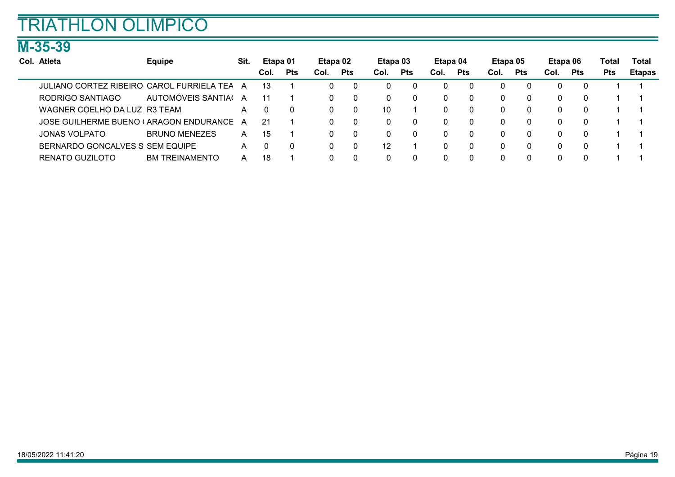### M-35-39

| Col. Atleta                                      | <b>Equipe</b>         | Sit. | Etapa 01 |            | Etapa 02 |            | Etapa 03 |              | Etapa 04 |            | Etapa 05 |            | Etapa 06 |            | Total      | Total         |
|--------------------------------------------------|-----------------------|------|----------|------------|----------|------------|----------|--------------|----------|------------|----------|------------|----------|------------|------------|---------------|
|                                                  |                       |      | Col.     | <b>Pts</b> | Col.     | <b>Pts</b> | Col.     | <b>Pts</b>   | Col.     | <b>Pts</b> | Col.     | <b>Pts</b> | Col.     | <b>Pts</b> | <b>Pts</b> | <b>Etapas</b> |
| <b>JULIANO CORTEZ RIBEIRO CAROL FURRIELA TEA</b> |                       | A    | 13       |            | 0        | - 0        | O        | 0            |          |            | 0        | $\Omega$   |          |            |            |               |
| RODRIGO SANTIAGO                                 | AUTOMÓVEIS SANTIA(    |      | 11       |            | 0        | - 0        | 0        | 0            |          |            | $\Omega$ | 0          |          |            |            |               |
| WAGNER COELHO DA LUZ R3 TEAM                     |                       | A    |          | $\Omega$   | 0        |            | 10       |              |          | $^{\circ}$ | $\Omega$ | 0          |          |            |            |               |
| JOSE GUILHERME BUENO (ARAGON ENDURANCE)          |                       | A    | 21       |            | 0        | - 0        |          | $\mathbf{0}$ |          |            | 0        | 0          |          |            |            |               |
| <b>JONAS VOLPATO</b>                             | <b>BRUNO MENEZES</b>  | A    | 15       |            | 0        | - 0        |          | $\mathbf{0}$ |          |            | 0        | 0          |          |            |            |               |
| BERNARDO GONCALVES S SEM EQUIPE                  |                       | A    |          | 0          | 0        |            | 12       |              |          |            | 0        | 0          |          |            |            |               |
| RENATO GUZILOTO                                  | <b>BM TREINAMENTO</b> | A    | 18       |            | 0        |            |          | 0            |          |            |          | 0          |          |            |            |               |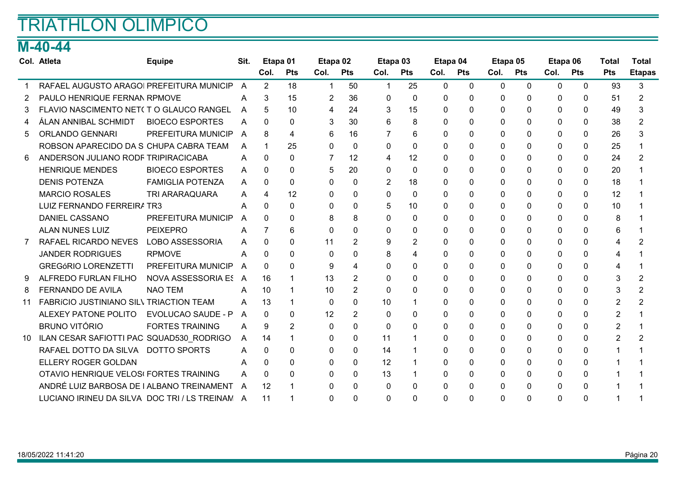### M-40-44

|     | Col. Atleta                                    | <b>Equipe</b>             | Sit. | Etapa 01       |                | Etapa 02     |                | Etapa 03     |              | Etapa 04 |            | Etapa 05    |              | Etapa 06 |            | <b>Total</b>   | <b>Total</b>  |
|-----|------------------------------------------------|---------------------------|------|----------------|----------------|--------------|----------------|--------------|--------------|----------|------------|-------------|--------------|----------|------------|----------------|---------------|
|     |                                                |                           |      | Col.           | <b>Pts</b>     | Col.         | <b>Pts</b>     | Col.         | <b>Pts</b>   | Col.     | <b>Pts</b> | Col.        | <b>Pts</b>   | Col.     | <b>Pts</b> | <b>Pts</b>     | <b>Etapas</b> |
|     | RAFAEL AUGUSTO ARAGOI PREFEITURA MUNICIP       |                           | A    | $\overline{2}$ | 18             | 1            | 50             | $\mathbf{1}$ | 25           | 0        | $\Omega$   | $\mathbf 0$ | $\Omega$     | $\Omega$ | 0          | 93             | 3             |
|     | PAULO HENRIQUE FERNAN RPMOVE                   |                           | A    | 3              | 15             | 2            | 36             | 0            | $\Omega$     | $\Omega$ | 0          | 0           | $\Omega$     | 0        | 0          | 51             |               |
| 3   | FLAVIO NASCIMENTO NET( T O GLAUCO RANGEL       |                           | A    | 5              | 10             | 4            | 24             | 3            | 15           | 0        | 0          | 0           | $\Omega$     | 0        | 0          | 49             |               |
|     | ÁLAN ANNIBAL SCHMIDT                           | <b>BIOECO ESPORTES</b>    | A    | 0              | 0              | 3            | 30             | 6            | 8            | 0        | 0          | 0           | $\Omega$     | 0        | 0          | 38             |               |
| 5.  | <b>ORLANDO GENNARI</b>                         | PREFEITURA MUNICIP        | A    | 8              | 4              | 6            | 16             |              | 6            | 0        | 0          | 0           | $\mathbf{0}$ | 0        | 0          | 26             |               |
|     | ROBSON APARECIDO DA S CHUPA CABRA TEAM         |                           | A    | 1              | 25             | $\Omega$     | $\mathbf{0}$   | $\Omega$     | $\mathbf{0}$ | 0        | 0          | 0           | $\Omega$     | $\Omega$ | 0          | 25             |               |
| 6   | ANDERSON JULIANO RODF TRIPIRACICABA            |                           | A    | 0              | 0              | 7            | 12             | 4            | 12           | 0        | 0          | 0           | $\Omega$     | 0        | 0          | 24             | 2             |
|     | <b>HENRIQUE MENDES</b>                         | <b>BIOECO ESPORTES</b>    | A    | 0              | 0              | 5            | 20             | $\Omega$     | $\mathbf{0}$ | $\Omega$ | 0          | $\Omega$    | $\mathbf{0}$ | 0        | 0          | 20             |               |
|     | <b>DENIS POTENZA</b>                           | <b>FAMIGLIA POTENZA</b>   | A    | $\Omega$       | 0              | $\Omega$     | $\Omega$       | 2            | 18           | 0        | 0          | 0           | $\Omega$     | $\Omega$ | 0          | 18             |               |
|     | <b>MARCIO ROSALES</b>                          | <b>TRI ARARAQUARA</b>     | A    | 4              | 12             | $\mathbf{0}$ | $\Omega$       | $\Omega$     | $\mathbf{0}$ | $\Omega$ | $\Omega$   | 0           | $\Omega$     | $\Omega$ | 0          | 12             |               |
|     | LUIZ FERNANDO FERREIRA TR3                     |                           | A    | 0              | 0              | $\Omega$     | 0              | 5            | 10           | $\Omega$ | 0          | $\Omega$    | $\Omega$     | 0        | 0          | 10             |               |
|     | <b>DANIEL CASSANO</b>                          | PREFEITURA MUNICIP        | A    | 0              | 0              | 8            | 8              | $\Omega$     | 0            | 0        | 0          | 0           | 0            | 0        | 0          | 8              |               |
|     | <b>ALAN NUNES LUIZ</b>                         | <b>PEIXEPRO</b>           | A    | 7              | 6              | 0            | 0              | 0            | 0            | 0        | 0          | 0           | 0            | $\Omega$ | 0          | 6              |               |
|     | RAFAEL RICARDO NEVES                           | <b>LOBO ASSESSORIA</b>    | A    | 0              | 0              | 11           | $\overline{2}$ | 9            | 2            | 0        | 0          | 0           | 0            | 0        | 0          | 4              |               |
|     | <b>JANDER RODRIGUES</b>                        | <b>RPMOVE</b>             | A    | 0              | 0              | $\mathbf{0}$ | $\Omega$       | 8            | 4            | $\Omega$ | 0          | $\Omega$    | $\Omega$     | $\Omega$ | 0          | 4              |               |
|     | <b>GREGÓRIO LORENZETTI</b>                     | PREFEITURA MUNICIP        | A    | 0              | $\Omega$       | 9            | 4              | $\Omega$     | $\Omega$     | $\Omega$ | 0          | $\Omega$    | $\Omega$     | 0        | 0          | 4              |               |
| 9   | ALFREDO FURLAN FILHO                           | <b>NOVA ASSESSORIA ES</b> | A    | 16             |                | 13           | $\overline{2}$ | 0            | 0            | 0        | 0          | 0           | $\Omega$     | 0        | 0          | 3              |               |
| 8   | <b>FERNANDO DE AVILA</b>                       | <b>NAO TEM</b>            | A    | 10             |                | 10           | 2              | 0            | $\mathbf{0}$ | 0        | 0          | 0           | $\Omega$     | 0        | 0          | 3              |               |
| 11  | FABRICIO JUSTINIANO SILV TRIACTION TEAM        |                           | A    | 13             |                | 0            | $\mathbf{0}$   | 10           |              | 0        | 0          | 0           | 0            | 0        | 0          | $\overline{2}$ |               |
|     | ALEXEY PATONE POLITO                           | <b>EVOLUCAO SAUDE - P</b> | A    | 0              | 0              | 12           | 2              | $\Omega$     | $\mathbf{0}$ | 0        | 0          | 0           | $\Omega$     | 0        | 0          | $\overline{2}$ |               |
|     | <b>BRUNO VITÓRIO</b>                           | <b>FORTES TRAINING</b>    | A    | 9              | $\overline{2}$ | 0            | $\Omega$       | $\Omega$     | 0            | $\Omega$ | 0          | 0           | $\Omega$     | 0        | 0          | $\overline{2}$ |               |
| 10. | ILAN CESAR SAFIOTTI PAC SQUAD530 RODRIGO       |                           | A    | 14             | 1              | 0            | 0              | 11           |              | 0        | 0          | $\Omega$    | $\Omega$     | $\Omega$ | 0          | 2              |               |
|     | RAFAEL DOTTO DA SILVA DOTTO SPORTS             |                           | A    | 0              | 0              | 0            | 0              | 14           |              | $\Omega$ | 0          | 0           | $\Omega$     | 0        | 0          |                |               |
|     | ELLERY ROGER GOLDAN                            |                           | А    | 0              | 0              | $\Omega$     | 0              | 12           |              | $\Omega$ | $\Omega$   | 0           | $\Omega$     | 0        | 0          |                |               |
|     | OTAVIO HENRIQUE VELOS(FORTES TRAINING          |                           | A    | 0              | 0              | 0            | 0              | 13           |              | 0        | 0          | $\Omega$    | $\Omega$     | 0        | 0          |                |               |
|     | ANDRÉ LUIZ BARBOSA DE I ALBANO TREINAMENT      |                           | A    | 12             |                | 0            | $\Omega$       | 0            | 0            | 0        | 0          | 0           | $\mathbf 0$  | 0        | 0          |                |               |
|     | LUCIANO IRINEU DA SILVA DOC TRI / LS TREINAN A |                           |      | 11             |                | $\Omega$     | 0              | 0            | 0            | 0        | 0          | 0           | $\Omega$     | $\Omega$ | 0          |                |               |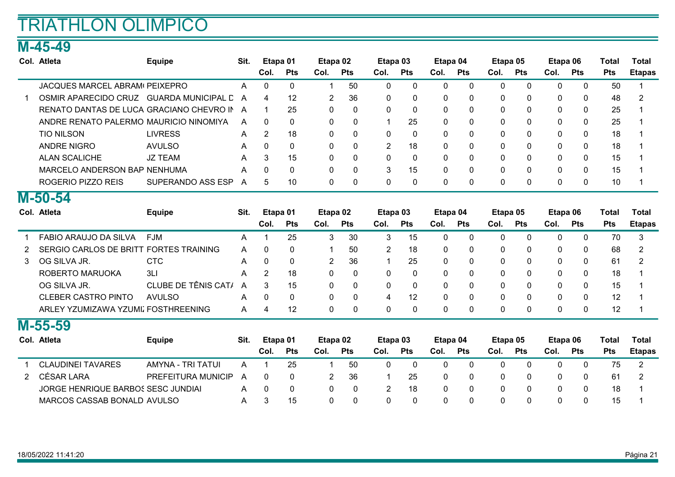### M-45-49

| Col. Atleta                                | <b>Equipe</b>      | Sit. | Etapa 01 |            | Etapa 02     |              | Etapa 03      |              | Etapa 04 |            | Etapa 05 |            | Etapa 06     |             | Total      | Total         |
|--------------------------------------------|--------------------|------|----------|------------|--------------|--------------|---------------|--------------|----------|------------|----------|------------|--------------|-------------|------------|---------------|
|                                            |                    |      | Col.     | <b>Pts</b> | Col.         | <b>Pts</b>   | Col.          | <b>Pts</b>   | Col.     | <b>Pts</b> | Col.     | <b>Pts</b> | Col.         | <b>Pts</b>  | <b>Pts</b> | <b>Etapas</b> |
| JACQUES MARCEL ABRAM <sup>(</sup> PEIXEPRO |                    | A    |          |            |              | 50           | 0             | 0            |          |            | 0        |            | 0            | 0           | 50         |               |
| OSMIR APARECIDO CRUZ                       | GUARDA MUNICIPAL D | A    | 4        | 12         | 2            | 36           | 0             | $\Omega$     | $\Omega$ | $\Omega$   | 0        | $\Omega$   | $\Omega$     | $\Omega$    | 48         | 2             |
| RENATO DANTAS DE LUCA GRACIANO CHEVRO IN   |                    | A    |          | 25         | $\mathbf{0}$ | $\mathbf{0}$ | 0             | $\mathbf{0}$ | $\Omega$ | n          | 0        | $\Omega$   | $\mathbf{0}$ | $\mathbf 0$ | 25         |               |
| ANDRE RENATO PALERMO MAURICIO NINOMIYA     |                    | A    | - 0      | $\Omega$   | 0            | $\mathbf{0}$ |               | 25           |          |            | 0        | $\Omega$   | $\Omega$     | $\Omega$    | 25         |               |
| TIO NILSON                                 | <b>LIVRESS</b>     | A    |          | 18         | $\mathbf{0}$ | $\mathbf{0}$ | 0             | $\mathbf{0}$ | $\Omega$ | n          | 0        | $\Omega$   | $\Omega$     | $\mathbf 0$ | 18         |               |
| ANDRE NIGRO                                | <b>AVULSO</b>      | A    |          | $\Omega$   | 0            | $\mathbf{0}$ | $\mathcal{P}$ | 18           | $\Omega$ |            | 0        | $\Omega$   | 0            | $\mathbf 0$ | 18         |               |
| <b>ALAN SCALICHE</b>                       | JZ TEAM            | A    | З        | 15         | 0            | $\mathbf{0}$ | $\mathbf{0}$  | $\Omega$     |          |            | 0        | $\Omega$   | 0            | $\Omega$    | 15         |               |
| MARCELO ANDERSON BAP NENHUMA               |                    | A    |          | $\Omega$   | 0            | $\mathbf{0}$ | 3             | 15           | $\Omega$ | $\Omega$   | 0        | $\Omega$   | $\Omega$     | $\Omega$    | 15         |               |
| ROGERIO PIZZO REIS                         | SUPERANDO ASS ESP  | А    |          | 10         | 0            | $\Omega$     |               | 0            |          |            | 0        | 0          | 0            | 0           | 10         |               |

#### M-50-54

|   | Col. Atleta                            | <b>Equipe</b>       | Sit. | Etapa 01    |              | Etapa 02       |              | Etapa 03       |              | Etapa 04     |              | Etapa 05     |              | Etapa 06     |              | Total      | Total         |
|---|----------------------------------------|---------------------|------|-------------|--------------|----------------|--------------|----------------|--------------|--------------|--------------|--------------|--------------|--------------|--------------|------------|---------------|
|   |                                        |                     |      | Col.        | <b>Pts</b>   | Col.           | <b>Pts</b>   | Col.           | <b>Pts</b>   | Col.         | <b>Pts</b>   | Col.         | <b>Pts</b>   | Col.         | <b>Pts</b>   | <b>Pts</b> | <b>Etapas</b> |
|   | FABIO ARAUJO DA SILVA                  | <b>FJM</b>          | A    |             | 25           | 3              | 30           | 3              | 15           | $\Omega$     | $\Omega$     | 0            | $\mathbf{0}$ | 0            | $\mathbf{0}$ | 70         | 3             |
|   | SERGIO CARLOS DE BRITT FORTES TRAINING |                     | A    | $\Omega$    | $\mathbf{0}$ |                | 50           | $\overline{2}$ | 18           | $\mathbf{0}$ | $\Omega$     | 0            | $\Omega$     | $\mathbf{0}$ | 0            | 68         | 2             |
| 3 | OG SILVA JR.                           | <b>CTC</b>          | A    | $\mathbf 0$ | 0            | $\overline{2}$ | 36           |                | 25           | $\mathbf{0}$ | $\mathbf{0}$ | $\mathbf 0$  | 0            | $\mathbf{0}$ | 0            | 61         | 2             |
|   | ROBERTO MARUOKA                        | 3LI                 | A    | 2           | 18           | 0              | $\mathbf{0}$ | 0              | $\mathbf{0}$ | $\Omega$     | $\Omega$     | 0            | $\Omega$     | $\Omega$     | $\mathbf{0}$ | 18         |               |
|   | OG SILVA JR.                           | CLUBE DE TÊNIS CAT/ | A    | 3           | 15           | 0              | $\mathbf{0}$ | $\mathbf{0}$   | $\mathbf{0}$ | $\Omega$     | $\Omega$     | $\mathbf{0}$ | $\Omega$     | $\mathbf{0}$ | 0            | 15         |               |
|   | <b>CLEBER CASTRO PINTO</b>             | <b>AVULSO</b>       | A    | $\Omega$    | $\Omega$     | 0              | $\Omega$     | 4              | 12           | $\Omega$     | $\Omega$     | 0            | $\mathbf{0}$ | $\mathbf{0}$ | 0            | 12         |               |
|   | ARLEY YZUMIZAWA YZUMIZ FOSTHREENING    |                     | A    | 4           | 12           | 0              | $\mathbf{0}$ | 0              | 0            | $\mathbf{0}$ | $\mathbf{0}$ | 0            | $\mathbf{0}$ | 0            | 0            | 12         |               |
|   | $M-55-59$                              |                     |      |             |              |                |              |                |              |              |              |              |              |              |              |            |               |
|   | Col. Atleta                            | <b>Equipe</b>       | Sit. | Etapa 01    |              | Etapa 02       |              | Etapa 03       |              | Etapa 04     |              | Etapa 05     |              | Etapa 06     |              | Total      | Total         |
|   |                                        |                     |      | Col.        | <b>Pts</b>   | Col.           | <b>Pts</b>   | Col.           | <b>Pts</b>   | Col.         | Pts          | Col.         | <b>Pts</b>   | Col.         | <b>Pts</b>   | <b>Pts</b> | <b>Etapas</b> |
|   | <b>CLAUDINEI TAVARES</b>               | AMYNA - TRI TATUI   | A    |             | 25           |                | 50           | $\Omega$       | $\mathbf{0}$ | $\Omega$     | $\Omega$     | $\Omega$     | $\Omega$     | $\Omega$     | $\mathbf{0}$ | 75         | 2             |
|   | <b>CÉSAR LARA</b>                      | PREFEITURA MUNICIP  | A    | $\Omega$    | $\mathbf{0}$ | $\overline{2}$ | 36           |                | 25           | $\mathbf{0}$ | $\Omega$     | $\mathbf 0$  | $\mathbf{0}$ | $\mathbf{0}$ | 0            | 61         | 2             |
|   | JORGE HENRIQUE BARBOS SESC JUNDIAI     |                     | A    | $\Omega$    | $\Omega$     | 0              | $\Omega$     | $\overline{2}$ | 18           | $\Omega$     | $\Omega$     | 0            | $\Omega$     | 0            | $\mathbf 0$  | 18         |               |

MARCOS CASSAB BONALDOAVULSO 3 15 0 0 0 0 0 0 0 0 0 0 15 1 A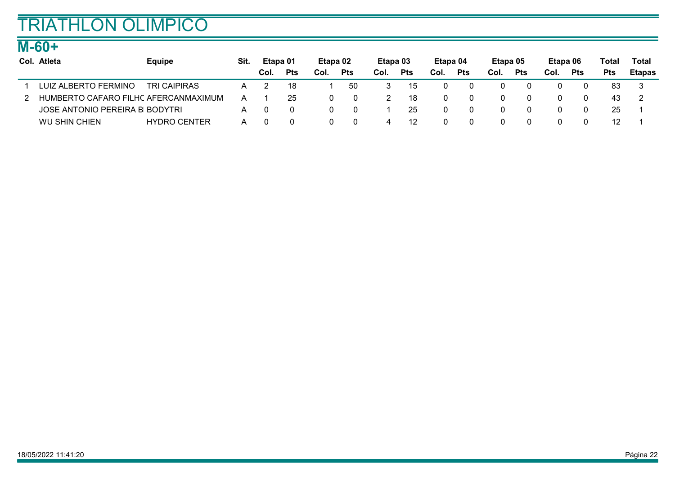### M-60+

| Col. Atleta                          | <b>Equipe</b>       | Sit. | Etapa 01 |            | Etapa 02 |            | Etapa 03 |            | Etapa 04 |            | Etapa 05 |            | Etapa 06 |            | Total | Total         |
|--------------------------------------|---------------------|------|----------|------------|----------|------------|----------|------------|----------|------------|----------|------------|----------|------------|-------|---------------|
|                                      |                     |      | Col.     | <b>Pts</b> | Col.     | <b>Pts</b> | Col.     | <b>Pts</b> | Col.     | <b>Pts</b> | Col.     | <b>Pts</b> | Col.     | <b>Pts</b> | Pts   | <b>Etapas</b> |
| LUIZ ALBERTO FERMINO                 | <b>TRI CAIPIRAS</b> | A    |          | 18         |          | 50         |          | 15         |          |            |          |            |          |            | 83    |               |
| HUMBERTO CAFARO FILHC AFERCANMAXIMUM |                     | A    |          | 25         |          | 0          |          | 18         |          |            |          |            |          |            | 43    |               |
| JOSE ANTONIO PEREIRA B BODYTRI       |                     | A    |          |            | $\Omega$ |            |          | 25         |          |            |          |            |          |            | 25    |               |
| <b>WU SHIN CHIEN</b>                 | <b>HYDRO CENTER</b> | А    |          |            |          | 0          |          | 12         |          |            |          |            |          | $\Omega$   |       |               |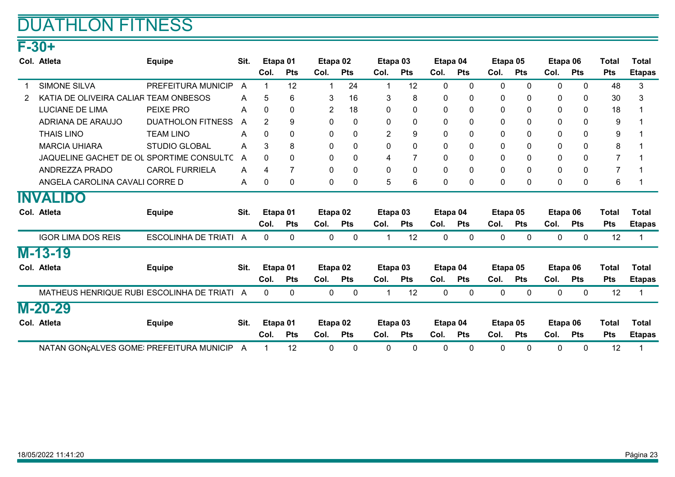## DUATHLON FITNESS

## F-30+

| Col. Atleta                               | <b>Equipe</b>            | Sit. |                | Etapa 01       | Etapa 02       |              | Etapa <sub>03</sub> |                | Etapa 04     |              | Etapa 05     |              | Etapa 06     |              | Total          | <b>Total</b>  |
|-------------------------------------------|--------------------------|------|----------------|----------------|----------------|--------------|---------------------|----------------|--------------|--------------|--------------|--------------|--------------|--------------|----------------|---------------|
|                                           |                          |      | Col.           | <b>Pts</b>     | Col.           | <b>Pts</b>   | Col.                | <b>Pts</b>     | Col.         | <b>Pts</b>   | Col.         | <b>Pts</b>   | Col.         | <b>Pts</b>   | <b>Pts</b>     | <b>Etapas</b> |
| <b>SIMONE SILVA</b>                       | PREFEITURA MUNICIP       | A    | 1              | 12             | -1             | 24           |                     | 12             | $\mathbf{0}$ | $\Omega$     | $\mathbf 0$  | $\mathbf{0}$ | 0            | $\mathbf 0$  | 48             | 3             |
| KATIA DE OLIVEIRA CALIAR TEAM ONBESOS     |                          | A    | 5              | 6              | 3              | 16           | 3                   | 8              | 0            | 0            | 0            | $\mathbf{0}$ | 0            | $\mathbf{0}$ | 30             | 3             |
| <b>LUCIANE DE LIMA</b>                    | PEIXE PRO                | A    | 0              | 0              | $\overline{2}$ | 18           | 0                   | $\mathbf 0$    | $\mathbf{0}$ | $\Omega$     | 0            | $\Omega$     | 0            | $\mathbf 0$  | 18             |               |
| ADRIANA DE ARAUJO                         | <b>DUATHOLON FITNESS</b> | A    | $\overline{2}$ | 9              | 0              | $\mathbf{0}$ | 0                   | $\mathbf{0}$   | $\mathbf{0}$ | $\Omega$     | 0            | $\Omega$     | $\mathbf{0}$ | $\mathbf 0$  | 9              |               |
| <b>THAIS LINO</b>                         | <b>TEAM LINO</b>         | A    | 0              | 0              | 0              | 0            | 2                   | 9              | 0            | 0            | 0            | $\mathbf{0}$ | 0            | 0            | 9              |               |
| <b>MARCIA UHIARA</b>                      | <b>STUDIO GLOBAL</b>     | A    | 3              | 8              | 0              | $\Omega$     | 0                   | $\mathbf 0$    | $\mathbf{0}$ | $\Omega$     | $\mathbf 0$  | $\Omega$     | $\mathbf{0}$ | 0            | 8              |               |
| JAQUELINE GACHET DE OL SPORTIME CONSULTC  |                          | A    | 0              | 0              | 0              | 0            | 4                   | $\overline{7}$ | $\mathbf{0}$ | $\Omega$     | 0            | $\mathbf{0}$ | 0            | 0            | $\overline{7}$ |               |
| ANDREZZA PRADO                            | <b>CAROL FURRIELA</b>    | A    | 4              | $\overline{7}$ | 0              | 0            | 0                   | $\mathbf{0}$   | $\mathbf{0}$ | $\Omega$     | $\mathbf{0}$ | $\mathbf{0}$ | $\mathbf{0}$ | $\mathbf{0}$ | $\overline{7}$ |               |
| ANGELA CAROLINA CAVALI CORRE D            |                          | A    | 0              | 0              | 0              | 0            | 5                   | 6              | $\mathbf{0}$ | $\mathbf{0}$ | 0            | $\mathbf{0}$ | $\mathbf{0}$ | $\mathbf 0$  | 6              |               |
| <b>INVALIDO</b>                           |                          |      |                |                |                |              |                     |                |              |              |              |              |              |              |                |               |
| Col. Atleta                               | <b>Equipe</b>            | Sit. |                | Etapa 01       | Etapa 02       |              |                     | Etapa 03       | Etapa 04     |              | Etapa 05     |              | Etapa 06     |              | <b>Total</b>   | <b>Total</b>  |
|                                           |                          |      | Col.           | <b>Pts</b>     | Col.           | <b>Pts</b>   | Col.                | <b>Pts</b>     | Col.         | <b>Pts</b>   | Col.         | <b>Pts</b>   | Col.         | <b>Pts</b>   | <b>Pts</b>     | <b>Etapas</b> |
| <b>IGOR LIMA DOS REIS</b>                 | ESCOLINHA DE TRIATI A    |      | 0              | 0              | 0              | $\mathbf 0$  | 1                   | 12             | 0            | $\mathbf 0$  | 0            | 0            | 0            | $\mathbf 0$  | 12             |               |
| $M-13-19$                                 |                          |      |                |                |                |              |                     |                |              |              |              |              |              |              |                |               |
| Col. Atleta                               | <b>Equipe</b>            | Sit. |                | Etapa 01       | Etapa 02       |              |                     | Etapa 03       | Etapa 04     |              | Etapa 05     |              | Etapa 06     |              | <b>Total</b>   | <b>Total</b>  |
|                                           |                          |      | Col.           | <b>Pts</b>     | Col.           | <b>Pts</b>   | Col.                | <b>Pts</b>     | Col.         | <b>Pts</b>   | Col.         | <b>Pts</b>   | Col.         | <b>Pts</b>   | <b>Pts</b>     | <b>Etapas</b> |
| MATHEUS HENRIQUE RUBI ESCOLINHA DE TRIATI |                          | A    | 0              | 0              | $\mathbf 0$    | $\mathbf 0$  | 1                   | 12             | 0            | 0            | $\mathbf 0$  | $\mathbf 0$  | 0            | $\mathbf 0$  | 12             |               |
| $M-20-29$                                 |                          |      |                |                |                |              |                     |                |              |              |              |              |              |              |                |               |
| Col. Atleta                               | <b>Equipe</b>            | Sit. |                | Etapa 01       | Etapa 02       |              |                     | Etapa 03       | Etapa 04     |              | Etapa 05     |              | Etapa 06     |              | <b>Total</b>   | <b>Total</b>  |
|                                           |                          |      | Col.           | <b>Pts</b>     | Col.           | <b>Pts</b>   | Col.                | <b>Pts</b>     | Col.         | Pts          | Col.         | <b>Pts</b>   | Col.         | <b>Pts</b>   | <b>Pts</b>     | <b>Etapas</b> |
| NATAN GON¢ALVES GOME: PREFEITURA MUNICIP  |                          | A    | 1              | 12             | 0              | $\mathbf{0}$ | 0                   | $\mathbf{0}$   | 0            | $\mathbf{0}$ | 0            | $\Omega$     | $\mathbf{0}$ | 0            | 12             |               |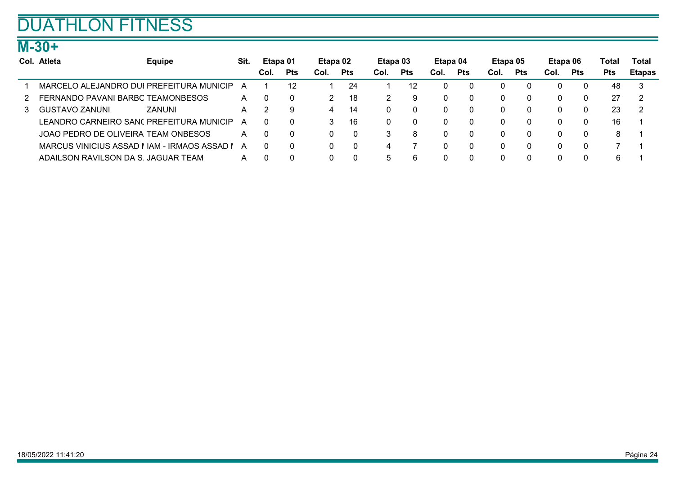## DUATHLON FITNESS

### M-30+

|   | Col. Atleta                                  | <b>Equipe</b> | Sit. | Etapa 01 |            | Etapa 02 |            | Etapa 03 |              | Etapa 04 |            | Etapa 05 |            | Etapa 06 |            | Total      | Total         |
|---|----------------------------------------------|---------------|------|----------|------------|----------|------------|----------|--------------|----------|------------|----------|------------|----------|------------|------------|---------------|
|   |                                              |               |      | Col.     | <b>Pts</b> | Col.     | <b>Pts</b> | Col.     | <b>Pts</b>   | Col.     | <b>Pts</b> | Col.     | <b>Pts</b> | Col.     | <b>Pts</b> | <b>Pts</b> | <b>Etapas</b> |
|   | MARCELO ALEJANDRO DUI PREFEITURA MUNICIP     |               | А    |          | 12         |          | 24         |          | 12           |          |            |          |            |          |            | 48         | 3             |
| 2 | FERNANDO PAVANI BARBC TEAMONBESOS            |               | A    | $\Omega$ | $\Omega$   |          | 18         |          | 9            | 0        |            |          |            |          |            | 27         | -2            |
| 3 | GUSTAVO ZANUNI                               | ZANUNI        | A    |          | 9          | 4        | 14         |          | $\mathbf{0}$ | 0        |            |          | $\Omega$   |          |            | 23         | -2            |
|   | LEANDRO CARNEIRO SANC PREFEITURA MUNICIP     |               | A    | $\Omega$ | $\Omega$   | 3        | 16         |          | 0            | 0        |            |          |            |          |            | 16         |               |
|   | JOAO PEDRO DE OLIVEIRA TEAM ONBESOS          |               | A    | $\Omega$ | $\Omega$   |          |            |          | 8            | 0        |            |          |            |          |            |            |               |
|   | MARCUS VINICIUS ASSAD I IAM - IRMAOS ASSAD I |               | A    | $\Omega$ | $\Omega$   |          | $\Omega$   |          |              |          |            |          |            |          |            |            |               |
|   | ADAILSON RAVILSON DA S. JAGUAR TEAM          |               | A    |          | $\Omega$   |          | $\Omega$   |          | 6            |          |            |          |            |          |            | 6          |               |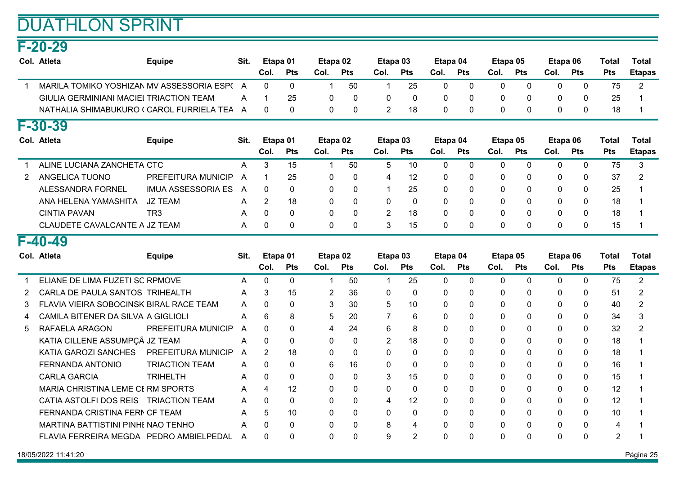### F-20-29

|                | Col. Atleta                                | <b>Equipe</b>             | Sit. | Col.           | Etapa 01<br>Pts | Etapa 02<br>Col. | <b>Pts</b>   | Etapa 03<br>Col. | Pts            | Etapa 04<br>Col. | Pts         | Etapa 05<br>Col. | Pts          | Etapa 06<br>Col. | Pts          | <b>Total</b><br><b>Pts</b> | <b>Total</b><br><b>Etapas</b> |
|----------------|--------------------------------------------|---------------------------|------|----------------|-----------------|------------------|--------------|------------------|----------------|------------------|-------------|------------------|--------------|------------------|--------------|----------------------------|-------------------------------|
| $\overline{1}$ | MARILA TOMIKO YOSHIZAN MV ASSESSORIA ESP(A |                           |      | $\Omega$       | 0               | $\mathbf 1$      | 50           | 1                | 25             | 0                | 0           | $\mathbf 0$      | $\Omega$     | $\mathbf{0}$     | $\mathbf{0}$ | 75                         | $\overline{2}$                |
|                | GIULIA GERMINIANI MACIEI TRIACTION TEAM    |                           | A    | 1              | 25              | $\mathbf 0$      | $\mathbf{0}$ | $\mathbf{0}$     | $\mathbf{0}$   | 0                | 0           | $\mathbf 0$      | 0            | 0                | 0            | 25                         |                               |
|                | NATHALIA SHIMABUKURO (CAROL FURRIELA TEA A |                           |      | $\Omega$       | 0               | $\mathbf{0}$     | 0            | $\overline{2}$   | 18             | 0                | 0           | $\mathbf 0$      | 0            | $\Omega$         | 0            | 18                         |                               |
|                |                                            |                           |      |                |                 |                  |              |                  |                |                  |             |                  |              |                  |              |                            |                               |
|                | $F-30-39$                                  |                           |      |                |                 |                  |              |                  |                |                  |             |                  |              |                  |              |                            |                               |
|                | Col. Atleta                                | <b>Equipe</b>             | Sit. |                | Etapa 01        | Etapa 02         |              | Etapa 03         |                | Etapa 04         |             | Etapa 05         |              | Etapa 06         |              | <b>Total</b>               | <b>Total</b>                  |
|                |                                            |                           |      | Col.           | <b>Pts</b>      | Col.             | <b>Pts</b>   | Col.             | <b>Pts</b>     | Col.             | Pts         | Col.             | <b>Pts</b>   | Col.             | <b>Pts</b>   | <b>Pts</b>                 | <b>Etapas</b>                 |
|                | ALINE LUCIANA ZANCHETA CTC                 |                           | A    | 3              | 15              | $\mathbf{1}$     | 50           | 5                | 10             | 0                | $\mathbf 0$ | $\mathbf 0$      | $\Omega$     | $\mathbf{0}$     | $\mathbf 0$  | 75                         | 3                             |
| 2              | <b>ANGELICA TUONO</b>                      | PREFEITURA MUNICIP        | A    | 1              | 25              | $\mathbf{0}$     | $\Omega$     | 4                | 12             | 0                | 0           | $\Omega$         | $\Omega$     | 0                | 0            | 37                         | 2                             |
|                | <b>ALESSANDRA FORNEL</b>                   | <b>IMUA ASSESSORIA ES</b> | A    | 0              | $\Omega$        | $\mathbf{0}$     | $\Omega$     | 1                | 25             | 0                | $\Omega$    | $\mathbf 0$      | $\Omega$     | $\Omega$         | 0            | 25                         |                               |
|                | ANA HELENA YAMASHITA                       | <b>JZ TEAM</b>            | A    | $\overline{2}$ | 18              | $\mathbf{0}$     | $\Omega$     | $\mathbf{0}$     | $\mathbf{0}$   | $\mathbf{0}$     | 0           | $\mathbf 0$      | $\Omega$     | 0                | 0            | 18                         |                               |
|                | <b>CINTIA PAVAN</b>                        | TR <sub>3</sub>           | A    | $\Omega$       | $\Omega$        | $\mathbf{0}$     | $\Omega$     | $\overline{2}$   | 18             | 0                | $\Omega$    | $\mathbf 0$      | $\Omega$     | $\Omega$         | $\mathbf{0}$ | 18                         |                               |
|                | CLAUDETE CAVALCANTE A JZ TEAM              |                           | A    | $\Omega$       | 0               | $\mathbf{0}$     | 0            | 3                | 15             | 0                | 0           | $\mathbf 0$      | $\Omega$     | $\Omega$         | 0            | 15                         |                               |
|                | F-40-49                                    |                           |      |                |                 |                  |              |                  |                |                  |             |                  |              |                  |              |                            |                               |
|                |                                            |                           |      |                |                 |                  |              |                  |                |                  |             |                  |              |                  |              |                            |                               |
|                | Col. Atleta                                | <b>Equipe</b>             | Sit. |                | Etapa 01        | Etapa 02         |              | Etapa 03         |                | Etapa 04         |             | Etapa 05         |              | Etapa 06         |              | <b>Total</b>               | <b>Total</b>                  |
|                |                                            |                           |      | Col.           | <b>Pts</b>      | Col.             | <b>Pts</b>   | Col.             | <b>Pts</b>     | Col.             | Pts         | Col.             | Pts          | Col.             | <b>Pts</b>   | <b>Pts</b>                 | <b>Etapas</b>                 |
|                | ELIANE DE LIMA FUZETI SC RPMOVE            |                           | A    | $\Omega$       | 0               | $\mathbf{1}$     | 50           | 1                | 25             | $\Omega$         | $\Omega$    | $\mathbf 0$      | $\Omega$     | $\Omega$         | $\mathbf{0}$ | 75                         | $\overline{2}$                |
| $\overline{2}$ | CARLA DE PAULA SANTOS TRIHEALTH            |                           | Α    | 3              | 15              | $\overline{2}$   | 36           | 0                | $\mathbf{0}$   | 0                | 0           | 0                | $\Omega$     | $\mathbf{0}$     | 0            | 51                         | $\overline{2}$                |
| 3              | FLAVIA VIEIRA SOBOCINSK BIRAL RACE TEAM    |                           | A    | 0              | 0               | 3                | 30           | 5                | 10             | 0                | 0           | $\mathbf 0$      | $\mathbf{0}$ | $\mathbf{0}$     | 0            | 40                         | $\overline{2}$                |
|                | CAMILA BITENER DA SILVA A GIGLIOLI         |                           | A    | 6              | 8               | 5                | 20           | 7                | 6              | $\Omega$         | 0           | $\Omega$         | $\Omega$     | $\Omega$         | $\mathbf{0}$ | 34                         | 3                             |
| 5              | RAFAELA ARAGON                             | PREFEITURA MUNICIP        | A    | $\Omega$       | $\Omega$        | $\overline{4}$   | 24           | 6                | 8              | 0                | 0           | $\mathbf 0$      | $\Omega$     | $\Omega$         | $\Omega$     | 32                         | 2                             |
|                | KATIA CILLENE ASSUMPÇÃ JZ TEAM             |                           | A    | $\mathbf{0}$   | 0               | $\mathbf 0$      | $\mathbf{0}$ | $\overline{2}$   | 18             | 0                | $\Omega$    | $\mathbf 0$      | $\Omega$     | $\mathbf{0}$     | 0            | 18                         |                               |
|                | KATIA GAROZI SANCHES                       | PREFEITURA MUNICIP        | A    | $\overline{2}$ | 18              | $\mathbf{0}$     | $\Omega$     | $\Omega$         | $\mathbf 0$    | 0                | $\Omega$    | $\mathbf 0$      | $\Omega$     | 0                | 0            | 18                         |                               |
|                | <b>FERNANDA ANTONIO</b>                    | <b>TRIACTION TEAM</b>     | A    | $\Omega$       | $\Omega$        | 6                | 16           | $\Omega$         | $\mathbf{0}$   | 0                | $\Omega$    | $\mathbf 0$      | $\Omega$     | $\Omega$         | $\Omega$     | 16                         |                               |
|                | <b>CARLA GARCIA</b>                        | <b>TRIHELTH</b>           | A    | $\Omega$       | $\Omega$        | $\mathbf 0$      | $\Omega$     | 3                | 15             | 0                | 0           | $\Omega$         | $\Omega$     | $\Omega$         | 0            | 15                         |                               |
|                | MARIA CHRISTINA LEME CE RM SPORTS          |                           | A    | 4              | 12              | 0                | 0            | 0                | 0              | 0                | 0           | 0                | 0            | $\mathbf{0}$     | 0            | 12                         |                               |
|                | CATIA ASTOLFI DOS REIS TRIACTION TEAM      |                           | A    | $\Omega$       | 0               | $\mathbf{0}$     | $\Omega$     | 4                | 12             | 0                | 0           | $\mathbf 0$      | $\Omega$     | $\Omega$         | 0            | 12                         |                               |
|                | FERNANDA CRISTINA FERN CF TEAM             |                           | A    | 5              | 10              | $\mathbf{0}$     | $\Omega$     | 0                | $\mathbf{0}$   | $\Omega$         | 0           | $\mathbf 0$      | $\Omega$     | $\Omega$         | $\Omega$     | 10                         |                               |
|                | MARTINA BATTISTINI PINHI NAO TENHO         |                           | А    | $\Omega$       | 0               | 0                | 0            | 8                | $\overline{4}$ | 0                | 0           | $\mathbf 0$      | $\mathbf{0}$ | $\mathbf{0}$     | 0            | 4                          |                               |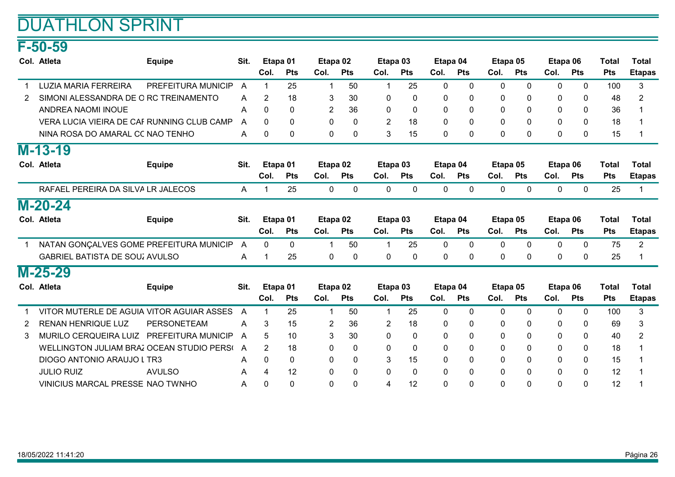### F-50-59

|   | Col. Atleta                                | <b>Equipe</b>      | Sit. | Etapa 01       |            | Etapa 02       |              |                | Etapa 03     |              | Etapa 04     |              | Etapa 05     | Etapa 06     |              | <b>Total</b> | <b>Total</b>   |
|---|--------------------------------------------|--------------------|------|----------------|------------|----------------|--------------|----------------|--------------|--------------|--------------|--------------|--------------|--------------|--------------|--------------|----------------|
|   |                                            |                    |      | Col.           | <b>Pts</b> | Col.           | <b>Pts</b>   | Col.           | <b>Pts</b>   | Col.         | <b>Pts</b>   | Col.         | <b>Pts</b>   | Col.         | <b>Pts</b>   | <b>Pts</b>   | <b>Etapas</b>  |
|   | <b>LUZIA MARIA FERREIRA</b>                | PREFEITURA MUNICIP | A    | 1              | 25         | $\mathbf 1$    | 50           | 1              | 25           | $\mathbf{0}$ | $\mathbf{0}$ | $\mathbf 0$  | $\Omega$     | $\mathbf{0}$ | $\mathbf{0}$ | 100          | 3              |
| 2 | SIMONI ALESSANDRA DE O RC TREINAMENTO      |                    | A    | $\overline{2}$ | 18         | 3              | 30           | 0              | 0            | 0            | 0            | $\mathbf 0$  | 0            | 0            | 0            | 48           | $\overline{2}$ |
|   | <b>ANDREA NAOMI INOUE</b>                  |                    | A    | $\Omega$       | $\Omega$   | $\overline{2}$ | 36           | $\mathbf{0}$   | $\mathbf{0}$ | $\Omega$     | 0            | $\mathbf{0}$ | $\Omega$     | $\Omega$     | $\mathbf{0}$ | 36           |                |
|   | VERA LUCIA VIEIRA DE CAF RUNNING CLUB CAMP |                    | A    | $\Omega$       | $\Omega$   | $\Omega$       | $\Omega$     | $\overline{2}$ | 18           | $\Omega$     | 0            | $\Omega$     | $\Omega$     | $\Omega$     | $\Omega$     | 18           |                |
|   | NINA ROSA DO AMARAL CC NAO TENHO           |                    | A    | 0              | 0          | 0              | 0            | 3              | 15           | 0            | 0            | $\mathbf 0$  | 0            | 0            | $\mathbf{0}$ | 15           |                |
|   | $M-13-19$                                  |                    |      |                |            |                |              |                |              |              |              |              |              |              |              |              |                |
|   | Col. Atleta                                | <b>Equipe</b>      | Sit. | Etapa 01       |            | Etapa 02       |              |                | Etapa 03     | Etapa 04     |              |              | Etapa 05     | Etapa 06     |              | <b>Total</b> | <b>Total</b>   |
|   |                                            |                    |      | Col.           | <b>Pts</b> | Col.           | <b>Pts</b>   | Col.           | <b>Pts</b>   | Col.         | <b>Pts</b>   | Col.         | Pts          | Col.         | <b>Pts</b>   | <b>Pts</b>   | <b>Etapas</b>  |
|   | RAFAEL PEREIRA DA SILVA LR JALECOS         |                    | A    | 1              | 25         | $\mathbf 0$    | 0            | 0              | 0            | 0            | $\mathbf{0}$ | 0            | $\mathbf{0}$ | 0            | 0            | 25           |                |
|   | $M-20-24$                                  |                    |      |                |            |                |              |                |              |              |              |              |              |              |              |              |                |
|   | Col. Atleta                                | <b>Equipe</b>      | Sit. | Etapa 01       |            | Etapa 02       |              |                | Etapa 03     | Etapa 04     |              |              | Etapa 05     | Etapa 06     |              | <b>Total</b> | <b>Total</b>   |
|   |                                            |                    |      | Col.           | <b>Pts</b> | Col.           | <b>Pts</b>   | Col.           | <b>Pts</b>   | Col.         | <b>Pts</b>   | Col.         | <b>Pts</b>   | Col.         | <b>Pts</b>   | <b>Pts</b>   | <b>Etapas</b>  |
|   | NATAN GONÇALVES GOME PREFEITURA MUNICIP    |                    | A    | $\Omega$       | $\Omega$   | $\mathbf 1$    | 50           | 1              | 25           | $\Omega$     | $\Omega$     | $\mathbf{0}$ | $\Omega$     | $\Omega$     | $\mathbf{0}$ | 75           | $\overline{2}$ |
|   | <b>GABRIEL BATISTA DE SOU  AVULSO</b>      |                    | A    |                | 25         | 0              | 0            | $\mathbf{0}$   | 0            | 0            | 0            | $\Omega$     | $\mathbf{0}$ | 0            | $\mathbf{0}$ | 25           |                |
|   | $M-25-29$                                  |                    |      |                |            |                |              |                |              |              |              |              |              |              |              |              |                |
|   | Col. Atleta                                | <b>Equipe</b>      | Sit. |                | Etapa 01   | Etapa 02       |              |                | Etapa 03     | Etapa 04     |              |              | Etapa 05     | Etapa 06     |              | <b>Total</b> | <b>Total</b>   |
|   |                                            |                    |      | Col.           | <b>Pts</b> | Col.           | <b>Pts</b>   | Col.           | <b>Pts</b>   | Col.         | <b>Pts</b>   | Col.         | Pts          | Col.         | <b>Pts</b>   | Pts          | <b>Etapas</b>  |
|   | VITOR MUTERLE DE AGUIA VITOR AGUIAR ASSES  |                    | A    | 1              | 25         | $\mathbf 1$    | 50           | 1              | 25           | $\Omega$     | $\Omega$     | $\mathbf 0$  | $\Omega$     | $\mathbf{0}$ | $\Omega$     | 100          | 3              |
|   | <b>RENAN HENRIQUE LUZ</b>                  | <b>PERSONETEAM</b> | A    | 3              | 15         | $\overline{2}$ | 36           | 2              | 18           | 0            | 0            | $\mathbf 0$  | $\Omega$     | $\Omega$     | $\mathbf{0}$ | 69           | 3              |
| 3 | MURILO CERQUEIRA LUIZ PREFEITURA MUNICIP   |                    | A    | 5              | 10         | 3              | 30           | $\mathbf{0}$   | $\mathbf{0}$ | 0            | 0            | $\mathbf 0$  | $\mathbf{0}$ | 0            | $\mathbf{0}$ | 40           | 2              |
|   | WELLINGTON JULIAM BRAZ OCEAN STUDIO PERS(  |                    | A    | $\overline{2}$ | 18         | 0              | 0            | 0              | 0            | $\Omega$     | 0            | 0            | $\Omega$     | 0            | $\mathbf{0}$ | 18           |                |
|   | DIOGO ANTONIO ARAUJO L TR3                 |                    | A    | 0              | 0          | 0              | $\mathbf{0}$ | 3              | 15           | $\mathbf{0}$ | 0            | $\mathbf 0$  | $\Omega$     | $\mathbf{0}$ | 0            | 15           |                |
|   | <b>JULIO RUIZ</b>                          | <b>AVULSO</b>      | A    | 4              | 12         | $\mathbf{0}$   | 0            | $\mathbf{0}$   | $\mathbf 0$  | $\mathbf{0}$ | 0            | $\mathbf 0$  | $\Omega$     | 0            | $\mathbf{0}$ | 12           |                |
|   | VINICIUS MARCAL PRESSE NAO TWNHO           |                    | Α    | $\Omega$       | $\Omega$   | $\mathbf 0$    | $\Omega$     | 4              | 12           | $\Omega$     | $\Omega$     | $\mathbf 0$  | $\Omega$     | $\Omega$     | $\Omega$     | 12           |                |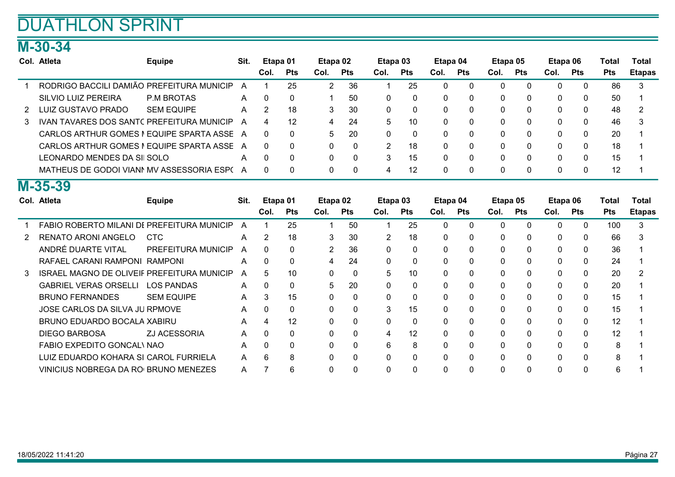### M-30-34

|   | Col. Atleta                                       | <b>Equipe</b>      | Sit. | Etapa 01       |            | Etapa 02    |            |              | Etapa 03     | Etapa 04     |            | Etapa 05    |              | Etapa 06     |              | <b>Total</b> | <b>Total</b>  |
|---|---------------------------------------------------|--------------------|------|----------------|------------|-------------|------------|--------------|--------------|--------------|------------|-------------|--------------|--------------|--------------|--------------|---------------|
|   |                                                   |                    |      | Col.           | <b>Pts</b> | Col.        | <b>Pts</b> | Col.         | <b>Pts</b>   | Col.         | <b>Pts</b> | Col.        | <b>Pts</b>   | Col.         | <b>Pts</b>   | <b>Pts</b>   | <b>Etapas</b> |
|   | RODRIGO BACCILI DAMIÃO PREFEITURA MUNICIP         |                    | A    | 1              | 25         | 2           | 36         | 1            | 25           | $\Omega$     | 0          | $\mathbf 0$ | $\Omega$     | $\mathbf{0}$ | $\mathbf 0$  | 86           | 3             |
|   | SILVIO LUIZ PEREIRA                               | <b>P.M BROTAS</b>  | A    | 0              | 0          |             | 50         | $\Omega$     | $\mathbf 0$  | 0            | 0          | $\mathbf 0$ | $\Omega$     | $\Omega$     | $\mathbf{0}$ | 50           |               |
| 2 | <b>LUIZ GUSTAVO PRADO</b>                         | <b>SEM EQUIPE</b>  | A    | $\overline{2}$ | 18         | 3           | 30         | 0            | $\Omega$     | 0            | 0          | $\Omega$    | $\Omega$     | 0            | $\Omega$     | 48           | 2             |
| 3 | IVAN TAVARES DOS SANTC PREFEITURA MUNICIP         |                    | A    | 4              | 12         | 4           | 24         | 5            | 10           | 0            | 0          | $\Omega$    | 0            | 0            | $\mathbf{0}$ | 46           |               |
|   | CARLOS ARTHUR GOMES I EQUIPE SPARTA ASSE          |                    | A    | 0              | 0          | 5           | 20         | $\mathbf{0}$ | 0            | $\mathbf{0}$ | 0          | 0           | $\mathbf{0}$ | 0            | 0            | 20           |               |
|   | CARLOS ARTHUR GOMES I EQUIPE SPARTA ASSE          |                    | A    | 0              | 0          | 0           | $\Omega$   | 2            | 18           | 0            | 0          | $\mathbf 0$ | $\Omega$     | 0            | 0            | 18           |               |
|   | LEONARDO MENDES DA SI SOLO                        |                    | A    | 0              | $\Omega$   | 0           | $\Omega$   | 3            | 15           | 0            | $\Omega$   | $\mathbf 0$ | $\Omega$     | $\Omega$     | $\mathbf{0}$ | 15           |               |
|   | MATHEUS DE GODOI VIANI MV ASSESSORIA ESP(A        |                    |      | 0              | 0          | 0           | $\Omega$   | 4            | 12           | 0            | 0          | $\mathbf 0$ | $\Omega$     | 0            | $\Omega$     | 12           |               |
|   | M-35-39                                           |                    |      |                |            |             |            |              |              |              |            |             |              |              |              |              |               |
|   | Col. Atleta                                       | <b>Equipe</b>      | Sit. | Etapa 01       |            | Etapa 02    |            |              | Etapa 03     | Etapa 04     |            | Etapa 05    |              | Etapa 06     |              | <b>Total</b> | <b>Total</b>  |
|   |                                                   |                    |      | Col.           | <b>Pts</b> | Col.        | <b>Pts</b> | Col.         | <b>Pts</b>   | Col.         | <b>Pts</b> | Col.        | <b>Pts</b>   | Col.         | <b>Pts</b>   | <b>Pts</b>   | <b>Etapas</b> |
|   | FABIO ROBERTO MILANI DE PREFEITURA MUNICIP        |                    | A    | 1              | 25         | $\mathbf 1$ | 50         | 1            | 25           | $\mathbf{0}$ | 0          | $\mathbf 0$ | $\mathbf{0}$ | $\Omega$     | $\mathbf{0}$ | 100          | 3             |
| 2 | RENATO ARONI ANGELO                               | <b>CTC</b>         | A    | $\overline{2}$ | 18         | 3           | 30         | 2            | 18           | 0            | 0          | 0           | 0            | 0            | $\mathbf{0}$ | 66           |               |
|   | ANDRÉ DUARTE VITAL                                | PREFEITURA MUNICIP | A    | 0              | $\Omega$   | 2           | 36         | $\Omega$     | $\mathbf{0}$ | $\Omega$     | 0          | $\Omega$    | $\Omega$     | 0            | $\Omega$     | 36           |               |
|   | RAFAEL CARANI RAMPONI RAMPONI                     |                    | A    | 0              | $\Omega$   | 4           | 24         | $\Omega$     | $\Omega$     | $\Omega$     | 0          | $\Omega$    | $\Omega$     | 0            | $\mathbf{0}$ | 24           |               |
| 3 | <b>ISRAEL MAGNO DE OLIVEIF PREFEITURA MUNICIP</b> |                    | A    | 5.             | 10         | $\Omega$    | $\Omega$   | 5            | 10           | 0            | 0          | $\Omega$    | $\Omega$     | $\Omega$     | $\mathbf{0}$ | 20           |               |
|   | <b>GABRIEL VERAS ORSELLI</b>                      | <b>LOS PANDAS</b>  | A    | 0              | 0          | 5           | 20         | 0            | $\Omega$     | 0            | 0          | $\Omega$    | $\Omega$     | 0            | $\Omega$     | 20           |               |
|   | <b>BRUNO FERNANDES</b>                            | <b>SEM EQUIPE</b>  | A    | 3              | 15         | 0           | 0          | 0            | 0            | 0            | 0          | 0           | 0            | 0            | 0            | 15           |               |
|   | JOSE CARLOS DA SILVA JU RPMOVE                    |                    | A    | 0              | 0          | 0           | 0          | 3            | 15           | 0            | 0          | 0           | 0            | 0            | 0            | 15           |               |
|   | BRUNO EDUARDO BOCALA XABIRU                       |                    | A    | 4              | 12         | 0           | 0          | $\Omega$     | $\Omega$     | 0            | 0          | $\Omega$    | 0            | 0            | 0            | 12           |               |
|   | <b>DIEGO BARBOSA</b>                              | ZJ ACESSORIA       | A    | 0              | 0          | 0           | $\Omega$   | 4            | 12           | 0            | 0          | $\Omega$    | 0            | 0            | $\mathbf{0}$ | 12           |               |
|   | <b>FABIO EXPEDITO GONCAL\ NAO</b>                 |                    | A    | 0              | $\Omega$   | $\Omega$    | $\Omega$   | 6            | 8            | 0            | 0          | $\mathbf 0$ | $\Omega$     | $\Omega$     | $\Omega$     | 8            |               |
|   | LUIZ EDUARDO KOHARA SI CAROL FURRIELA             |                    | A    | 6              | 8          | 0           | 0          | $\Omega$     | $\Omega$     | 0            | 0          | $\Omega$    | 0            | $\Omega$     | $\Omega$     | 8            |               |
|   | VINICIUS NOBREGA DA RO BRUNO MENEZES              |                    | A    | 7              | 6          | $\Omega$    | $\Omega$   | $\Omega$     | $\Omega$     | 0            | 0          | $\Omega$    | 0            | U            | $\Omega$     | 6            |               |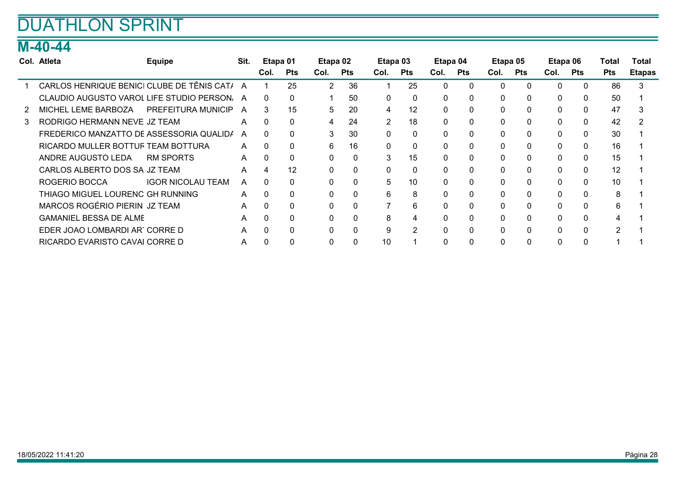### M-40-44

|   | Col. Atleta                                  | <b>Equipe</b>            | Sit. | Etapa 01 |              | Etapa 02     |              | Etapa 03       |              | Etapa 04     |     | Etapa 05 |              | Etapa 06 |              | Total      | Total         |
|---|----------------------------------------------|--------------------------|------|----------|--------------|--------------|--------------|----------------|--------------|--------------|-----|----------|--------------|----------|--------------|------------|---------------|
|   |                                              |                          |      | Col.     | <b>Pts</b>   | Col.         | <b>Pts</b>   | Col.           | Pts          | Col.         | Pts | Col.     | Pts          | Col.     | <b>Pts</b>   | <b>Pts</b> | <b>Etapas</b> |
|   | CARLOS HENRIQUE BENICI CLUBE DE TÊNIS CAT/ A |                          |      |          | 25           | 2            | 36           |                | 25           | 0            |     | $\Omega$ | $\Omega$     | $\Omega$ | $\Omega$     | 86         | 3             |
|   | CLAUDIO AUGUSTO VAROL LIFE STUDIO PERSON. A  |                          |      | 0        | $\Omega$     |              | 50           | 0              | $\mathbf{0}$ | 0            | 0   | 0        | $\mathbf{0}$ | $\Omega$ | $\mathbf{0}$ | 50         |               |
|   | MICHEL LEME BARBOZA                          | PREFEITURA MUNICIP       | A    | 3        | 15           | 5            | 20           | 4              | 12           | 0            |     | 0        | 0            | 0        | $\mathbf{0}$ | 47         |               |
| 3 | RODRIGO HERMANN NEVE JZ TEAM                 |                          | A    | 0        | $\Omega$     | 4            | 24           | $\overline{2}$ | 18           | $\Omega$     |     | 0        | $\Omega$     | $\Omega$ | $\mathbf{0}$ | 42         |               |
|   | FREDERICO MANZATTO DE ASSESSORIA QUALIDA     |                          | A    | 0        | $\mathbf{0}$ | 3            | 30           | 0              | $\mathbf{0}$ | 0            |     | 0        | $\mathbf{0}$ | $\Omega$ | $\mathbf{0}$ | 30         |               |
|   | RICARDO MULLER BOTTUF TEAM BOTTURA           |                          | A    | $\Omega$ | 0            | 6            | 16           | $\mathbf{0}$   | $\mathbf 0$  | 0            |     | 0        | $\mathbf{0}$ | $\Omega$ | $\mathbf 0$  | 16         |               |
|   | ANDRE AUGUSTO LEDA                           | <b>RM SPORTS</b>         | A    | $\Omega$ | $\Omega$     | $\mathbf{0}$ | $\Omega$     | 3              | 15           | 0            |     | $\Omega$ | $\Omega$     | $\Omega$ | $\Omega$     | 15         |               |
|   | CARLOS ALBERTO DOS SA JZ TEAM                |                          | A    | 4        | 12           | 0            | $\Omega$     | $\Omega$       | $\mathbf{0}$ | $\Omega$     |     | $\Omega$ | $\Omega$     | $\Omega$ | $\mathbf{0}$ | 12         |               |
|   | ROGERIO BOCCA                                | <b>IGOR NICOLAU TEAM</b> | A    | $\Omega$ | $\mathbf{0}$ | 0            | 0            | 5              | 10           | <sup>n</sup> |     | 0        | $\mathbf{0}$ | $\Omega$ | 0            | 10         |               |
|   | THIAGO MIGUEL LOURENC GH RUNNING             |                          | A    | $\Omega$ | $\mathbf{0}$ | $\mathbf{0}$ | $\mathbf{0}$ | 6              | 8            | 0            | 0   | 0        | $\Omega$     | $\Omega$ | $\mathbf{0}$ | 8          |               |
|   | MARCOS ROGÉRIO PIERIN JZ TEAM                |                          | A    |          | $\Omega$     | 0            |              |                | 6            | 0            |     | $\Omega$ | $\Omega$     | 0        | $\Omega$     | 6          |               |
|   | <b>GAMANIEL BESSA DE ALME</b>                |                          | A    |          | 0            | 0            | 0            | 8              | 4            | $\Omega$     |     | $\Omega$ | $\mathbf{0}$ | $\Omega$ | $\mathbf{0}$ |            |               |
|   | EDER JOAO LOMBARDI ART CORRE D               |                          | A    | $\Omega$ | $\Omega$     | $\mathbf{0}$ | $\Omega$     | 9              | 2            | 0            | 0   | $\Omega$ | $\Omega$     | 0        | $\Omega$     | 2          |               |
|   | RICARDO EVARISTO CAVAI CORRE D               |                          | A    |          |              | 0            |              | 10             |              |              |     | $\Omega$ | $\mathbf{0}$ |          | 0            |            |               |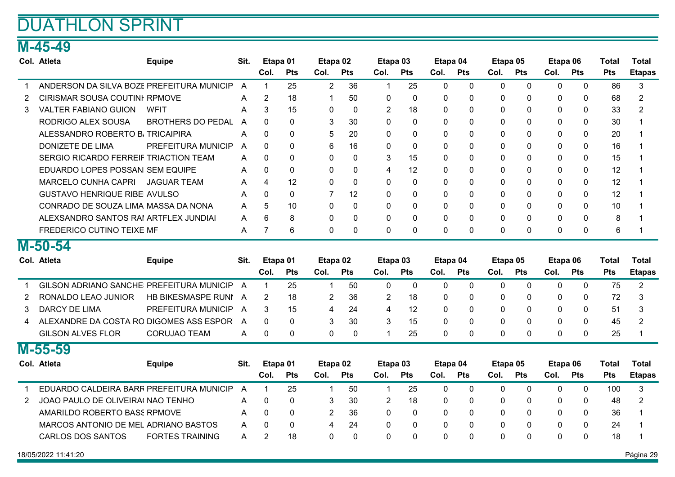### M-45-49

|                | Col. Atleta                               | <b>Equipe</b>            | Sit.           | Etapa 01       |            | Etapa 02       |              | Etapa 03       |              | Etapa 04     |              | Etapa 05     |              | Etapa 06 |              | <b>Total</b> | <b>Total</b>   |
|----------------|-------------------------------------------|--------------------------|----------------|----------------|------------|----------------|--------------|----------------|--------------|--------------|--------------|--------------|--------------|----------|--------------|--------------|----------------|
|                |                                           |                          |                | Col.           | <b>Pts</b> | Col.           | <b>Pts</b>   | Col.           | <b>Pts</b>   | Col.         | <b>Pts</b>   | Col.         | Pts          | Col.     | Pts          | <b>Pts</b>   | <b>Etapas</b>  |
|                | ANDERSON DA SILVA BOZE PREFEITURA MUNICIP |                          | A              | $\mathbf{1}$   | 25         | $\overline{2}$ | 36           | 1              | 25           | $\mathbf 0$  | $\mathbf 0$  | $\mathbf 0$  | $\mathbf 0$  | 0        | $\mathbf 0$  | 86           | 3              |
| 2              | CIRISMAR SOUSA COUTINI RPMOVE             |                          | A              | $\overline{2}$ | 18         | 1              | 50           | 0              | $\mathbf{0}$ | $\mathbf{0}$ | 0            | $\mathbf{0}$ | $\mathbf{0}$ | 0        | $\mathbf{0}$ | 68           | $\overline{2}$ |
| 3              | <b>VALTER FABIANO GUION</b>               | <b>WFIT</b>              | A              | 3              | 15         | $\mathbf{0}$   | $\Omega$     | 2              | 18           | $\mathbf{0}$ | 0            | $\Omega$     | $\Omega$     | 0        | $\Omega$     | 33           | $\overline{2}$ |
|                | RODRIGO ALEX SOUSA                        | <b>BROTHERS DO PEDAL</b> | $\overline{A}$ | $\Omega$       | $\Omega$   | 3              | 30           | $\Omega$       | $\Omega$     | $\Omega$     | $\Omega$     | $\Omega$     | $\Omega$     | $\Omega$ | $\Omega$     | 30           |                |
|                | ALESSANDRO ROBERTO B, TRICAIPIRA          |                          | A              | $\Omega$       | $\Omega$   | 5              | 20           | $\Omega$       | $\Omega$     | $\Omega$     | 0            | $\Omega$     | $\Omega$     | $\Omega$ | $\Omega$     | 20           | 1              |
|                | <b>DONIZETE DE LIMA</b>                   | PREFEITURA MUNICIP       | A              | $\Omega$       | $\Omega$   | 6              | 16           | $\Omega$       | $\Omega$     | $\Omega$     | $\Omega$     | $\Omega$     | $\Omega$     | $\Omega$ | $\Omega$     | 16           | 1              |
|                | SERGIO RICARDO FERREIF TRIACTION TEAM     |                          | A              | $\Omega$       | 0          | $\mathbf{0}$   | $\Omega$     | 3              | 15           | $\Omega$     | $\Omega$     | 0            | $\Omega$     | 0        | $\mathbf{0}$ | 15           | $\mathbf 1$    |
|                | EDUARDO LOPES POSSAN SEM EQUIPE           |                          | A              | 0              | 0          | 0              | $\Omega$     | 4              | 12           | $\Omega$     | $\Omega$     | 0            | $\Omega$     | 0        | $\mathbf{0}$ | 12           | $\mathbf 1$    |
|                | <b>MARCELO CUNHA CAPRI</b>                | <b>JAGUAR TEAM</b>       | A              | 4              | 12         | 0              | $\mathbf{0}$ | 0              | 0            | $\mathbf{0}$ | $\Omega$     | $\mathbf{0}$ | $\Omega$     | 0        | $\mathbf{0}$ | 12           | 1              |
|                | <b>GUSTAVO HENRIQUE RIBE AVULSO</b>       |                          | A              | $\Omega$       | $\Omega$   | $\overline{7}$ | 12           | $\Omega$       | $\Omega$     | 0            | 0            | $\Omega$     | $\Omega$     | 0        | $\Omega$     | 12           |                |
|                | CONRADO DE SOUZA LIMA MASSA DA NONA       |                          | A              | 5              | 10         | $\Omega$       | $\Omega$     | $\Omega$       | $\Omega$     | $\Omega$     | $\Omega$     | $\Omega$     | $\Omega$     | $\Omega$ | $\Omega$     | 10           | 1              |
|                | ALEXSANDRO SANTOS RAI ARTFLEX JUNDIAI     |                          | A              | 6              | 8          | $\mathbf{0}$   | 0            | 0              | $\mathbf 0$  | $\mathbf 0$  | 0            | $\mathbf 0$  | $\mathbf 0$  | 0        | $\mathbf{0}$ | 8            |                |
|                | FREDERICO CUTINO TEIXE MF                 |                          | A              | $\overline{7}$ | 6          | $\Omega$       | $\Omega$     | $\Omega$       | $\Omega$     | $\Omega$     | 0            | $\Omega$     | $\Omega$     | $\Omega$ | $\Omega$     | 6            | 1              |
|                | $M-50-54$                                 |                          |                |                |            |                |              |                |              |              |              |              |              |          |              |              |                |
|                | Col. Atleta                               | <b>Equipe</b>            | Sit.           | Etapa 01       |            | Etapa 02       |              | Etapa 03       |              | Etapa 04     |              | Etapa 05     |              | Etapa 06 |              | <b>Total</b> | <b>Total</b>   |
|                |                                           |                          |                | Col.           | <b>Pts</b> | Col.           | Pts          | Col.           | Pts          | Col.         | <b>Pts</b>   | Col.         | Pts          | Col.     | <b>Pts</b>   | Pts          | <b>Etapas</b>  |
| 1              | GILSON ADRIANO SANCHE PREFEITURA MUNICIP  |                          | $\overline{A}$ | $\mathbf{1}$   | 25         | $\mathbf{1}$   | 50           | 0              | $\mathbf 0$  | $\mathbf 0$  | $\mathbf 0$  | $\Omega$     | $\Omega$     | 0        | $\mathbf 0$  | 75           | $\overline{2}$ |
| 2              | RONALDO LEAO JUNIOR                       | HB BIKESMASPE RUNI       | A              | $\overline{2}$ | 18         | 2              | 36           | 2              | 18           | 0            | 0            | 0            | $\Omega$     | 0        | $\Omega$     | 72           | 3              |
| 3              | <b>DARCY DE LIMA</b>                      | PREFEITURA MUNICIP       | A              | 3              | 15         | $\overline{4}$ | 24           | 4              | 12           | $\Omega$     | $\Omega$     | $\Omega$     | $\Omega$     | $\Omega$ | $\Omega$     | 51           | 3              |
| 4              | ALEXANDRE DA COSTA RO DIGOMES ASS ESPOR   |                          | A              | $\Omega$       | 0          | 3              | 30           | 3              | 15           | $\Omega$     | 0            | $\Omega$     | $\Omega$     | $\Omega$ | $\Omega$     | 45           | 2              |
|                | <b>GILSON ALVES FLOR</b>                  | <b>CORUJAO TEAM</b>      | A              | $\Omega$       | 0          | 0              | $\Omega$     | 1              | 25           | $\Omega$     | 0            | $\Omega$     | $\Omega$     | $\Omega$ | $\Omega$     | 25           | 1              |
|                | M-55-59                                   |                          |                |                |            |                |              |                |              |              |              |              |              |          |              |              |                |
|                | Col. Atleta                               | <b>Equipe</b>            | Sit.           | Etapa 01       |            | Etapa 02       |              | Etapa 03       |              | Etapa 04     |              | Etapa 05     |              | Etapa 06 |              | <b>Total</b> | <b>Total</b>   |
|                |                                           |                          |                | Col.           | Pts        | Col.           | <b>Pts</b>   | Col.           | Pts          | Col.         | Pts          | Col.         | Pts          | Col.     | Pts          | <b>Pts</b>   | <b>Etapas</b>  |
| $\mathbf 1$    | EDUARDO CALDEIRA BARR PREFEITURA MUNICIP  |                          | $\overline{A}$ | $\mathbf{1}$   | 25         | $\mathbf 1$    | 50           | $\mathbf{1}$   | 25           | $\Omega$     | $\mathbf{0}$ | $\Omega$     | $\Omega$     | 0        | $\Omega$     | 100          | 3              |
| $\overline{2}$ | JOAO PAULO DE OLIVEIRA NAO TENHO          |                          | A              | 0              | 0          | 3              | 30           | $\overline{2}$ | 18           | $\mathbf{0}$ | $\mathbf{0}$ | $\mathbf{0}$ | $\mathbf{0}$ | 0        | $\mathbf{0}$ | 48           | 2              |
|                | AMARILDO ROBERTO BASS RPMOVE              |                          | A              | $\Omega$       | 0          | $\overline{2}$ | 36           | 0              | $\mathbf{0}$ | $\Omega$     | 0            | $\mathbf 0$  | $\Omega$     | 0        | 0            | 36           | 1              |
|                | MARCOS ANTONIO DE MEL ADRIANO BASTOS      |                          | A              | 0              | 0          | 4              | 24           | 0              | 0            | 0            | 0            | 0            | $\mathbf{0}$ | 0        | 0            | 24           | 1              |
|                | <b>CARLOS DOS SANTOS</b>                  | <b>FORTES TRAINING</b>   | A              | $\overline{2}$ | 18         | $\Omega$       | $\Omega$     |                |              |              | $\Omega$     | $\Omega$     | $\Omega$     | $\Omega$ | $\Omega$     | 18           |                |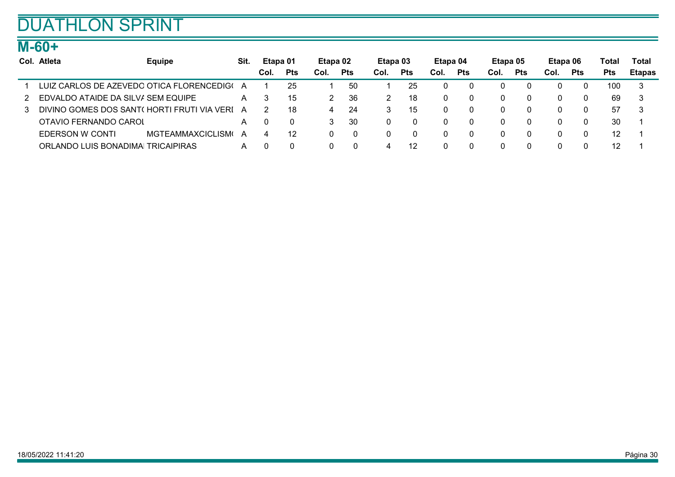### M-60+

| Col. Atleta                                | <b>Equipe</b>           | Sit. | Etapa 01 |            | Etapa 02 |     | Etapa 03 |            | Etapa 04 |            | Etapa 05 |            | Etapa 06 |            | Total      | Total         |
|--------------------------------------------|-------------------------|------|----------|------------|----------|-----|----------|------------|----------|------------|----------|------------|----------|------------|------------|---------------|
|                                            |                         |      | Col.     | <b>Pts</b> | Col.     | Pts | Col.     | <b>Pts</b> | Col.     | <b>Pts</b> | Col.     | <b>Pts</b> | Col.     | <b>Pts</b> | <b>Pts</b> | <b>Etapas</b> |
| LUIZ CARLOS DE AZEVEDO OTICA FLORENCEDIG(  |                         | A    |          | 25         |          | 50  |          | 25         |          |            |          |            |          |            | 100        |               |
| EDVALDO ATAIDE DA SILV/ SEM EQUIPE         |                         | A    |          | 15         |          | 36  |          | 18         |          |            |          | -0         |          | $\Omega$   | 69         | -3            |
| DIVINO GOMES DOS SANT(HORTI FRUTI VIA VERI |                         | A    |          | 18         | 4        | -24 |          | 15         |          |            |          | -0         | 0        | 0          | 57         | -3            |
| OTAVIO FERNANDO CAROL                      |                         | A    |          |            |          | 30  |          | $\Omega$   |          |            |          |            |          | 0          | 30         |               |
| <b>EDERSON W CONTI</b>                     | <b>MGTEAMMAXCICLISM</b> | A    |          | 12         |          | -0  | 0        | $\Omega$   |          |            |          |            |          | 0          | 12         |               |
| ORLANDO LUIS BONADIMAI TRICAIPIRAS         |                         | A    |          |            |          |     |          | 12         |          |            |          |            |          | 0          | 12         |               |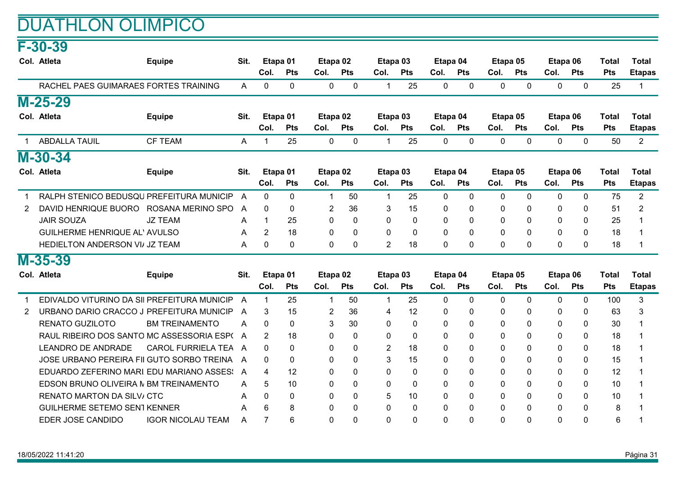### DUATHLON OLIMPICO

## F-30-39

|                | Col. Atleta                                 | <b>Equipe</b>             | Sit. | Etapa 01       |            | Etapa 02       |              | Etapa <sub>03</sub> |              | Etapa 04     |              |              | Etapa 05     | Etapa 06     |              | <b>Total</b> | <b>Total</b>   |
|----------------|---------------------------------------------|---------------------------|------|----------------|------------|----------------|--------------|---------------------|--------------|--------------|--------------|--------------|--------------|--------------|--------------|--------------|----------------|
|                |                                             |                           |      | Col.           | <b>Pts</b> | Col.           | <b>Pts</b>   | Col.                | <b>Pts</b>   | Col.         | <b>Pts</b>   | Col.         | <b>Pts</b>   | Col.         | <b>Pts</b>   | <b>Pts</b>   | <b>Etapas</b>  |
|                | RACHEL PAES GUIMARAES FORTES TRAINING       |                           | A    | 0              | 0          | $\mathbf 0$    | 0            | 1                   | 25           | 0            | $\mathbf{0}$ | $\mathbf 0$  | $\mathbf{0}$ | $\mathbf{0}$ | 0            | 25           | 1              |
|                | $M-25-29$                                   |                           |      |                |            |                |              |                     |              |              |              |              |              |              |              |              |                |
|                | Col. Atleta                                 | <b>Equipe</b>             | Sit. |                | Etapa 01   | Etapa 02       |              |                     | Etapa 03     | Etapa 04     |              | Etapa 05     |              |              | Etapa 06     | <b>Total</b> | <b>Total</b>   |
|                |                                             |                           |      | Col.           | <b>Pts</b> | Col.           | <b>Pts</b>   | Col.                | Pts          | Col.         | Pts          | Col.         | Pts          | Col.         | Pts          | Pts          | <b>Etapas</b>  |
| $\mathbf{1}$   | <b>ABDALLA TAUIL</b>                        | <b>CF TEAM</b>            | A    | 1              | 25         | $\mathbf{0}$   | $\mathbf{0}$ | 1                   | 25           | 0            | $\mathbf{0}$ | $\mathbf{0}$ | $\Omega$     | $\mathbf{0}$ | $\mathbf{0}$ | 50           | $\overline{2}$ |
|                | M-30-34                                     |                           |      |                |            |                |              |                     |              |              |              |              |              |              |              |              |                |
|                | Col. Atleta                                 | <b>Equipe</b>             | Sit. |                | Etapa 01   | Etapa 02       |              | Etapa 03            |              | Etapa 04     |              | Etapa 05     |              |              | Etapa 06     | <b>Total</b> | <b>Total</b>   |
|                |                                             |                           |      | Col.           | <b>Pts</b> | Col.           | <b>Pts</b>   | Col.                | <b>Pts</b>   | Col.         | Pts          | Col.         | <b>Pts</b>   | Col.         | <b>Pts</b>   | <b>Pts</b>   | <b>Etapas</b>  |
| 1              | RALPH STENICO BEDUSQU PREFEITURA MUNICIP    |                           | A    | 0              | 0          | $\overline{1}$ | 50           | $\mathbf{1}$        | 25           | $\mathbf{0}$ | $\Omega$     | $\mathbf{0}$ | $\mathbf{0}$ | $\mathbf{0}$ | $\mathbf{0}$ | 75           | $\overline{2}$ |
| $\overline{2}$ | DAVID HENRIQUE BUORO ROSANA MERINO SPO      |                           | A    | 0              | 0          | $\overline{c}$ | 36           | 3                   | 15           | 0            | 0            | 0            | $\mathbf{0}$ | 0            | 0            | 51           | 2              |
|                | <b>JAIR SOUZA</b>                           | <b>JZ TEAM</b>            | A    | 1              | 25         | $\mathbf 0$    | $\Omega$     | $\Omega$            | $\Omega$     | 0            | $\Omega$     | $\mathbf 0$  | $\Omega$     | $\Omega$     | $\Omega$     | 25           |                |
|                | <b>GUILHERME HENRIQUE AL' AVULSO</b>        |                           | A    | $\overline{2}$ | 18         | $\mathbf{0}$   | $\Omega$     | $\Omega$            | $\Omega$     | $\Omega$     | $\Omega$     | $\Omega$     | $\Omega$     | $\Omega$     | $\Omega$     | 18           |                |
|                | HEDIELTON ANDERSON VI/ JZ TEAM              |                           | A    | 0              | 0          | 0              | $\mathbf{0}$ | $\overline{2}$      | 18           | 0            | 0            | 0            | 0            | $\Omega$     | 0            | 18           |                |
|                | $M-35-39$                                   |                           |      |                |            |                |              |                     |              |              |              |              |              |              |              |              |                |
|                | Col. Atleta                                 | <b>Equipe</b>             | Sit. |                | Etapa 01   | Etapa 02       |              | Etapa 03            |              | Etapa 04     |              | Etapa 05     |              |              | Etapa 06     | <b>Total</b> | <b>Total</b>   |
|                |                                             |                           |      | Col.           | <b>Pts</b> | Col.           | <b>Pts</b>   | Col.                | <b>Pts</b>   | Col.         | <b>Pts</b>   | Col.         | <b>Pts</b>   | Col.         | <b>Pts</b>   | Pts          | <b>Etapas</b>  |
|                | EDIVALDO VITURINO DA SII PREFEITURA MUNICIP |                           | A    | $\mathbf{1}$   | 25         | $\mathbf 1$    | 50           | 1                   | 25           | 0            | 0            | 0            | $\mathbf{0}$ | $\Omega$     | $\mathbf{0}$ | 100          | 3              |
| $\overline{2}$ | URBANO DARIO CRACCO J PREFEITURA MUNICIP    |                           | A    | 3              | 15         | 2              | 36           | 4                   | 12           | 0            | 0            | 0            | $\Omega$     | 0            | 0            | 63           | 3              |
|                | <b>RENATO GUZILOTO</b>                      | <b>BM TREINAMENTO</b>     | A    | $\Omega$       | 0          | 3              | 30           | $\Omega$            | $\Omega$     | 0            | $\Omega$     | $\mathbf{0}$ | $\Omega$     | $\Omega$     | 0            | 30           |                |
|                | RAUL RIBEIRO DOS SANTO MC ASSESSORIA ESPO   |                           | A    | 2              | 18         | 0              | $\mathbf{0}$ | $\Omega$            | $\mathbf{0}$ | 0            | $\Omega$     | 0            | $\Omega$     | 0            | $\mathbf{0}$ | 18           |                |
|                | <b>LEANDRO DE ANDRADE</b>                   | <b>CAROL FURRIELA TEA</b> | A    | $\Omega$       | $\Omega$   | 0              | 0            | $\overline{2}$      | 18           | 0            | 0            | 0            | 0            | 0            | $\mathbf 0$  | 18           |                |
|                | JOSE URBANO PEREIRA FII GUTO SORBO TREINA   |                           | A    | $\Omega$       | 0          | 0              | $\Omega$     | 3                   | 15           | 0            | $\Omega$     | 0            | $\Omega$     | $\Omega$     | $\Omega$     | 15           |                |
|                | EDUARDO ZEFERINO MARI EDU MARIANO ASSES:    |                           | A    | 4              | 12         | 0              | 0            | 0                   | 0            | 0            | 0            | 0            | 0            | $\mathbf{0}$ | $\mathbf{0}$ | 12           |                |
|                | EDSON BRUNO OLIVEIRA N BM TREINAMENTO       |                           | A    | 5              | 10         | 0              | $\Omega$     | $\Omega$            | $\Omega$     | 0            | 0            | 0            | $\Omega$     | 0            | $\mathbf{0}$ | 10           |                |
|                | <b>RENATO MARTON DA SILV/ CTC</b>           |                           | A    | $\Omega$       | 0          | $\mathbf{0}$   | $\Omega$     | 5                   | 10           | 0            | 0            | $\mathbf{0}$ | $\Omega$     | $\Omega$     | $\Omega$     | 10           |                |
|                | <b>GUILHERME SETEMO SEN1 KENNER</b>         |                           | A    | 6              | 8          | 0              | 0            | 0                   | 0            | 0            | 0            | 0            | $\mathbf{0}$ | 0            | $\mathbf{0}$ | 8            |                |
|                | EDER JOSE CANDIDO                           | <b>IGOR NICOLAU TEAM</b>  | A    | $\overline{7}$ | 6          | $\Omega$       | $\Omega$     | $\Omega$            | $\Omega$     | 0            | 0            | $\Omega$     | $\Omega$     | $\Omega$     | $\mathbf{0}$ | 6            |                |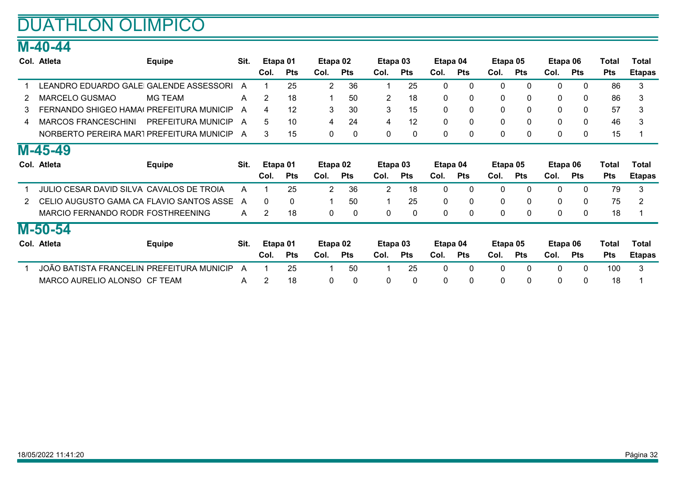### DUATHLON OLIMPICO

### M-40-44

|   | Col. Atleta                               | <b>Equipe</b>      | Sit. | Etapa 01       |            | Etapa 02     |              | Etapa 03       |              | Etapa 04     |              | Etapa 05     |              | Etapa 06     |              | Total      | Total         |
|---|-------------------------------------------|--------------------|------|----------------|------------|--------------|--------------|----------------|--------------|--------------|--------------|--------------|--------------|--------------|--------------|------------|---------------|
|   |                                           |                    |      | Col.           | Pts        | Col.         | <b>Pts</b>   | Col.           | <b>Pts</b>   | Col.         | <b>Pts</b>   | Col.         | <b>Pts</b>   | Col.         | <b>Pts</b>   | <b>Pts</b> | <b>Etapas</b> |
|   | LEANDRO EDUARDO GALEI GALENDE ASSESSORI   |                    | A    |                | 25         | 2            | 36           |                | 25           | $\Omega$     | $\mathbf{0}$ | $\mathbf 0$  | $\mathbf{0}$ | $\mathbf{0}$ | 0            | 86         | 3             |
|   | <b>MARCELO GUSMAO</b>                     | <b>MG TEAM</b>     | A    | $\overline{2}$ | 18         |              | 50           | $\overline{2}$ | 18           | 0            | 0            | 0            | 0            | $\mathbf{0}$ | 0            | 86         | 3             |
| 3 | FERNANDO SHIGEO HAMA (PREFEITURA MUNICIP  |                    | A    | 4              | 12         | 3            | 30           | 3              | 15           | $\mathbf{0}$ | 0            | 0            | $\mathbf{0}$ | $\mathbf{0}$ | 0            | 57         | 3             |
| 4 | <b>MARCOS FRANCESCHINI</b>                | PREFEITURA MUNICIP | A    | 5              | 10         | 4            | 24           | 4              | 12           | $\mathbf{0}$ | 0            | $\mathbf{0}$ | $\mathbf{0}$ | $\mathbf{0}$ | 0            | 46         | 3             |
|   | NORBERTO PEREIRA MAR1 PREFEITURA MUNICIP  |                    | A    | 3              | 15         | 0            | 0            | 0              | $\mathbf{0}$ | 0            | 0            | 0            | $\mathbf{0}$ | $\mathbf{0}$ | $\mathbf{0}$ | 15         |               |
|   | M-45-49                                   |                    |      |                |            |              |              |                |              |              |              |              |              |              |              |            |               |
|   | Col. Atleta                               | <b>Equipe</b>      | Sit. |                | Etapa 01   | Etapa 02     |              | Etapa 03       |              | Etapa 04     |              | Etapa 05     |              | Etapa 06     |              | Total      | <b>Total</b>  |
|   |                                           |                    |      | Col.           | <b>Pts</b> | Col.         | <b>Pts</b>   | Col.           | <b>Pts</b>   | Col.         | <b>Pts</b>   | Col.         | <b>Pts</b>   | Col.         | <b>Pts</b>   | <b>Pts</b> | <b>Etapas</b> |
|   | JULIO CESAR DAVID SILVA CAVALOS DE TROIA  |                    | A    |                | 25         | 2            | 36           | 2              | 18           | 0            | 0            | 0            | 0            | 0            | 0            | 79         | 3             |
|   | CELIO AUGUSTO GAMA CA FLAVIO SANTOS ASSE  |                    | A    | 0              | 0          |              | 50           |                | 25           | $\mathbf{0}$ | $\mathbf{0}$ | 0            | 0            | 0            | 0            | 75         | 2             |
|   | MARCIO FERNANDO RODR FOSTHREENING         |                    | A    | 2              | 18         | $\mathbf 0$  | 0            | 0              | $\mathbf 0$  | 0            | 0            | 0            | 0            | 0            | 0            | 18         |               |
|   | M-50-54                                   |                    |      |                |            |              |              |                |              |              |              |              |              |              |              |            |               |
|   | Col. Atleta                               | <b>Equipe</b>      | Sit. |                | Etapa 01   | Etapa 02     |              | Etapa 03       |              | Etapa 04     |              | Etapa 05     |              | Etapa 06     |              | Total      | Total         |
|   |                                           |                    |      | Col.           | <b>Pts</b> | Col.         | <b>Pts</b>   | Col.           | <b>Pts</b>   | Col.         | <b>Pts</b>   | Col.         | <b>Pts</b>   | Col.         | <b>Pts</b>   | <b>Pts</b> | <b>Etapas</b> |
|   | JOÃO BATISTA FRANCELIN PREFEITURA MUNICIP |                    | A    |                | 25         |              | 50           |                | 25           | 0            | $\mathbf{0}$ | $\mathbf 0$  | $\mathbf{0}$ | $\mathbf{0}$ | $\mathbf{0}$ | 100        | 3             |
|   | MARCO AURELIO ALONSO CF TEAM              |                    | A    | 2              | 18         | $\mathbf{0}$ | $\mathbf{0}$ | 0              | $\mathbf 0$  | 0            | 0            | $\mathbf 0$  | $\mathbf{0}$ | $\Omega$     | $\Omega$     | 18         |               |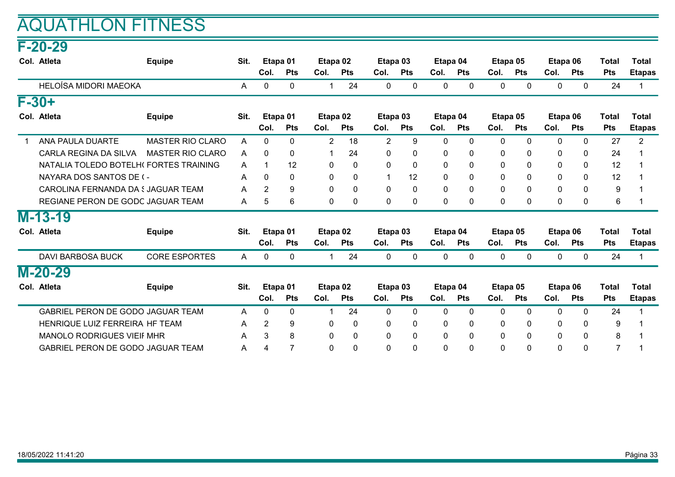### AQUATHLON FITNESS

#### F-20-29

| Col. Atleta                            | <b>Equipe</b>           | Sit. |                | Etapa 01   | Etapa 02             |              | Etapa 03       |             | Etapa 04 |            | Etapa 05     |              | Etapa 06     |              | Total            | <b>Total</b>   |
|----------------------------------------|-------------------------|------|----------------|------------|----------------------|--------------|----------------|-------------|----------|------------|--------------|--------------|--------------|--------------|------------------|----------------|
|                                        |                         |      | Col.           | <b>Pts</b> | Col.                 | <b>Pts</b>   | Col.           | <b>Pts</b>  | Col.     | <b>Pts</b> | Col.         | <b>Pts</b>   | Col.         | <b>Pts</b>   | <b>Pts</b>       | <b>Etapas</b>  |
| HELOÍSA MIDORI MAEOKA                  |                         | A    | 0              | 0          | 1                    | 24           | 0              | 0           | 0        | 0          | 0            | $\mathbf{0}$ | $\Omega$     | 0            | 24               |                |
| $F - 30 +$                             |                         |      |                |            |                      |              |                |             |          |            |              |              |              |              |                  |                |
| Col. Atleta                            | <b>Equipe</b>           | Sit. |                | Etapa 01   | Etapa 02             |              | Etapa 03       |             | Etapa 04 |            | Etapa 05     |              | Etapa 06     |              | Total            | <b>Total</b>   |
|                                        |                         |      | Col.           | <b>Pts</b> | Col.                 | <b>Pts</b>   | Col.           | <b>Pts</b>  | Col.     | <b>Pts</b> | Col.         | <b>Pts</b>   | Col.         | <b>Pts</b>   | <b>Pts</b>       | <b>Etapas</b>  |
| ANA PAULA DUARTE                       | <b>MASTER RIO CLARO</b> | Α    | 0              | 0          | $\overline{2}$       | 18           | $\overline{2}$ | 9           | 0        | 0          | $\mathbf 0$  | $\mathbf{0}$ | 0            | 0            | 27               | $\overline{2}$ |
| CARLA REGINA DA SILVA                  | <b>MASTER RIO CLARO</b> | A    | 0              | 0          | $\blacktriangleleft$ | 24           | 0              | 0           | 0        | 0          | 0            | 0            | 0            | 0            | 24               |                |
| NATALIA TOLEDO BOTELHI FORTES TRAINING |                         | A    | 1              | 12         | 0                    | $\mathbf{0}$ | $\Omega$       | $\mathbf 0$ | 0        | 0          | 0            | $\mathbf{0}$ | $\Omega$     | $\mathbf{0}$ | 12               |                |
| NAYARA DOS SANTOS DE (-                |                         | A    | 0              | 0          | $\mathbf{0}$         | $\mathbf{0}$ |                | 12          | 0        | 0          | 0            | $\Omega$     | 0            | $\mathbf{0}$ | 12               |                |
| CAROLINA FERNANDA DA SJAGUAR TEAM      |                         | Α    | $\overline{2}$ | 9          | $\mathbf 0$          | $\mathbf 0$  | 0              | $\mathbf 0$ | 0        | $\Omega$   | $\mathbf 0$  | $\mathbf{0}$ | $\Omega$     | $\mathbf{0}$ | $\boldsymbol{9}$ |                |
| REGIANE PERON DE GODC JAGUAR TEAM      |                         | A    | 5              | 6          | 0                    | $\mathbf{0}$ | $\mathbf{0}$   | 0           | 0        | 0          | $\mathbf{0}$ | $\mathbf{0}$ | 0            | $\mathbf{0}$ | $6\phantom{1}$   |                |
| $M-13-19$                              |                         |      |                |            |                      |              |                |             |          |            |              |              |              |              |                  |                |
| Col. Atleta                            | <b>Equipe</b>           | Sit. |                | Etapa 01   | Etapa 02             |              | Etapa 03       |             | Etapa 04 |            | Etapa 05     |              | Etapa 06     |              | <b>Total</b>     | <b>Total</b>   |
|                                        |                         |      | Col.           | <b>Pts</b> | Col.                 | <b>Pts</b>   | Col.           | <b>Pts</b>  | Col.     | <b>Pts</b> | Col.         | <b>Pts</b>   | Col.         | <b>Pts</b>   | <b>Pts</b>       | <b>Etapas</b>  |
| <b>DAVI BARBOSA BUCK</b>               | <b>CORE ESPORTES</b>    | A    | 0              | 0          | $\overline{1}$       | 24           | 0              | $\mathbf 0$ | 0        | 0          | $\mathbf{0}$ | $\mathbf{0}$ | $\mathbf 0$  | $\mathbf 0$  | 24               |                |
| M-20-29                                |                         |      |                |            |                      |              |                |             |          |            |              |              |              |              |                  |                |
| Col. Atleta                            | <b>Equipe</b>           | Sit. |                | Etapa 01   | Etapa 02             |              | Etapa 03       |             | Etapa 04 |            | Etapa 05     |              | Etapa 06     |              | <b>Total</b>     | <b>Total</b>   |
|                                        |                         |      | Col.           | <b>Pts</b> | Col.                 | <b>Pts</b>   | Col.           | <b>Pts</b>  | Col.     | <b>Pts</b> | Col.         | <b>Pts</b>   | Col.         | <b>Pts</b>   | <b>Pts</b>       | <b>Etapas</b>  |
| GABRIEL PERON DE GODO JAGUAR TEAM      |                         | A    | 0              | 0          | $\mathbf 1$          | 24           | 0              | 0           | 0        | 0          | $\mathbf{0}$ | $\Omega$     | $\mathbf{0}$ | $\mathbf 0$  | 24               |                |
| HENRIQUE LUIZ FERREIRA HF TEAM         |                         | A    | $\overline{2}$ | 9          | 0                    | $\mathbf 0$  | 0              | 0           | 0        | 0          | 0            | 0            | 0            | $\mathbf 0$  | 9                |                |
| <b>MANOLO RODRIGUES VIEIF MHR</b>      |                         | A    | 3              | 8          | 0                    | 0            | 0              | 0           | 0        | 0          | $\mathbf{0}$ | 0            | $\Omega$     | $\mathbf 0$  | 8                |                |
| GABRIEL PERON DE GODO JAGUAR TEAM      |                         | A    | 4              | 7          | 0                    | 0            | $\Omega$       | 0           | 0        | 0          | $\mathbf{0}$ | 0            | $\Omega$     | 0            | $\overline{7}$   |                |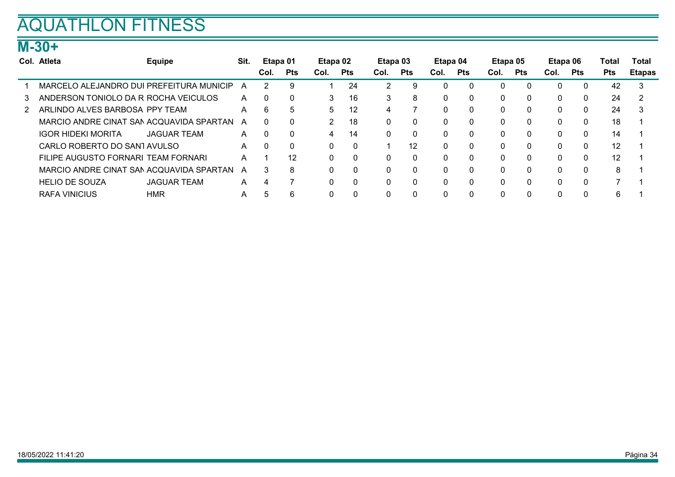## AQUATHLON FITNESS

### M-30+

|    | Col. Atleta                              | <b>Equipe</b>      | Sit. | Etapa 01 |            | Etapa 02     |              | Etapa 03 |              | Etapa 04     |            | Etapa 05 |            | Etapa 06 |             | Total      | Total         |
|----|------------------------------------------|--------------------|------|----------|------------|--------------|--------------|----------|--------------|--------------|------------|----------|------------|----------|-------------|------------|---------------|
|    |                                          |                    |      | Col.     | <b>Pts</b> | Col.         | <b>Pts</b>   | Col.     | <b>Pts</b>   | Col.         | <b>Pts</b> | Col.     | <b>Pts</b> | Col.     | <b>Pts</b>  | <b>Pts</b> | <b>Etapas</b> |
|    | MARCELO ALEJANDRO DUI PREFEITURA MUNICIP |                    | A    |          | 9          |              | 24           | 2        | 9            |              | C          | 0        | $\Omega$   | 0        | $\Omega$    | 42         | 3             |
| 3  | ANDERSON TONIOLO DA R ROCHA VEICULOS     |                    | A    | ſ        | $\Omega$   | 3.           | 16           | 3        | 8            | $\Omega$     | $\Omega$   | 0        | $\Omega$   | $\Omega$ | 0           | 24         |               |
| 2. | ARLINDO ALVES BARBOSA PPY TEAM           |                    | A    | 6        | 5          | 5            | 12           | 4        |              | <sup>0</sup> | $\Omega$   | 0        | $\Omega$   | $\Omega$ | $\Omega$    | 24         | 3             |
|    | MARCIO ANDRE CINAT SAN ACQUAVIDA SPARTAN |                    | A    |          | C          | 2            | 18           | 0        | $\mathbf{0}$ | $\Omega$     | $\Omega$   | 0        | $\Omega$   | $\Omega$ | $\Omega$    | 18         |               |
|    | <b>IGOR HIDEKI MORITA</b>                | <b>JAGUAR TEAM</b> | A    | - ೧      | $\Omega$   | 4            | 14           | 0        | $\mathbf{0}$ | $\Omega$     | C          | 0        | $\Omega$   | $\Omega$ | $\Omega$    | 14         |               |
|    | CARLO ROBERTO DO SANTAVULSO              |                    | A    | -C       | $\Omega$   | 0            | $\mathbf{0}$ |          | 12           | $\Omega$     |            | 0        | $\Omega$   | $\Omega$ | $\mathbf 0$ | 12         |               |
|    | FILIPE AUGUSTO FORNARI TEAM FORNARI      |                    | A    |          | 12         | 0            | $\mathbf{0}$ | $\Omega$ | $\mathbf{0}$ | $\Omega$     |            | 0        | $\Omega$   | $\Omega$ | $\Omega$    | 12         |               |
|    | MARCIO ANDRE CINAT SAN ACQUAVIDA SPARTAN |                    | A    | 3        | 8          | $\mathbf{0}$ | $\mathbf{0}$ | 0        | $\mathbf{0}$ | $\Omega$     |            | 0        | $\Omega$   | $\Omega$ | $\mathbf 0$ | 8          |               |
|    | <b>HELIO DE SOUZA</b>                    | <b>JAGUAR TEAM</b> | A    | 4        |            | $\mathbf{0}$ | $\mathbf{0}$ | 0        | $\Omega$     |              |            | 0        | $\Omega$   | $\Omega$ | $\Omega$    |            |               |
|    | <b>RAFA VINICIUS</b>                     | <b>HMR</b>         | A    |          | 6          | 0            |              |          | 0            |              |            | 0        |            |          | $\Omega$    | 6          |               |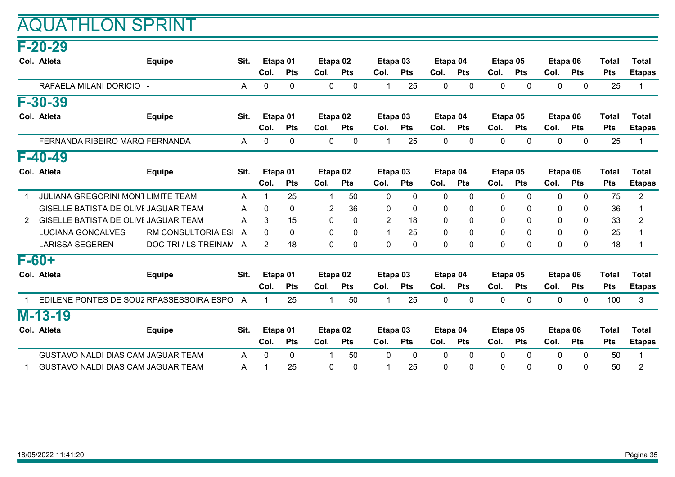#### F-20-29

|             | Col. Atleta                                 | <b>Equipe</b>             | Sit. |                | Etapa 01     | Etapa 02       |                 | Etapa 03       |              | Etapa 04     |              | Etapa 05     |              | Etapa 06    |              | Total        | <b>Total</b>   |
|-------------|---------------------------------------------|---------------------------|------|----------------|--------------|----------------|-----------------|----------------|--------------|--------------|--------------|--------------|--------------|-------------|--------------|--------------|----------------|
|             |                                             |                           |      | Col.           | <b>Pts</b>   | Col.           | <b>Pts</b>      | Col.           | <b>Pts</b>   | Col.         | <b>Pts</b>   | Col.         | <b>Pts</b>   | Col.        | <b>Pts</b>   | <b>Pts</b>   | <b>Etapas</b>  |
|             | RAFAELA MILANI DORICIO -                    |                           | A    | 0              | 0            | 0              | 0               | 1              | 25           | 0            | 0            | 0            | 0            | 0           | $\mathbf 0$  | 25           | -1             |
|             | F-30-39                                     |                           |      |                |              |                |                 |                |              |              |              |              |              |             |              |              |                |
|             | Col. Atleta                                 | <b>Equipe</b>             | Sit. |                | Etapa 01     | Etapa 02       |                 | Etapa 03       |              | Etapa 04     |              | Etapa 05     |              | Etapa 06    |              | <b>Total</b> | <b>Total</b>   |
|             |                                             |                           |      | Col.           | <b>Pts</b>   | Col.           | <b>Pts</b>      | Col.           | <b>Pts</b>   | Col.         | <b>Pts</b>   | Col.         | <b>Pts</b>   | Col.        | <b>Pts</b>   | <b>Pts</b>   | <b>Etapas</b>  |
|             | FERNANDA RIBEIRO MARQ FERNANDA              |                           | A    | $\mathbf{0}$   | $\mathbf{0}$ | $\mathbf{0}$   | $\mathbf{0}$    | 1              | 25           | $\mathbf{0}$ | $\mathbf{0}$ | $\mathbf{0}$ | $\Omega$     | 0           | $\mathbf 0$  | 25           | -1             |
|             | $F-40-49$                                   |                           |      |                |              |                |                 |                |              |              |              |              |              |             |              |              |                |
|             | Col. Atleta                                 | <b>Equipe</b>             | Sit. |                | Etapa 01     | Etapa 02       |                 | Etapa 03       |              | Etapa 04     |              | Etapa 05     |              | Etapa 06    |              | Total        | <b>Total</b>   |
|             |                                             |                           |      | Col.           | <b>Pts</b>   | Col.           | <b>Pts</b>      | Col.           | <b>Pts</b>   | Col.         | <b>Pts</b>   | Col.         | <b>Pts</b>   | Col.        | <b>Pts</b>   | <b>Pts</b>   | <b>Etapas</b>  |
|             | <b>JULIANA GREGORINI MONT LIMITE TEAM</b>   |                           | A    |                | 25           | -1             | 50              | 0              | 0            | 0            | 0            | $\mathbf 0$  | 0            | 0           | 0            | 75           | $\overline{2}$ |
|             | <b>GISELLE BATISTA DE OLIVE JAGUAR TEAM</b> |                           | A    | 0              | 0            | $\overline{2}$ | 36              | 0              | 0            | $\Omega$     | 0            | $\mathbf 0$  | $\mathbf{0}$ | 0           | 0            | 36           |                |
| 2           | GISELLE BATISTA DE OLIVE JAGUAR TEAM        |                           | A    | 3              | 15           | 0              | $\Omega$        | $\overline{2}$ | 18           | $\Omega$     | 0            | $\mathbf{0}$ | $\mathbf{0}$ | 0           | 0            | 33           | 2              |
|             | <b>LUCIANA GONCALVES</b>                    | <b>RM CONSULTORIA ESI</b> | A    | $\Omega$       | 0            | $\mathbf 0$    | $\mathbf{0}$    | 1              | 25           | $\mathbf 0$  | 0            | $\mathbf 0$  | $\Omega$     | $\mathbf 0$ | 0            | 25           |                |
|             | <b>LARISSA SEGEREN</b>                      | DOC TRI / LS TREINAM A    |      | $\overline{2}$ | 18           | $\mathbf 0$    | $\mathbf{0}$    | 0              | $\mathbf{0}$ | $\Omega$     | 0            | $\mathbf 0$  | $\Omega$     | $\Omega$    | $\mathbf{0}$ | 18           |                |
|             | $F-60+$                                     |                           |      |                |              |                |                 |                |              |              |              |              |              |             |              |              |                |
|             | Col. Atleta                                 | <b>Equipe</b>             | Sit. |                | Etapa 01     | Etapa 02       |                 | Etapa 03       |              | Etapa 04     |              | Etapa 05     |              | Etapa 06    |              | <b>Total</b> | <b>Total</b>   |
|             |                                             |                           |      | Col.           | <b>Pts</b>   | Col.           | <b>Pts</b>      | Col.           | <b>Pts</b>   | Col.         | <b>Pts</b>   | Col.         | <b>Pts</b>   | Col.        | <b>Pts</b>   | <b>Pts</b>   | <b>Etapas</b>  |
| $\mathbf 1$ | EDILENE PONTES DE SOUZ RPASSESSOIRA ESPO    |                           | A    | $\mathbf 1$    | 25           | $\mathbf 1$    | 50              | $\mathbf{1}$   | 25           | $\mathbf{0}$ | $\mathbf{0}$ | $\mathbf 0$  | $\mathbf{0}$ | 0           | $\mathbf 0$  | 100          | 3              |
|             | $M-13-19$                                   |                           |      |                |              |                |                 |                |              |              |              |              |              |             |              |              |                |
|             | Col. Atleta                                 | <b>Equipe</b>             | Sit. |                | Etapa 01     | Etapa 02       |                 | Etapa 03       |              | Etapa 04     |              | Etapa 05     |              | Etapa 06    |              | <b>Total</b> | <b>Total</b>   |
|             |                                             |                           |      | Col.           | <b>Pts</b>   | Col.           | <b>Pts</b>      | Col.           | <b>Pts</b>   | Col.         | <b>Pts</b>   | Col.         | <b>Pts</b>   | Col.        | <b>Pts</b>   | <b>Pts</b>   | <b>Etapas</b>  |
|             | GUSTAVO NALDI DIAS CAM JAGUAR TEAM          |                           | A    | $\Omega$       | $\Omega$     | -1             | 50 <sub>2</sub> | $\Omega$       | $\Omega$     | $\Omega$     | $\Omega$     | $\Omega$     | $\Omega$     | $\Omega$    | $\mathbf{0}$ | 50           |                |
|             | GUSTAVO NALDI DIAS CAM JAGUAR TEAM          |                           | Α    |                | 25           | $\mathbf{0}$   | $\Omega$        |                | 25           | $\Omega$     | $\Omega$     | $\Omega$     | $\Omega$     | $\Omega$    | $\Omega$     | 50           | 2              |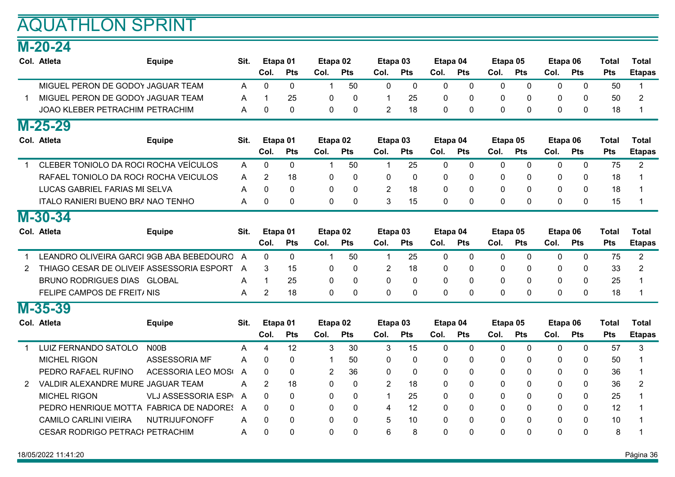### M-20-24

|              | Col. Atleta                               | <b>Equipe</b>              | Sit. |                | Etapa 01     | Etapa <sub>02</sub> |                | Etapa 03       |              | Etapa 04     |              | Etapa 05     |             | Etapa 06     |              | <b>Total</b> | <b>Total</b>            |
|--------------|-------------------------------------------|----------------------------|------|----------------|--------------|---------------------|----------------|----------------|--------------|--------------|--------------|--------------|-------------|--------------|--------------|--------------|-------------------------|
|              |                                           |                            |      | Col.           | <b>Pts</b>   | Col.                | <b>Pts</b>     | Col.           | <b>Pts</b>   | Col.         | <b>Pts</b>   | Col.         | Pts         | Col.         | <b>Pts</b>   | <b>Pts</b>   | <b>Etapas</b>           |
|              | MIGUEL PERON DE GODOY JAGUAR TEAM         |                            | A    | 0              | 0            | 1                   | 50             | 0              | $\mathbf 0$  | 0            | $\mathbf 0$  | $\mathbf 0$  | $\mathbf 0$ | 0            | 0            | 50           | -1                      |
|              | MIGUEL PERON DE GODOY JAGUAR TEAM         |                            | A    | 1              | 25           | $\mathbf 0$         | $\mathbf{0}$   | 1              | 25           | $\Omega$     | $\Omega$     | $\mathbf{0}$ | $\mathbf 0$ | $\Omega$     | $\Omega$     | 50           | 2                       |
|              | JOAO KLEBER PETRACHIM PETRACHIM           |                            | Α    | 0              | 0            | 0                   | 0              | $\overline{2}$ | 18           | 0            | 0            | $\mathbf{0}$ | $\mathbf 0$ | 0            | 0            | 18           | 1                       |
|              | $M-25-29$                                 |                            |      |                |              |                     |                |                |              |              |              |              |             |              |              |              |                         |
|              | Col. Atleta                               | <b>Equipe</b>              | Sit. |                | Etapa 01     | Etapa 02            |                | Etapa 03       |              | Etapa 04     |              | Etapa 05     |             | Etapa 06     |              | <b>Total</b> | <b>Total</b>            |
|              |                                           |                            |      | Col.           | <b>Pts</b>   | Col.                | Pts            | Col.           | Pts          | Col.         | Pts          | Col.         | Pts         | Col.         | <b>Pts</b>   | Pts          | <b>Etapas</b>           |
| $\mathbf{1}$ | CLEBER TONIOLO DA ROCI ROCHA VEÍCULOS     |                            | A    | $\mathbf 0$    | 0            | 1                   | 50             | $\mathbf{1}$   | 25           | 0            | $\mathbf{0}$ | $\mathbf 0$  | $\mathbf 0$ | 0            | $\mathbf 0$  | 75           | $\overline{2}$          |
|              | RAFAEL TONIOLO DA ROCI ROCHA VEICULOS     |                            | A    | $\overline{2}$ | 18           | $\mathbf 0$         | $\mathbf{0}$   | $\mathbf{0}$   | $\mathbf 0$  | $\Omega$     | $\Omega$     | $\mathbf{0}$ | $\Omega$    | $\Omega$     | $\mathbf{0}$ | 18           | -1                      |
|              | LUCAS GABRIEL FARIAS MI SELVA             |                            | A    | $\Omega$       | 0            | 0                   | $\mathbf 0$    | $\overline{2}$ | 18           | 0            | $\Omega$     | $\mathbf 0$  | $\mathbf 0$ | $\mathbf 0$  | $\mathbf 0$  | 18           | -1                      |
|              | ITALO RANIERI BUENO BRA NAO TENHO         |                            | A    | 0              | 0            | $\mathbf 0$         | $\mathbf{0}$   | 3              | 15           | 0            | 0            | $\mathbf 0$  | $\Omega$    | $\mathbf{0}$ | $\mathbf{0}$ | 15           | -1                      |
|              | M-30-34                                   |                            |      |                |              |                     |                |                |              |              |              |              |             |              |              |              |                         |
|              | Col. Atleta                               | <b>Equipe</b>              | Sit. |                | Etapa 01     | Etapa 02            |                | Etapa 03       |              | Etapa 04     |              | Etapa 05     |             | Etapa 06     |              | <b>Total</b> | <b>Total</b>            |
|              |                                           |                            |      | Col.           | <b>Pts</b>   | Col.                | <b>Pts</b>     | Col.           | Pts          | Col.         | <b>Pts</b>   | Col.         | Pts         | Col.         | <b>Pts</b>   | <b>Pts</b>   | <b>Etapas</b>           |
|              | LEANDRO OLIVEIRA GARCI 9GB ABA BEBEDOURO  |                            | A    | $\Omega$       | $\mathbf{0}$ | 1                   | 50             | 1              | 25           | 0            | $\mathbf{0}$ | $\mathbf{0}$ | $\mathbf 0$ | $\mathbf{0}$ | $\mathbf{0}$ | 75           | $\overline{2}$          |
| 2            | THIAGO CESAR DE OLIVEIF ASSESSORIA ESPORT |                            | A    | 3              | 15           | 0                   | $\mathbf{0}$   | 2              | 18           | $\mathbf{0}$ | 0            | $\mathbf{0}$ | $\mathbf 0$ | $\mathbf{0}$ | $\mathbf{0}$ | 33           | $\overline{2}$          |
|              | BRUNO RODRIGUES DIAS GLOBAL               |                            | A    | $\mathbf 1$    | 25           | 0                   | $\mathbf{0}$   | 0              | $\mathbf{0}$ | 0            | $\Omega$     | $\mathbf{0}$ | $\Omega$    | $\Omega$     | $\mathbf{0}$ | 25           | $\overline{\mathbf{1}}$ |
|              | FELIPE CAMPOS DE FREIT/ NIS               |                            | A    | $\overline{2}$ | 18           | 0                   | $\overline{0}$ | 0              | $\mathbf 0$  | 0            | 0            | $\mathbf 0$  | $\mathbf 0$ | $\mathbf 0$  | 0            | 18           | -1                      |
|              | M-35-39                                   |                            |      |                |              |                     |                |                |              |              |              |              |             |              |              |              |                         |
|              | Col. Atleta                               | <b>Equipe</b>              | Sit. |                | Etapa 01     | Etapa 02            |                | Etapa 03       |              | Etapa 04     |              | Etapa 05     |             | Etapa 06     |              | <b>Total</b> | <b>Total</b>            |
|              |                                           |                            |      | Col.           | <b>Pts</b>   | Col.                | <b>Pts</b>     | Col.           | Pts          | Col.         | Pts          | Col.         | Pts         | Col.         | Pts          | Pts          | <b>Etapas</b>           |
|              | LUIZ FERNANDO SATOLO                      | N <sub>00</sub> B          | A    | 4              | 12           | 3                   | 30             | 3              | 15           | 0            | 0            | 0            | $\mathbf 0$ | 0            | 0            | 57           | 3                       |
|              | <b>MICHEL RIGON</b>                       | <b>ASSESSORIA MF</b>       | A    | 0              | 0            | 1                   | 50             | 0              | $\Omega$     | 0            | $\Omega$     | $\mathbf{0}$ | $\Omega$    | $\Omega$     | $\Omega$     | 50           | -1                      |
|              | PEDRO RAFAEL RUFINO                       | <b>ACESSORIA LEO MOSI</b>  | A    | 0              | 0            | $\overline{2}$      | 36             | 0              | 0            | 0            | 0            | 0            | $\mathbf 0$ | $\Omega$     | $\mathbf{0}$ | 36           | -1                      |
| 2            | VALDIR ALEXANDRE MURE JAGUAR TEAM         |                            | А    | $\overline{2}$ | 18           | 0                   | $\mathbf{0}$   | $\overline{2}$ | 18           | 0            | $\Omega$     | $\mathbf{0}$ | $\mathbf 0$ | 0            | 0            | 36           | $\overline{2}$          |
|              | <b>MICHEL RIGON</b>                       | <b>VLJ ASSESSORIA ESPI</b> | A    | $\Omega$       | 0            | 0                   | $\mathbf{0}$   | $\mathbf{1}$   | 25           | 0            | $\Omega$     | $\mathbf{0}$ | $\Omega$    | $\mathbf{0}$ | $\mathbf 0$  | 25           | -1                      |
|              | PEDRO HENRIQUE MOTTA FABRICA DE NADORES   |                            | A    | 0              | 0            | $\mathbf 0$         | $\mathbf{0}$   | 4              | 12           | 0            | $\Omega$     | $\mathbf{0}$ | $\Omega$    | $\Omega$     | $\mathbf{0}$ | 12           |                         |
|              | <b>CAMILO CARLINI VIEIRA</b>              | <b>NUTRIJUFONOFF</b>       | A    | 0              | 0            | 0                   | $\mathbf 0$    | 5              | 10           | 0            | $\Omega$     | $\mathbf{0}$ | $\mathbf 0$ | 0            | 0            | 10           |                         |
|              | <b>CESAR RODRIGO PETRACI PETRACHIM</b>    |                            | A    | 0              | 0            | $\Omega$            | $\Omega$       | 6              | 8            | $\Omega$     | $\Omega$     | $\Omega$     | $\Omega$    | $\Omega$     | $\Omega$     | 8            |                         |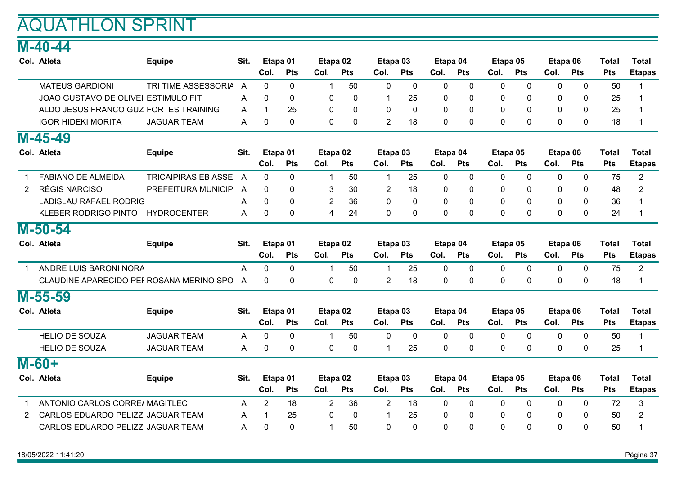#### M-40-44

|                       | Col. Atleta                              | <b>Equipe</b>              | Sit. | Etapa 01     |            | Etapa 02         |            | Etapa 03       |             | Etapa 04     |              | Etapa 05         |              | Etapa 06     |              | <b>Total</b> | <b>Total</b>   |
|-----------------------|------------------------------------------|----------------------------|------|--------------|------------|------------------|------------|----------------|-------------|--------------|--------------|------------------|--------------|--------------|--------------|--------------|----------------|
|                       |                                          |                            |      | Col.         | Pts        | Col.             | Pts        | Col.           | Pts         | Col.         | Pts          | Col.             | Pts          | Col.         | Pts          | Pts          | <b>Etapas</b>  |
|                       | <b>MATEUS GARDIONI</b>                   | TRI TIME ASSESSORIA        | A    | $\mathbf{0}$ | 0          | $\mathbf 1$      | 50         | 0              | $\mathbf 0$ | 0            | 0            | 0                | 0            | 0            | 0            | 50           | 1              |
|                       | JOAO GUSTAVO DE OLIVEI ESTIMULO FIT      |                            | A    | $\mathbf{0}$ | 0          | $\boldsymbol{0}$ | 0          | 1              | 25          | 0            | 0            | 0                | $\mathbf 0$  | 0            | 0            | 25           |                |
|                       | ALDO JESUS FRANCO GUZ FORTES TRAINING    |                            | A    | $\mathbf 1$  | 25         | 0                | 0          | $\mathbf{0}$   | $\mathbf 0$ | 0            | 0            | 0                | $\mathbf{0}$ | 0            | $\mathbf{0}$ | 25           |                |
|                       | <b>IGOR HIDEKI MORITA</b>                | <b>JAGUAR TEAM</b>         | A    | 0            | 0          | $\mathbf 0$      | 0          | 2              | 18          | 0            | 0            | 0                | 0            | 0            | 0            | 18           | 1              |
|                       | $M-45-49$                                |                            |      |              |            |                  |            |                |             |              |              |                  |              |              |              |              |                |
|                       | Col. Atleta                              | <b>Equipe</b>              | Sit. |              | Etapa 01   | Etapa 02         |            | Etapa 03       |             | Etapa 04     |              | Etapa 05         |              | Etapa 06     |              | <b>Total</b> | <b>Total</b>   |
|                       |                                          |                            |      | Col.         | Pts        | Col.             | <b>Pts</b> | Col.           | Pts         | Col.         | Pts          | Col.             | Pts          | Col.         | Pts          | <b>Pts</b>   | <b>Etapas</b>  |
|                       | <b>FABIANO DE ALMEIDA</b>                | <b>TRICAIPIRAS EB ASSE</b> | A    | $\mathbf 0$  | 0          | $\mathbf 1$      | 50         | $\mathbf{1}$   | 25          | 0            | 0            | $\mathbf 0$      | $\mathbf{0}$ | $\mathbf 0$  | $\mathbf 0$  | 75           | $\overline{2}$ |
| $\mathbf{2}^{\prime}$ | <b>RÉGIS NARCISO</b>                     | PREFEITURA MUNICIP         | A    | $\Omega$     | 0          | 3                | 30         | $\overline{c}$ | 18          | 0            | $\Omega$     | 0                | $\mathbf{0}$ | 0            | $\mathbf{0}$ | 48           | 2              |
|                       | <b>LADISLAU RAFAEL RODRIG</b>            |                            | A    | $\Omega$     | $\Omega$   | $\overline{2}$   | 36         | 0              | $\mathbf 0$ | 0            | $\Omega$     | $\mathbf 0$      | $\Omega$     | $\Omega$     | $\mathbf{0}$ | 36           |                |
|                       | KLEBER RODRIGO PINTO                     | <b>HYDROCENTER</b>         | A    | $\Omega$     | 0          | $\overline{4}$   | 24         | $\mathbf 0$    | $\pmb{0}$   | $\mathbf{0}$ | $\Omega$     | $\mathbf 0$      | 0            | 0            | $\mathbf{0}$ | 24           | -1             |
|                       | $M-50-54$                                |                            |      |              |            |                  |            |                |             |              |              |                  |              |              |              |              |                |
|                       | Col. Atleta                              | <b>Equipe</b>              | Sit. |              | Etapa 01   | Etapa 02         |            | Etapa 03       |             | Etapa 04     |              | Etapa 05         |              | Etapa 06     |              | <b>Total</b> | <b>Total</b>   |
|                       |                                          |                            |      | Col.         | <b>Pts</b> | Col.             | <b>Pts</b> | Col.           | <b>Pts</b>  | Col.         | <b>Pts</b>   | Col.             | <b>Pts</b>   | Col.         | <b>Pts</b>   | <b>Pts</b>   | <b>Etapas</b>  |
| $\mathbf 1$           | ANDRE LUIS BARONI NORA                   |                            | A    | 0            | 0          | $\mathbf 1$      | 50         | $\mathbf{1}$   | 25          | 0            | $\mathbf{0}$ | $\mathbf 0$      | 0            | 0            | 0            | 75           | $\overline{2}$ |
|                       | CLAUDINE APARECIDO PEF ROSANA MERINO SPO |                            | A    | 0            | 0          | 0                | 0          | $\overline{2}$ | 18          | 0            | 0            | 0                | 0            | 0            | 0            | 18           |                |
|                       | M-55-59                                  |                            |      |              |            |                  |            |                |             |              |              |                  |              |              |              |              |                |
|                       | Col. Atleta                              | <b>Equipe</b>              | Sit. |              | Etapa 01   | Etapa 02         |            | Etapa 03       |             | Etapa 04     |              | Etapa 05         |              | Etapa 06     |              | <b>Total</b> | <b>Total</b>   |
|                       |                                          |                            |      | Col.         | <b>Pts</b> | Col.             | <b>Pts</b> | Col.           | <b>Pts</b>  | Col.         | <b>Pts</b>   | Col.             | Pts          | Col.         | <b>Pts</b>   | <b>Pts</b>   | <b>Etapas</b>  |
|                       | <b>HELIO DE SOUZA</b>                    | <b>JAGUAR TEAM</b>         | A    | 0            | 0          | $\mathbf 1$      | 50         | $\mathbf 0$    | $\mathbf 0$ | 0            | 0            | $\overline{0}$   | $\mathbf 0$  | $\mathbf 0$  | $\mathbf 0$  | 50           | 1              |
|                       | <b>HELIO DE SOUZA</b>                    | <b>JAGUAR TEAM</b>         | A    | 0            | 0          | $\mathbf 0$      | 0          | 1              | 25          | 0            | 0            | $\mathbf 0$      | $\mathbf{0}$ | $\mathbf{0}$ | $\mathbf 0$  | 25           | 1              |
|                       | $M - 60 +$                               |                            |      |              |            |                  |            |                |             |              |              |                  |              |              |              |              |                |
|                       | Col. Atleta                              | <b>Equipe</b>              | Sit. |              | Etapa 01   | Etapa 02         |            | Etapa 03       |             | Etapa 04     |              | Etapa 05         |              | Etapa 06     |              | <b>Total</b> | <b>Total</b>   |
|                       |                                          |                            |      | Col.         | <b>Pts</b> | Col.             | <b>Pts</b> | Col.           | <b>Pts</b>  | Col.         | <b>Pts</b>   | Col.             | <b>Pts</b>   | Col.         | <b>Pts</b>   | <b>Pts</b>   | <b>Etapas</b>  |
|                       | ANTONIO CARLOS CORRE/ MAGITLEC           |                            | A    | 2            | 18         | $\overline{2}$   | 36         | $\overline{2}$ | 18          | 0            | $\mathbf{0}$ | $\boldsymbol{0}$ | $\mathbf{0}$ | 0            | 0            | 72           | 3              |
| 2                     | CARLOS EDUARDO PELIZZ JAGUAR TEAM        |                            | A    | 1            | 25         | 0                | 0          | 1              | 25          | 0            | 0            | 0                | $\mathbf{0}$ | 0            | 0            | 50           | 2              |
|                       | CARLOS EDUARDO PELIZZ JAGUAR TEAM        |                            | Α    | $\Omega$     | $\Omega$   | $\mathbf 1$      | 50         | 0              | $\Omega$    | $\Omega$     | $\Omega$     | $\Omega$         | $\Omega$     | $\Omega$     | $\Omega$     | 50           |                |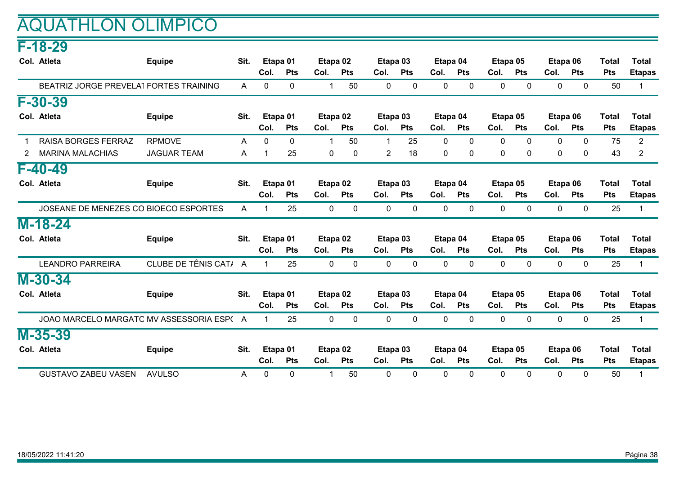### AQUATHLON OLIMPICO

#### F-18-29

|   | Col. Atleta                               | <b>Equipe</b>         | Sit. |              | Etapa 01     |              | Etapa 02     |                | Etapa 03     | Etapa 04 |              |              | Etapa 05     |      | Etapa 06     | <b>Total</b> | <b>Total</b>   |
|---|-------------------------------------------|-----------------------|------|--------------|--------------|--------------|--------------|----------------|--------------|----------|--------------|--------------|--------------|------|--------------|--------------|----------------|
|   |                                           |                       |      | Col.         | <b>Pts</b>   | Col.         | <b>Pts</b>   | Col.           | <b>Pts</b>   | Col.     | <b>Pts</b>   | Col.         | <b>Pts</b>   | Col. | <b>Pts</b>   | <b>Pts</b>   | <b>Etapas</b>  |
|   | BEATRIZ JORGE PREVELA1 FORTES TRAINING    |                       | A    | 0            | $\mathbf{0}$ | $\mathbf 1$  | 50           | 0              | 0            | 0        | 0            | $\mathbf{0}$ | $\mathbf{0}$ | 0    | $\mathbf{0}$ | 50           | $\mathbf 1$    |
|   | F-30-39                                   |                       |      |              |              |              |              |                |              |          |              |              |              |      |              |              |                |
|   | Col. Atleta                               | <b>Equipe</b>         | Sit. |              | Etapa 01     |              | Etapa 02     |                | Etapa 03     | Etapa 04 |              |              | Etapa 05     |      | Etapa 06     | <b>Total</b> | <b>Total</b>   |
|   |                                           |                       |      | Col.         | <b>Pts</b>   | Col.         | <b>Pts</b>   | Col.           | <b>Pts</b>   | Col.     | <b>Pts</b>   | Col.         | <b>Pts</b>   | Col. | <b>Pts</b>   | <b>Pts</b>   | <b>Etapas</b>  |
|   | <b>RAISA BORGES FERRAZ</b>                | <b>RPMOVE</b>         | A    | $\mathbf{0}$ | 0            | -1           | 50           | 1              | 25           | 0        | 0            | $\Omega$     | $\mathbf{0}$ | 0    | 0            | 75           | $\overline{2}$ |
| 2 | <b>MARINA MALACHIAS</b>                   | <b>JAGUAR TEAM</b>    | A    |              | 25           | 0            | $\mathbf{0}$ | $\overline{2}$ | 18           | 0        | 0            | $\mathbf{0}$ | $\mathbf{0}$ | 0    | $\mathbf{0}$ | 43           | 2              |
|   | $F - 40 - 49$                             |                       |      |              |              |              |              |                |              |          |              |              |              |      |              |              |                |
|   | Col. Atleta                               | <b>Equipe</b>         | Sit. |              | Etapa 01     |              | Etapa 02     | Etapa 03       |              | Etapa 04 |              |              | Etapa 05     |      | Etapa 06     | <b>Total</b> | <b>Total</b>   |
|   |                                           |                       |      | Col.         | <b>Pts</b>   | Col.         | <b>Pts</b>   | Col.           | <b>Pts</b>   | Col.     | <b>Pts</b>   | Col.         | <b>Pts</b>   | Col. | <b>Pts</b>   | <b>Pts</b>   | <b>Etapas</b>  |
|   | JOSEANE DE MENEZES CO BIOECO ESPORTES     |                       | A    |              | 25           | $\mathbf{0}$ | 0            | 0              | 0            | 0        | 0            | $\mathbf{0}$ | $\mathbf{0}$ | 0    | $\mathbf{0}$ | 25           | $\overline{1}$ |
|   | $M-18-24$                                 |                       |      |              |              |              |              |                |              |          |              |              |              |      |              |              |                |
|   | Col. Atleta                               | <b>Equipe</b>         | Sit. |              | Etapa 01     |              | Etapa 02     | Etapa 03       |              | Etapa 04 |              |              | Etapa 05     |      | Etapa 06     | <b>Total</b> | <b>Total</b>   |
|   |                                           |                       |      | Col.         | <b>Pts</b>   | Col.         | <b>Pts</b>   | Col.           | <b>Pts</b>   | Col.     | <b>Pts</b>   | Col.         | Pts          | Col. | Pts          | <b>Pts</b>   | <b>Etapas</b>  |
|   | <b>LEANDRO PARREIRA</b>                   | CLUBE DE TÊNIS CAT/ A |      | 1            | 25           | 0            | 0            | 0              | $\mathbf 0$  | 0        | 0            | 0            | 0            | 0    | 0            | 25           | 1              |
|   | $M-30-34$                                 |                       |      |              |              |              |              |                |              |          |              |              |              |      |              |              |                |
|   | Col. Atleta                               | <b>Equipe</b>         | Sit. |              | Etapa 01     |              | Etapa 02     | Etapa 03       |              | Etapa 04 |              |              | Etapa 05     |      | Etapa 06     | <b>Total</b> | <b>Total</b>   |
|   |                                           |                       |      | Col.         | <b>Pts</b>   | Col.         | <b>Pts</b>   | Col.           | <b>Pts</b>   | Col.     | <b>Pts</b>   | Col.         | <b>Pts</b>   | Col. | <b>Pts</b>   | <b>Pts</b>   | <b>Etapas</b>  |
|   | JOAO MARCELO MARGATO MV ASSESSORIA ESP( A |                       |      | 1            | 25           | $\mathbf 0$  | $\mathbf 0$  | $\mathbf 0$    | $\mathbf 0$  | 0        | $\mathbf{0}$ | $\mathbf{0}$ | $\mathbf{0}$ | 0    | 0            | 25           | -1             |
|   | M-35-39                                   |                       |      |              |              |              |              |                |              |          |              |              |              |      |              |              |                |
|   | Col. Atleta                               | Equipe                | Sit. |              | Etapa 01     |              | Etapa 02     |                | Etapa 03     | Etapa 04 |              |              | Etapa 05     |      | Etapa 06     | <b>Total</b> | <b>Total</b>   |
|   |                                           |                       |      | Col.         | <b>Pts</b>   | Col.         | <b>Pts</b>   | Col.           | <b>Pts</b>   | Col.     | <b>Pts</b>   | Col.         | <b>Pts</b>   | Col. | <b>Pts</b>   | <b>Pts</b>   | <b>Etapas</b>  |
|   | <b>GUSTAVO ZABEU VASEN</b>                | <b>AVULSO</b>         | A    | $\mathbf{0}$ | 0            | $\mathbf 1$  | 50           | $\mathbf{0}$   | $\mathbf{0}$ | $\Omega$ | $\Omega$     | $\Omega$     | $\Omega$     | 0    | $\mathbf{0}$ | 50           | $\mathbf 1$    |